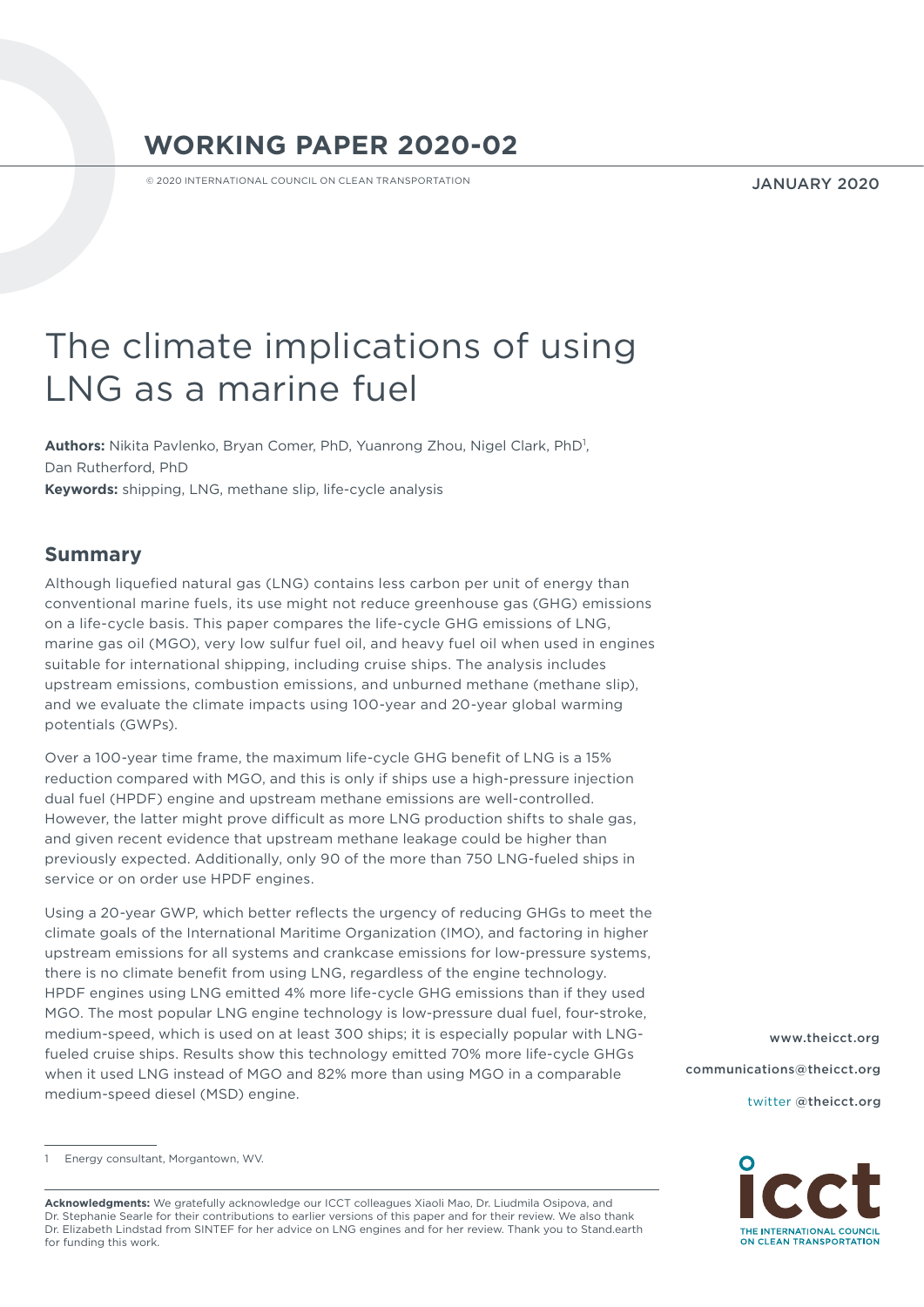# **WORKING PAPER 2020-02**

© 2020 INTERNATIONAL COUNCIL ON CLEAN TRANSPORTATION

JANUARY 2020

# The climate implications of using LNG as a marine fuel

Authors: Nikita Pavlenko, Bryan Comer, PhD, Yuanrong Zhou, Nigel Clark, PhD<sup>1</sup>, Dan Rutherford, PhD **Keywords:** shipping, LNG, methane slip, life-cycle analysis

## **Summary**

Although liquefied natural gas (LNG) contains less carbon per unit of energy than conventional marine fuels, its use might not reduce greenhouse gas (GHG) emissions on a life-cycle basis. This paper compares the life-cycle GHG emissions of LNG, marine gas oil (MGO), very low sulfur fuel oil, and heavy fuel oil when used in engines suitable for international shipping, including cruise ships. The analysis includes upstream emissions, combustion emissions, and unburned methane (methane slip), and we evaluate the climate impacts using 100-year and 20-year global warming potentials (GWPs).

Over a 100-year time frame, the maximum life-cycle GHG benefit of LNG is a 15% reduction compared with MGO, and this is only if ships use a high-pressure injection dual fuel (HPDF) engine and upstream methane emissions are well-controlled. However, the latter might prove difficult as more LNG production shifts to shale gas, and given recent evidence that upstream methane leakage could be higher than previously expected. Additionally, only 90 of the more than 750 LNG-fueled ships in service or on order use HPDF engines.

Using a 20-year GWP, which better reflects the urgency of reducing GHGs to meet the climate goals of the International Maritime Organization (IMO), and factoring in higher upstream emissions for all systems and crankcase emissions for low-pressure systems, there is no climate benefit from using LNG, regardless of the engine technology. HPDF engines using LNG emitted 4% more life-cycle GHG emissions than if they used MGO. The most popular LNG engine technology is low-pressure dual fuel, four-stroke, medium-speed, which is used on at least 300 ships; it is especially popular with LNGfueled cruise ships. Results show this technology emitted 70% more life-cycle GHGs when it used LNG instead of MGO and 82% more than using MGO in a comparable medium-speed diesel (MSD) engine.

[www.theicct.org](http://www.theicct.org) [communications@theicct.org](mailto:communications%40theicct.org%20%20%20%20?subject=) 

twitter [@theicct.org](https://twitter.com/TheICCT) 



**Acknowledgments:** We gratefully acknowledge our ICCT colleagues Xiaoli Mao, Dr. Liudmila Osipova, and Dr. Stephanie Searle for their contributions to earlier versions of this paper and for their review. We also thank Dr. Elizabeth Lindstad from SINTEF for her advice on LNG engines and for her review. Thank you to Stand.earth for funding this work.

Energy consultant, Morgantown, WV.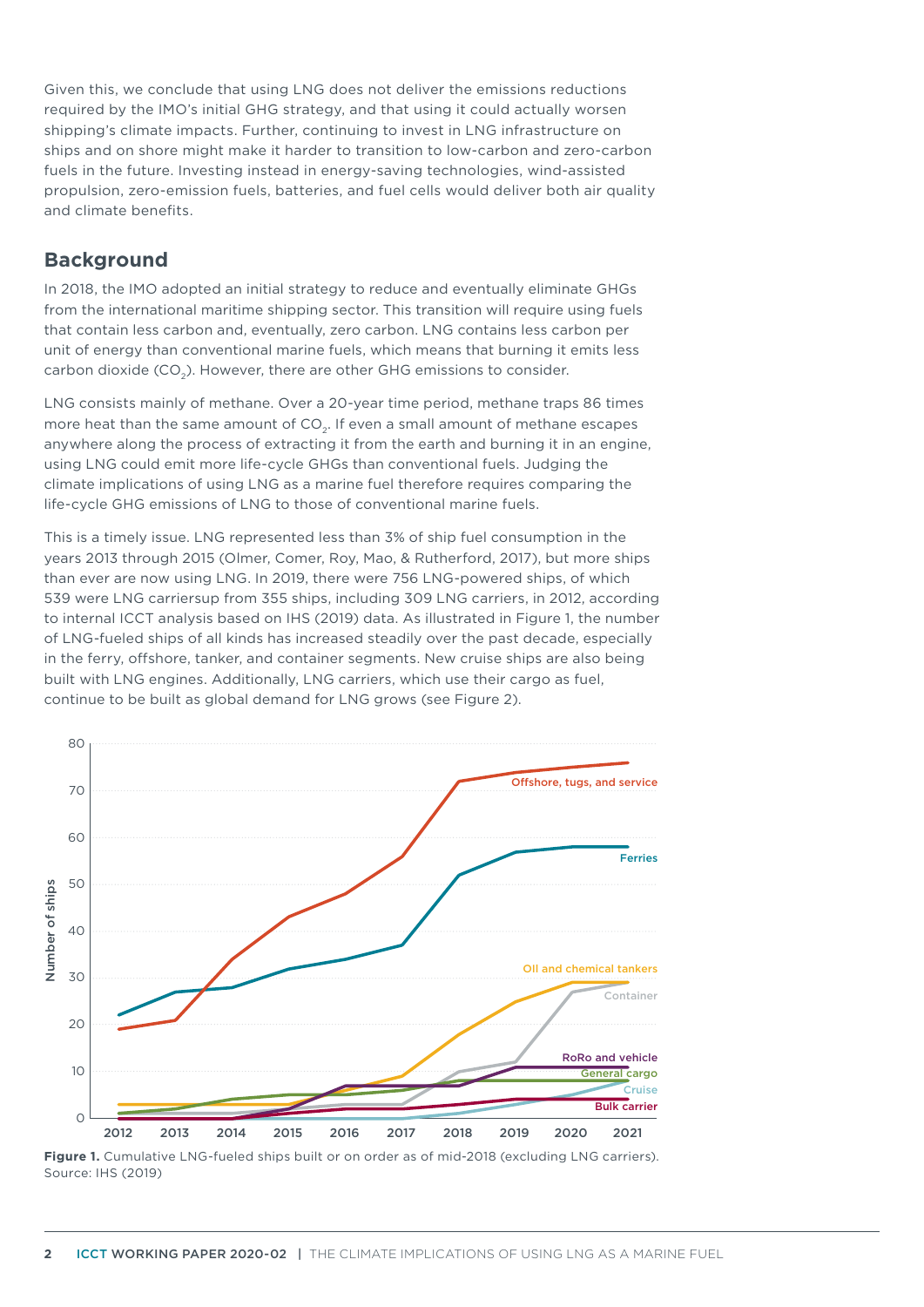Given this, we conclude that using LNG does not deliver the emissions reductions required by the IMO's initial GHG strategy, and that using it could actually worsen shipping's climate impacts. Further, continuing to invest in LNG infrastructure on ships and on shore might make it harder to transition to low-carbon and zero-carbon fuels in the future. Investing instead in energy-saving technologies, wind-assisted propulsion, zero-emission fuels, batteries, and fuel cells would deliver both air quality and climate benefits.

# **Background**

In 2018, the IMO adopted an initial strategy to reduce and eventually eliminate GHGs from the international maritime shipping sector. This transition will require using fuels that contain less carbon and, eventually, zero carbon. LNG contains less carbon per unit of energy than conventional marine fuels, which means that burning it emits less carbon dioxide (CO2). However, there are other GHG emissions to consider.

LNG consists mainly of methane. Over a 20-year time period, methane traps 86 times more heat than the same amount of CO<sub>2</sub>. If even a small amount of methane escapes anywhere along the process of extracting it from the earth and burning it in an engine, using LNG could emit more life-cycle GHGs than conventional fuels. Judging the climate implications of using LNG as a marine fuel therefore requires comparing the life-cycle GHG emissions of LNG to those of conventional marine fuels.

This is a timely issue. LNG represented less than 3% of ship fuel consumption in the years 2013 through 2015 (Olmer, Comer, Roy, Mao, & Rutherford, 2017), but more ships than ever are now using LNG. In 2019, there were 756 LNG-powered ships, of which 539 were LNG carriersup from 355 ships, including 309 LNG carriers, in 2012, according to internal ICCT analysis based on IHS (2019) data. As illustrated in Figure 1, the number of LNG-fueled ships of all kinds has increased steadily over the past decade, especially in the ferry, offshore, tanker, and container segments. New cruise ships are also being built with LNG engines. Additionally, LNG carriers, which use their cargo as fuel, continue to be built as global demand for LNG grows (see Figure 2).



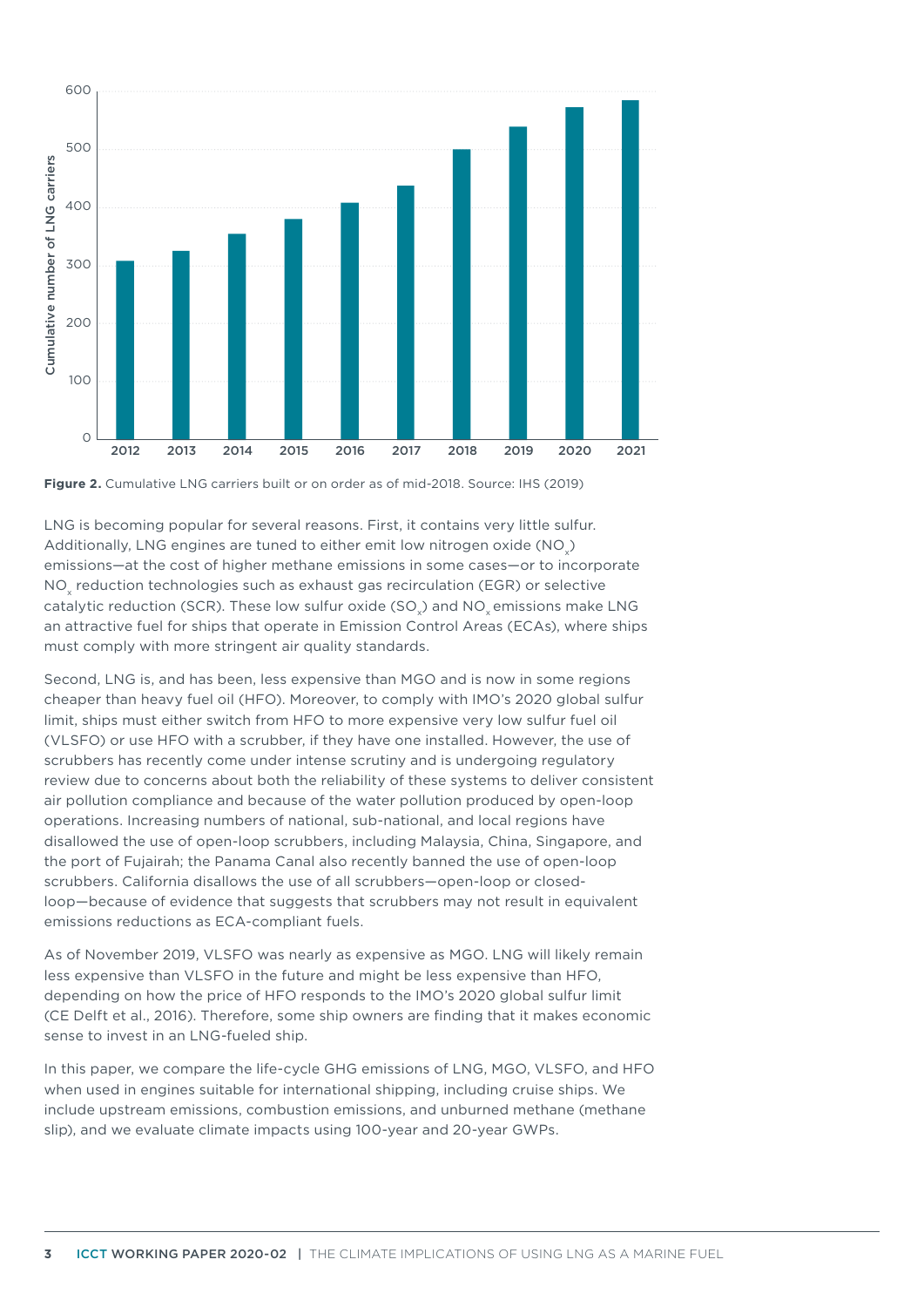

**Figure 2.** Cumulative LNG carriers built or on order as of mid-2018. Source: IHS (2019)

LNG is becoming popular for several reasons. First, it contains very little sulfur. Additionally, LNG engines are tuned to either emit low nitrogen oxide (NO $_{\mathrm{\mathrm{\mathsf{x}}}}$ ) emissions—at the cost of higher methane emissions in some cases—or to incorporate NO<sub>x</sub> reduction technologies such as exhaust gas recirculation (EGR) or selective catalytic reduction (SCR). These low sulfur oxide (SO<sub>x</sub>) and NO<sub>x</sub> emissions make LNG an attractive fuel for ships that operate in Emission Control Areas (ECAs), where ships must comply with more stringent air quality standards.

Second, LNG is, and has been, less expensive than MGO and is now in some regions cheaper than heavy fuel oil (HFO). Moreover, to comply with IMO's 2020 global sulfur limit, ships must either switch from HFO to more expensive very low sulfur fuel oil (VLSFO) or use HFO with a scrubber, if they have one installed. However, the use of scrubbers has recently come under intense scrutiny and is undergoing regulatory review due to concerns about both the reliability of these systems to deliver consistent air pollution compliance and because of the water pollution produced by open-loop operations. Increasing numbers of national, sub-national, and local regions have disallowed the use of open-loop scrubbers, including Malaysia, China, Singapore, and the port of Fujairah; the Panama Canal also recently banned the use of open-loop scrubbers. California disallows the use of all scrubbers—open-loop or closedloop—because of evidence that suggests that scrubbers may not result in equivalent emissions reductions as ECA-compliant fuels.

As of November 2019, VLSFO was nearly as expensive as MGO. LNG will likely remain less expensive than VLSFO in the future and might be less expensive than HFO, depending on how the price of HFO responds to the IMO's 2020 global sulfur limit (CE Delft et al., 2016). Therefore, some ship owners are finding that it makes economic sense to invest in an LNG-fueled ship.

In this paper, we compare the life-cycle GHG emissions of LNG, MGO, VLSFO, and HFO when used in engines suitable for international shipping, including cruise ships. We include upstream emissions, combustion emissions, and unburned methane (methane slip), and we evaluate climate impacts using 100-year and 20-year GWPs.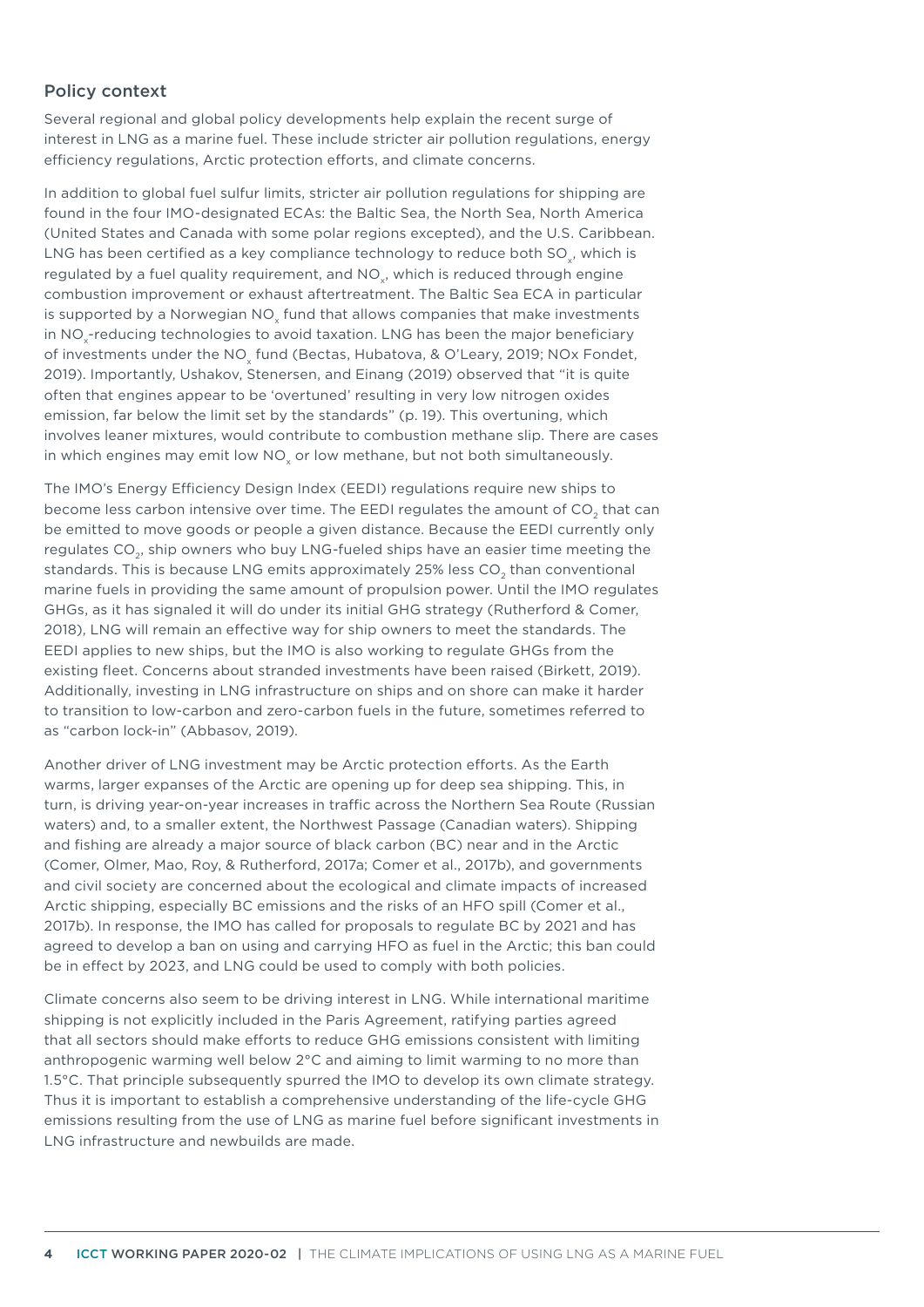#### Policy context

Several regional and global policy developments help explain the recent surge of interest in LNG as a marine fuel. These include stricter air pollution regulations, energy efficiency regulations, Arctic protection efforts, and climate concerns.

In addition to global fuel sulfur limits, stricter air pollution regulations for shipping are found in the four IMO-designated ECAs: the Baltic Sea, the North Sea, North America (United States and Canada with some polar regions excepted), and the U.S. Caribbean. LNG has been certified as a key compliance technology to reduce both SO<sub>.</sub>, which is regulated by a fuel quality requirement, and NO<sub>y</sub>, which is reduced through engine combustion improvement or exhaust aftertreatment. The Baltic Sea ECA in particular is supported by a Norwegian NO<sub>v</sub> fund that allows companies that make investments in NO $_\mathrm{\star}$ -reducing technologies to avoid taxation. LNG has been the major beneficiary of investments under the NO<sub>y</sub> fund (Bectas, Hubatova, & O'Leary, 2019; NOx Fondet, 2019). Importantly, Ushakov, Stenersen, and Einang (2019) observed that "it is quite often that engines appear to be 'overtuned' resulting in very low nitrogen oxides emission, far below the limit set by the standards" (p. 19). This overtuning, which involves leaner mixtures, would contribute to combustion methane slip. There are cases in which engines may emit low NO<sub>v</sub> or low methane, but not both simultaneously.

The IMO's Energy Efficiency Design Index (EEDI) regulations require new ships to become less carbon intensive over time. The EEDI regulates the amount of CO<sub>2</sub> that can be emitted to move goods or people a given distance. Because the EEDI currently only regulates CO<sub>2</sub>, ship owners who buy LNG-fueled ships have an easier time meeting the standards. This is because LNG emits approximately 25% less CO<sub>2</sub> than conventional marine fuels in providing the same amount of propulsion power. Until the IMO regulates GHGs, as it has signaled it will do under its initial GHG strategy (Rutherford & Comer, 2018), LNG will remain an effective way for ship owners to meet the standards. The EEDI applies to new ships, but the IMO is also working to regulate GHGs from the existing fleet. Concerns about stranded investments have been raised (Birkett, 2019). Additionally, investing in LNG infrastructure on ships and on shore can make it harder to transition to low-carbon and zero-carbon fuels in the future, sometimes referred to as "carbon lock-in" (Abbasov, 2019).

Another driver of LNG investment may be Arctic protection efforts. As the Earth warms, larger expanses of the Arctic are opening up for deep sea shipping. This, in turn, is driving year-on-year increases in traffic across the Northern Sea Route (Russian waters) and, to a smaller extent, the Northwest Passage (Canadian waters). Shipping and fishing are already a major source of black carbon (BC) near and in the Arctic (Comer, Olmer, Mao, Roy, & Rutherford, 2017a; Comer et al., 2017b), and governments and civil society are concerned about the ecological and climate impacts of increased Arctic shipping, especially BC emissions and the risks of an HFO spill (Comer et al., 2017b). In response, the IMO has called for proposals to regulate BC by 2021 and has agreed to develop a ban on using and carrying HFO as fuel in the Arctic; this ban could be in effect by 2023, and LNG could be used to comply with both policies.

Climate concerns also seem to be driving interest in LNG. While international maritime shipping is not explicitly included in the Paris Agreement, ratifying parties agreed that all sectors should make efforts to reduce GHG emissions consistent with limiting anthropogenic warming well below 2°C and aiming to limit warming to no more than 1.5°C. That principle subsequently spurred the IMO to develop its own climate strategy. Thus it is important to establish a comprehensive understanding of the life-cycle GHG emissions resulting from the use of LNG as marine fuel before significant investments in LNG infrastructure and newbuilds are made.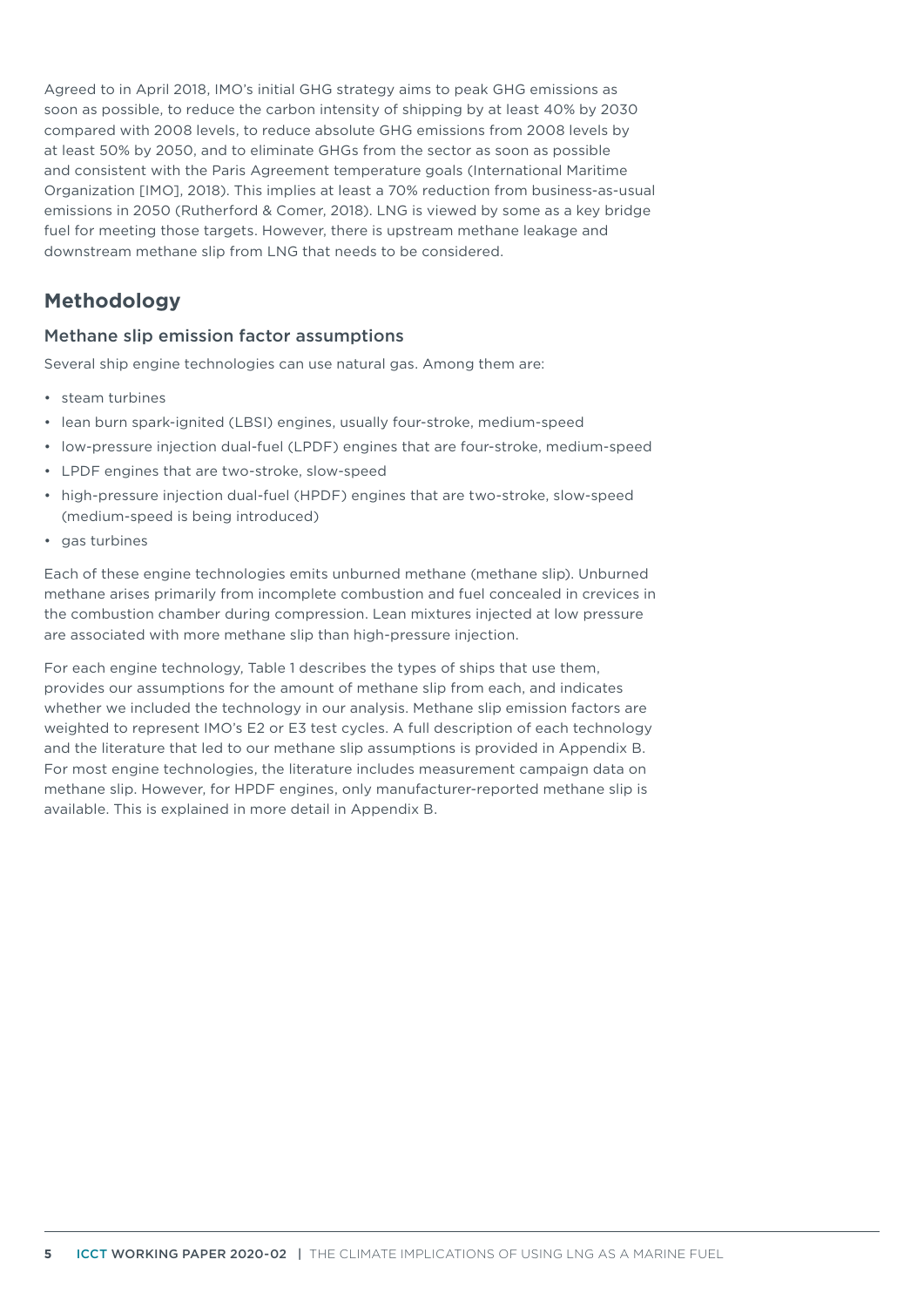Agreed to in April 2018, IMO's initial GHG strategy aims to peak GHG emissions as soon as possible, to reduce the carbon intensity of shipping by at least 40% by 2030 compared with 2008 levels, to reduce absolute GHG emissions from 2008 levels by at least 50% by 2050, and to eliminate GHGs from the sector as soon as possible and consistent with the Paris Agreement temperature goals (International Maritime Organization [IMO], 2018). This implies at least a 70% reduction from business-as-usual emissions in 2050 (Rutherford & Comer, 2018). LNG is viewed by some as a key bridge fuel for meeting those targets. However, there is upstream methane leakage and downstream methane slip from LNG that needs to be considered.

# **Methodology**

## Methane slip emission factor assumptions

Several ship engine technologies can use natural gas. Among them are:

- steam turbines
- lean burn spark-ignited (LBSI) engines, usually four-stroke, medium-speed
- low-pressure injection dual-fuel (LPDF) engines that are four-stroke, medium-speed
- LPDF engines that are two-stroke, slow-speed
- high-pressure injection dual-fuel (HPDF) engines that are two-stroke, slow-speed (medium-speed is being introduced)
- gas turbines

Each of these engine technologies emits unburned methane (methane slip). Unburned methane arises primarily from incomplete combustion and fuel concealed in crevices in the combustion chamber during compression. Lean mixtures injected at low pressure are associated with more methane slip than high-pressure injection.

For each engine technology, [Table 1](#page-5-0) describes the types of ships that use them, provides our assumptions for the amount of methane slip from each, and indicates whether we included the technology in our analysis. Methane slip emission factors are weighted to represent IMO's E2 or E3 test cycles. A full description of each technology and the literature that led to our methane slip assumptions is provided in Appendix B. For most engine technologies, the literature includes measurement campaign data on methane slip. However, for HPDF engines, only manufacturer-reported methane slip is available. This is explained in more detail in Appendix B.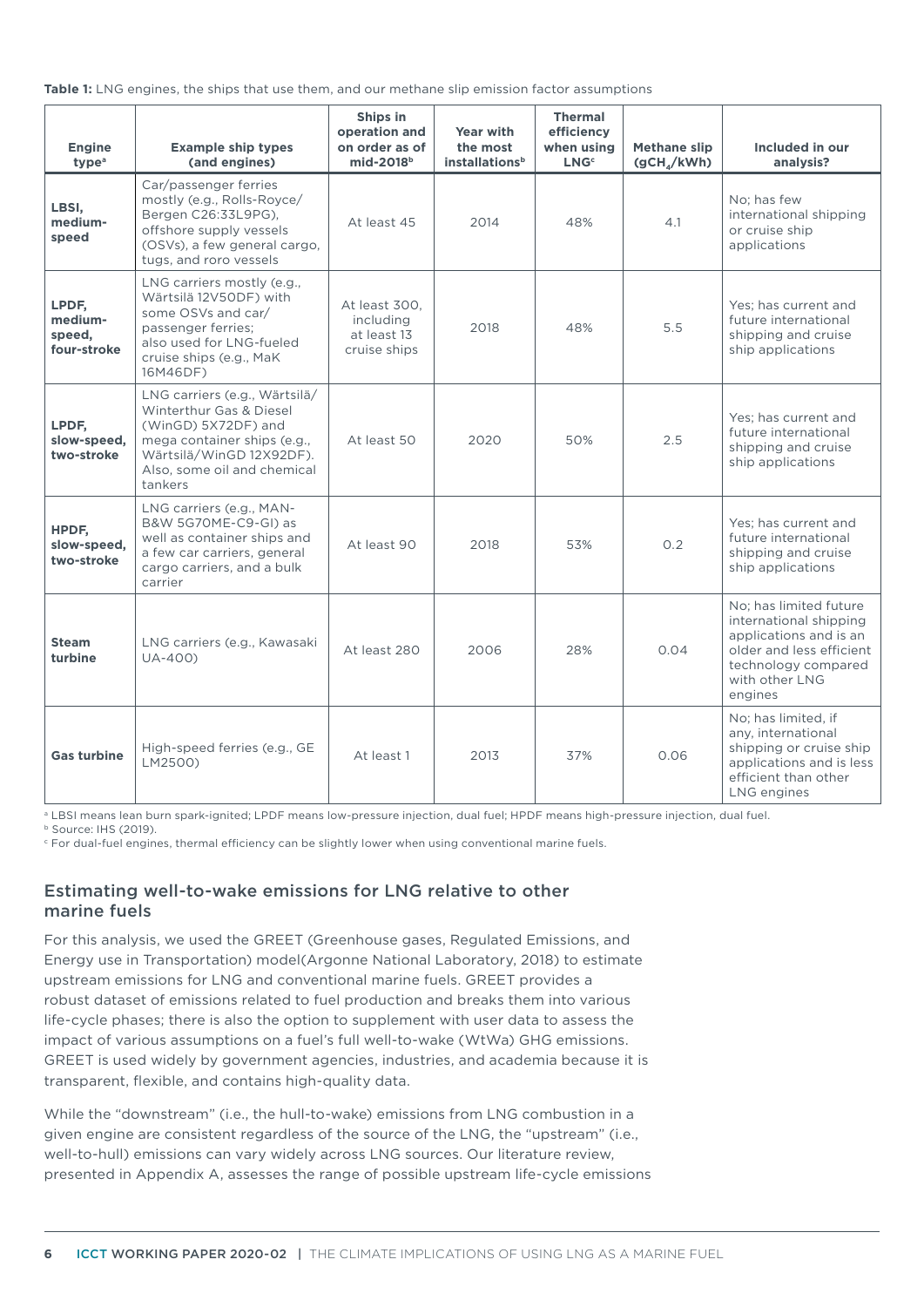<span id="page-5-0"></span>

|  |  |  |  |  | <b>Table 1:</b> LNG engines, the ships that use them, and our methane slip emission factor assumptions |
|--|--|--|--|--|--------------------------------------------------------------------------------------------------------|
|--|--|--|--|--|--------------------------------------------------------------------------------------------------------|

| <b>Engine</b><br>type <sup>a</sup>        | <b>Example ship types</b><br>(and engines)                                                                                                                                           | Ships in<br>operation and<br>on order as of<br>mid-2018 <sup>b</sup> | <b>Year with</b><br>the most<br><b>installations</b> <sup>b</sup> | <b>Thermal</b><br>efficiency<br>when using<br><b>LNG</b> <sup>c</sup> | <b>Methane slip</b><br>(gCH <sub>a</sub> /kWh) | Included in our<br>analysis?                                                                                                                               |
|-------------------------------------------|--------------------------------------------------------------------------------------------------------------------------------------------------------------------------------------|----------------------------------------------------------------------|-------------------------------------------------------------------|-----------------------------------------------------------------------|------------------------------------------------|------------------------------------------------------------------------------------------------------------------------------------------------------------|
| LBSI,<br>medium-<br>speed                 | Car/passenger ferries<br>mostly (e.g., Rolls-Royce/<br>Bergen C26:33L9PG),<br>offshore supply vessels<br>(OSVs), a few general cargo,<br>tugs, and roro vessels                      | At least 45                                                          | 2014                                                              | 48%                                                                   | 4.1                                            | No: has few<br>international shipping<br>or cruise ship<br>applications                                                                                    |
| LPDF,<br>medium-<br>speed.<br>four-stroke | LNG carriers mostly (e.g.,<br>Wärtsilä 12V50DF) with<br>some OSVs and car/<br>passenger ferries;<br>also used for LNG-fueled<br>cruise ships (e.g., MaK<br>16M46DF)                  | At least 300.<br>including<br>at least 13<br>cruise ships            | 2018                                                              | 48%                                                                   | 5.5                                            | Yes: has current and<br>future international<br>shipping and cruise<br>ship applications                                                                   |
| LPDF.<br>slow-speed,<br>two-stroke        | LNG carriers (e.g., Wärtsilä/<br>Winterthur Gas & Diesel<br>(WinGD) 5X72DF) and<br>mega container ships (e.g.,<br>Wärtsilä/WinGD 12X92DF).<br>Also, some oil and chemical<br>tankers | At least 50                                                          | 2020                                                              | 50%                                                                   | 2.5                                            | Yes: has current and<br>future international<br>shipping and cruise<br>ship applications                                                                   |
| HPDF,<br>slow-speed,<br>two-stroke        | LNG carriers (e.g., MAN-<br>B&W 5G70ME-C9-GI) as<br>well as container ships and<br>a few car carriers, general<br>cargo carriers, and a bulk<br>carrier                              | At least 90                                                          | 2018                                                              | 53%                                                                   | 0.2                                            | Yes; has current and<br>future international<br>shipping and cruise<br>ship applications                                                                   |
| <b>Steam</b><br>turbine                   | LNG carriers (e.g., Kawasaki<br>UA-400)                                                                                                                                              | At least 280                                                         | 2006                                                              | 28%                                                                   | 0.04                                           | No; has limited future<br>international shipping<br>applications and is an<br>older and less efficient<br>technology compared<br>with other LNG<br>engines |
| <b>Gas turbine</b>                        | High-speed ferries (e.g., GE<br>LM2500)                                                                                                                                              | At least 1                                                           | 2013                                                              | 37%                                                                   | 0.06                                           | No; has limited, if<br>any, international<br>shipping or cruise ship<br>applications and is less<br>efficient than other<br>LNG engines                    |

a LBSI means lean burn spark-ignited; LPDF means low-pressure injection, dual fuel; HPDF means high-pressure injection, dual fuel.

b Source: IHS (2019).

 $\mathop{\varepsilon}\nolimits$  For dual-fuel engines, thermal efficiency can be slightly lower when using conventional marine fuels.

## Estimating well-to-wake emissions for LNG relative to other marine fuels

For this analysis, we used the GREET (Greenhouse gases, Regulated Emissions, and Energy use in Transportation) model(Argonne National Laboratory, 2018) to estimate upstream emissions for LNG and conventional marine fuels. GREET provides a robust dataset of emissions related to fuel production and breaks them into various life-cycle phases; there is also the option to supplement with user data to assess the impact of various assumptions on a fuel's full well-to-wake (WtWa) GHG emissions. GREET is used widely by government agencies, industries, and academia because it is transparent, flexible, and contains high-quality data.

While the "downstream" (i.e., the hull-to-wake) emissions from LNG combustion in a given engine are consistent regardless of the source of the LNG, the "upstream" (i.e., well-to-hull) emissions can vary widely across LNG sources. Our literature review, presented in Appendix A, assesses the range of possible upstream life-cycle emissions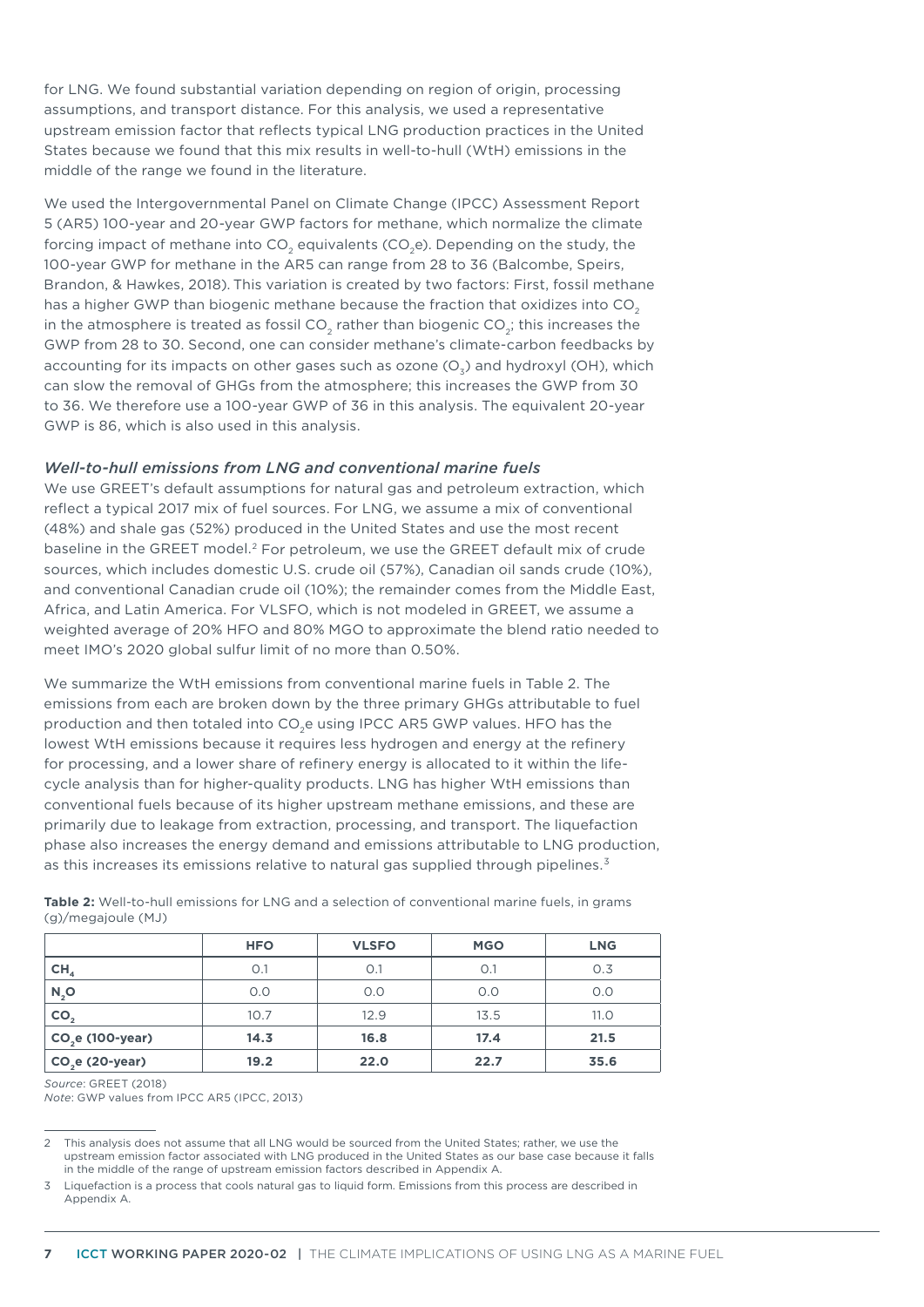for LNG. We found substantial variation depending on region of origin, processing assumptions, and transport distance. For this analysis, we used a representative upstream emission factor that reflects typical LNG production practices in the United States because we found that this mix results in well-to-hull (WtH) emissions in the middle of the range we found in the literature.

We used the Intergovernmental Panel on Climate Change (IPCC) Assessment Report 5 (AR5) 100-year and 20-year GWP factors for methane, which normalize the climate forcing impact of methane into  $CO$ , equivalents  $(CO, e)$ . Depending on the study, the 100-year GWP for methane in the AR5 can range from 28 to 36 (Balcombe, Speirs, Brandon, & Hawkes, 2018). This variation is created by two factors: First, fossil methane has a higher GWP than biogenic methane because the fraction that oxidizes into CO<sub>2</sub> in the atmosphere is treated as fossil CO<sub>2</sub> rather than biogenic CO<sub>2</sub>; this increases the GWP from 28 to 30. Second, one can consider methane's climate-carbon feedbacks by accounting for its impacts on other gases such as ozone  $(O_7)$  and hydroxyl (OH), which can slow the removal of GHGs from the atmosphere; this increases the GWP from 30 to 36. We therefore use a 100-year GWP of 36 in this analysis. The equivalent 20-year GWP is 86, which is also used in this analysis.

#### *Well-to-hull emissions from LNG and conventional marine fuels*

We use GREET's default assumptions for natural gas and petroleum extraction, which reflect a typical 2017 mix of fuel sources. For LNG, we assume a mix of conventional (48%) and shale gas (52%) produced in the United States and use the most recent baseline in the GREET model.2 For petroleum, we use the GREET default mix of crude sources, which includes domestic U.S. crude oil (57%), Canadian oil sands crude (10%), and conventional Canadian crude oil (10%); the remainder comes from the Middle East, Africa, and Latin America. For VLSFO, which is not modeled in GREET, we assume a weighted average of 20% HFO and 80% MGO to approximate the blend ratio needed to meet IMO's 2020 global sulfur limit of no more than 0.50%.

We summarize the WtH emissions from conventional marine fuels in Table 2. The emissions from each are broken down by the three primary GHGs attributable to fuel production and then totaled into CO<sub>2</sub>e using IPCC AR5 GWP values. HFO has the lowest WtH emissions because it requires less hydrogen and energy at the refinery for processing, and a lower share of refinery energy is allocated to it within the lifecycle analysis than for higher-quality products. LNG has higher WtH emissions than conventional fuels because of its higher upstream methane emissions, and these are primarily due to leakage from extraction, processing, and transport. The liquefaction phase also increases the energy demand and emissions attributable to LNG production, as this increases its emissions relative to natural gas supplied through pipelines.<sup>3</sup>

|                  | <b>HFO</b> | <b>VLSFO</b> | <b>MGO</b> | <b>LNG</b> |
|------------------|------------|--------------|------------|------------|
| CH <sub>4</sub>  | O.1        | O.1          | O.1        | O.3        |
| $N_2$ O          | O.O        | O.O          | O.O        | O.O        |
| CO <sub>2</sub>  | 10.7       | 12.9         | 13.5       | 11.0       |
| $CO2e(100-year)$ | 14.3       | 16.8         | 17.4       | 21.5       |
| $CO2e (2O-year)$ | 19.2       | 22.0         | 22.7       | 35.6       |

**Table 2:** Well-to-hull emissions for LNG and a selection of conventional marine fuels, in grams (g)/megajoule (MJ)

## *Source*: GREET (2018)

*Note*: GWP values from IPCC AR5 (IPCC, 2013)

<sup>2</sup> This analysis does not assume that all LNG would be sourced from the United States; rather, we use the upstream emission factor associated with LNG produced in the United States as our base case because it falls in the middle of the range of upstream emission factors described in Appendix A.

<sup>3</sup> Liquefaction is a process that cools natural gas to liquid form. Emissions from this process are described in Appendix A.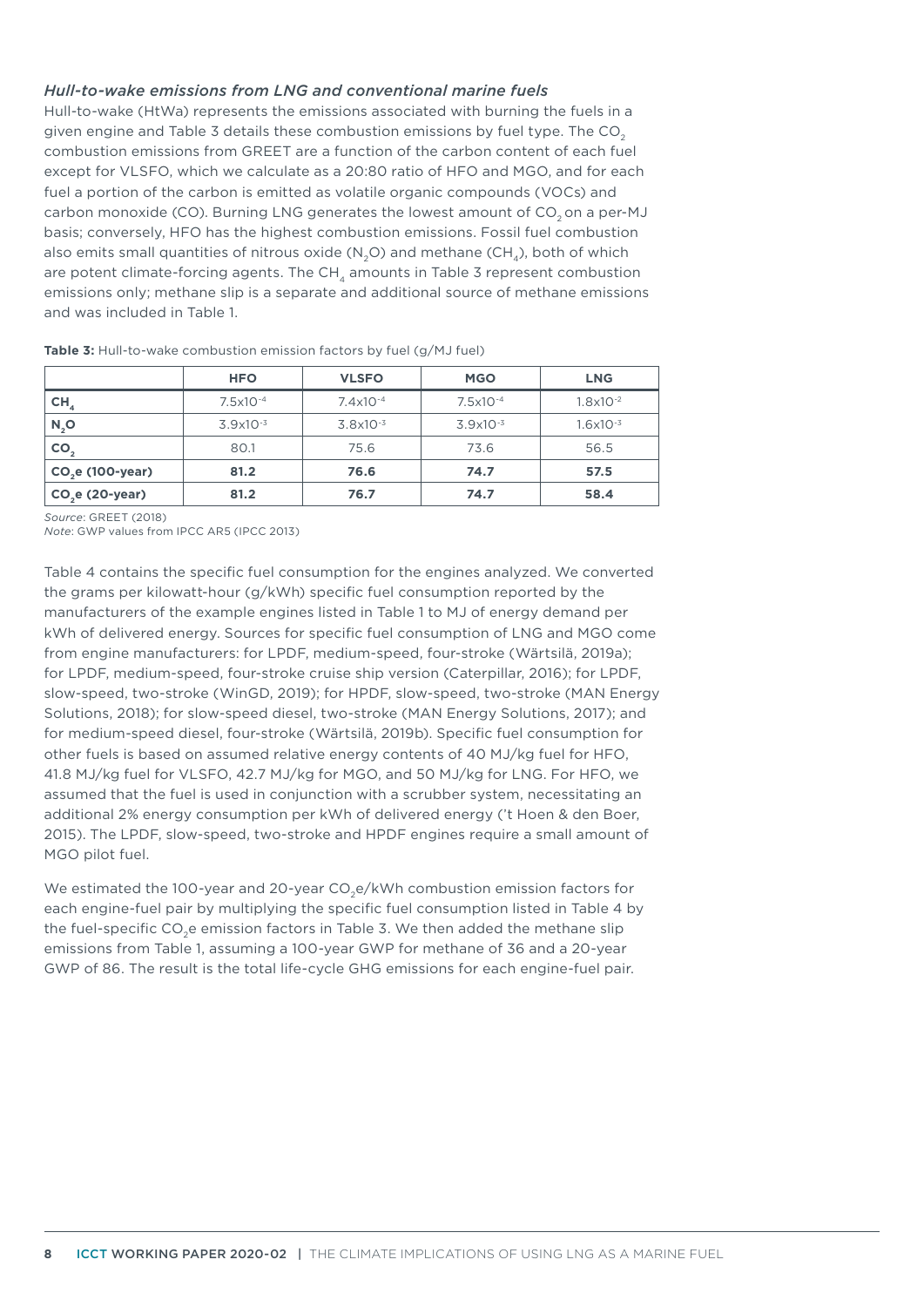#### *Hull-to-wake emissions from LNG and conventional marine fuels*

Hull-to-wake (HtWa) represents the emissions associated with burning the fuels in a given engine and [Table 3](#page-7-0) details these combustion emissions by fuel type. The  $CO<sub>2</sub>$ combustion emissions from GREET are a function of the carbon content of each fuel except for VLSFO, which we calculate as a 20:80 ratio of HFO and MGO, and for each fuel a portion of the carbon is emitted as volatile organic compounds (VOCs) and carbon monoxide (CO). Burning LNG generates the lowest amount of CO<sub>2</sub> on a per-MJ basis; conversely, HFO has the highest combustion emissions. Fossil fuel combustion also emits small quantities of nitrous oxide  $(N,Q)$  and methane  $(CH_A)$ , both of which are potent climate-forcing agents. The  $CH<sub>4</sub>$  amounts in [Table 3](#page-7-0) represent combustion emissions only; methane slip is a separate and additional source of methane emissions and was included in [Table 1](#page-5-0).

|                   | <b>HFO</b>    | <b>VLSFO</b>         | <b>MGO</b>           | <b>LNG</b>           |
|-------------------|---------------|----------------------|----------------------|----------------------|
| CH <sub>4</sub>   | $7.5x10^{-4}$ | $7.4 \times 10^{-4}$ | 7.5x10 <sup>-4</sup> | $1.8 \times 10^{-2}$ |
| $N_2$ O           | $3.9x10^{-3}$ | $3.8x10^{-3}$        | $3.9x10^{-3}$        | $1.6 \times 10^{-3}$ |
| CO <sub>2</sub>   | 80.1          | 75.6                 | 73.6                 | 56.5                 |
| $CO2e$ (100-year) | 81.2          | 76.6                 | 74.7                 | 57.5                 |
| $CO2e (20-year)$  | 81.2          | 76.7                 | 74.7                 | 58.4                 |

<span id="page-7-0"></span>**Table 3:** Hull-to-wake combustion emission factors by fuel (g/MJ fuel)

*Source*: GREET (2018)

*Note*: GWP values from IPCC AR5 (IPCC 2013)

[Table](#page-8-0) 4 contains the specific fuel consumption for the engines analyzed. We converted the grams per kilowatt-hour (g/kWh) specific fuel consumption reported by the manufacturers of the example engines listed in [Table 1](#page-5-0) to MJ of energy demand per kWh of delivered energy. Sources for specific fuel consumption of LNG and MGO come from engine manufacturers: for LPDF, medium-speed, four-stroke (Wärtsilä, 2019a); for LPDF, medium-speed, four-stroke cruise ship version (Caterpillar, 2016); for LPDF, slow-speed, two-stroke (WinGD, 2019); for HPDF, slow-speed, two-stroke (MAN Energy Solutions, 2018); for slow-speed diesel, two-stroke (MAN Energy Solutions, 2017); and for medium-speed diesel, four-stroke (Wärtsilä, 2019b). Specific fuel consumption for other fuels is based on assumed relative energy contents of 40 MJ/kg fuel for HFO, 41.8 MJ/kg fuel for VLSFO, 42.7 MJ/kg for MGO, and 50 MJ/kg for LNG. For HFO, we assumed that the fuel is used in conjunction with a scrubber system, necessitating an additional 2% energy consumption per kWh of delivered energy ('t Hoen & den Boer, 2015). The LPDF, slow-speed, two-stroke and HPDF engines require a small amount of MGO pilot fuel.

We estimated the 100-year and 20-year  $CO<sub>2</sub>e/kWh$  combustion emission factors for each engine-fuel pair by multiplying the specific fuel consumption listed in [Table](#page-8-0) 4 by the fuel-specific CO<sub>2</sub>e emission factors in [Table 3](#page-7-0). We then added the methane slip emissions from [Table](#page-5-0) 1, assuming a 100-year GWP for methane of 36 and a 20-year GWP of 86. The result is the total life-cycle GHG emissions for each engine-fuel pair.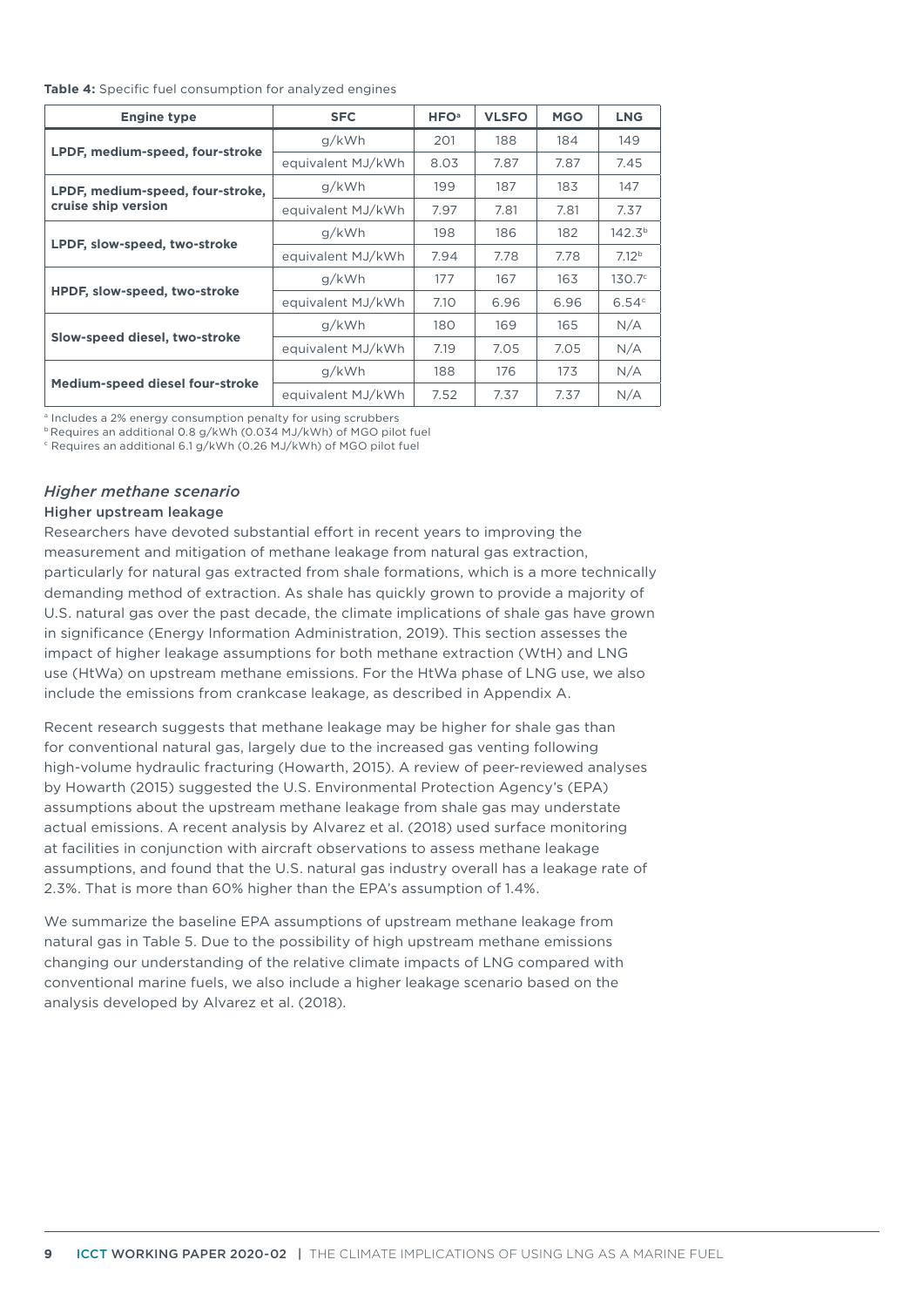#### <span id="page-8-0"></span>**Table 4:** Specific fuel consumption for analyzed engines

| <b>Engine type</b>               | <b>SFC</b>        | <b>HFO</b> <sup>a</sup> | <b>VLSFO</b> | <b>MGO</b> | <b>LNG</b>         |
|----------------------------------|-------------------|-------------------------|--------------|------------|--------------------|
|                                  | g/kWh             | 201                     | 188          | 184        | 149                |
| LPDF, medium-speed, four-stroke  | equivalent MJ/kWh | 8.03                    | 7.87         | 7.87       | 7.45               |
| LPDF, medium-speed, four-stroke, | g/kWh             | 199                     | 187          | 183        | 147                |
| cruise ship version              | equivalent MJ/kWh | 7.97                    | 7.81         | 7.81       | 7.37               |
|                                  | g/kWh             | 198                     | 186          | 182        | 142.3 <sup>b</sup> |
| LPDF, slow-speed, two-stroke     | equivalent MJ/kWh | 7.94                    | 7.78         | 7.78       | 7.12 <sup>b</sup>  |
|                                  | g/kWh             | 177                     | 167          | 163        | $130.7^\circ$      |
| HPDF, slow-speed, two-stroke     | equivalent MJ/kWh | 7.10                    | 6.96         | 6.96       | 6.54c              |
|                                  | g/kWh             | 180                     | 169          | 165        | N/A                |
| Slow-speed diesel, two-stroke    | equivalent MJ/kWh | 7.19                    | 7.05         | 7.05       | N/A                |
|                                  | q/kWh             | 188                     | 176          | 173        | N/A                |
| Medium-speed diesel four-stroke  | equivalent MJ/kWh | 7.52                    | 7.37         | 7.37       | N/A                |

a Includes a 2% energy consumption penalty for using scrubbers

b Requires an additional 0.8 g/kWh (0.034 MJ/kWh) of MGO pilot fuel

c Requires an additional 6.1 g/kWh (0.26 MJ/kWh) of MGO pilot fuel

#### *Higher methane scenario*

#### Higher upstream leakage

Researchers have devoted substantial effort in recent years to improving the measurement and mitigation of methane leakage from natural gas extraction, particularly for natural gas extracted from shale formations, which is a more technically demanding method of extraction. As shale has quickly grown to provide a majority of U.S. natural gas over the past decade, the climate implications of shale gas have grown in significance (Energy Information Administration, 2019). This section assesses the impact of higher leakage assumptions for both methane extraction (WtH) and LNG use (HtWa) on upstream methane emissions. For the HtWa phase of LNG use, we also include the emissions from crankcase leakage, as described in Appendix A.

Recent research suggests that methane leakage may be higher for shale gas than for conventional natural gas, largely due to the increased gas venting following high-volume hydraulic fracturing (Howarth, 2015). A review of peer-reviewed analyses by Howarth (2015) suggested the U.S. Environmental Protection Agency's (EPA) assumptions about the upstream methane leakage from shale gas may understate actual emissions. A recent analysis by Alvarez et al. (2018) used surface monitoring at facilities in conjunction with aircraft observations to assess methane leakage assumptions, and found that the U.S. natural gas industry overall has a leakage rate of 2.3%. That is more than 60% higher than the EPA's assumption of 1.4%.

We summarize the baseline EPA assumptions of upstream methane leakage from natural gas in Table 5. Due to the possibility of high upstream methane emissions changing our understanding of the relative climate impacts of LNG compared with conventional marine fuels, we also include a higher leakage scenario based on the analysis developed by Alvarez et al. (2018).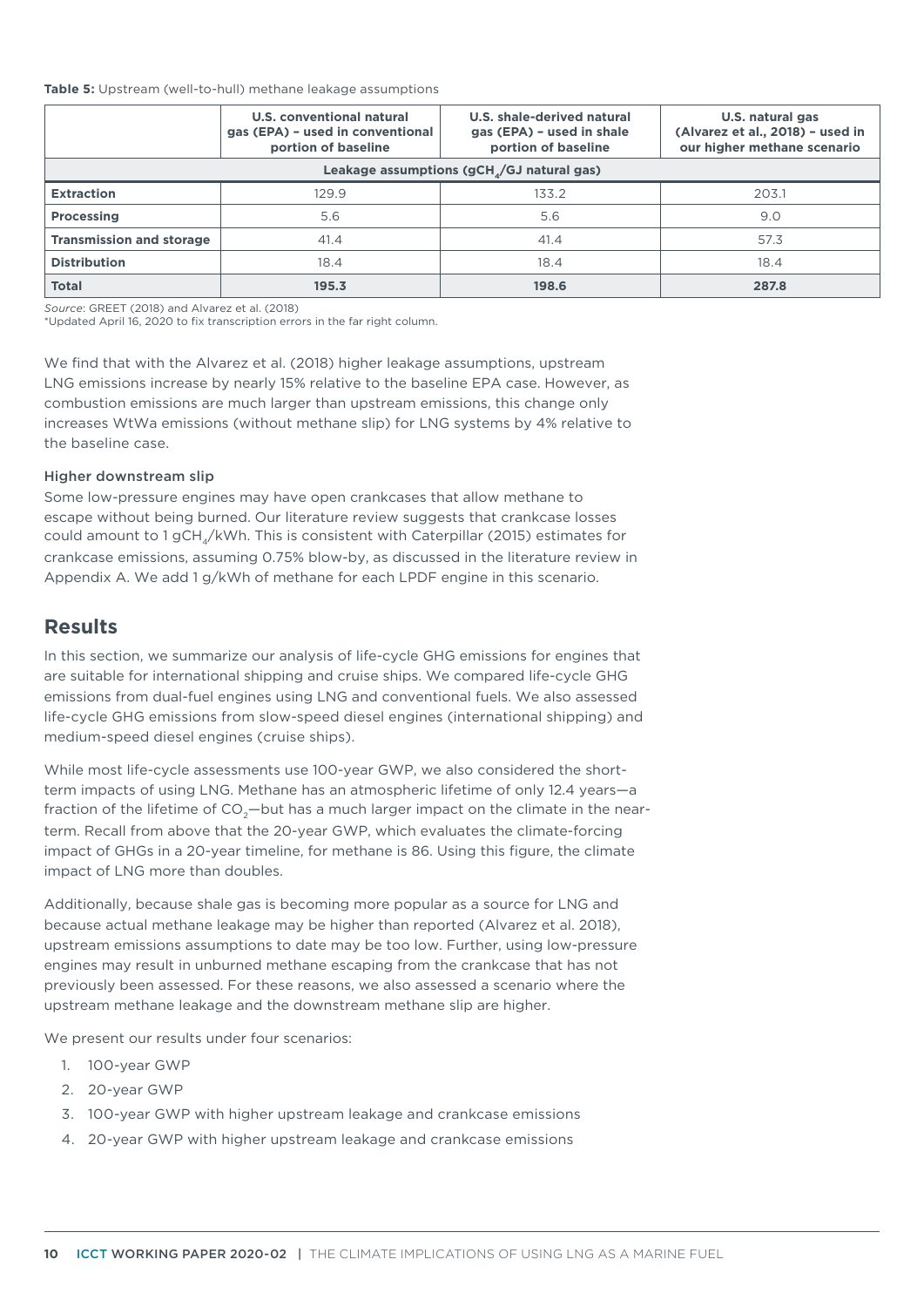#### **Table 5:** Upstream (well-to-hull) methane leakage assumptions

|                                 | U.S. conventional natural<br>gas (EPA) - used in conventional<br>portion of baseline | U.S. shale-derived natural<br>gas (EPA) - used in shale<br>portion of baseline | U.S. natural gas<br>(Alvarez et al., 2018) - used in<br>our higher methane scenario |
|---------------------------------|--------------------------------------------------------------------------------------|--------------------------------------------------------------------------------|-------------------------------------------------------------------------------------|
|                                 |                                                                                      | Leakage assumptions (gCH <sub>4</sub> /GJ natural gas)                         |                                                                                     |
| <b>Extraction</b>               | 129.9                                                                                | 133.2                                                                          | 203.1                                                                               |
| <b>Processing</b>               | 5.6                                                                                  | 5.6                                                                            | 9.0                                                                                 |
| <b>Transmission and storage</b> | 41.4                                                                                 | 41.4                                                                           | 57.3                                                                                |
| <b>Distribution</b>             | 18.4                                                                                 | 18.4                                                                           | 18.4                                                                                |
| <b>Total</b>                    | 195.3                                                                                | 198.6                                                                          | 287.8                                                                               |

*Source*: GREET (2018) and Alvarez et al. (2018)

\*Updated April 16, 2020 to fix transcription errors in the far right column.

We find that with the Alvarez et al. (2018) higher leakage assumptions, upstream LNG emissions increase by nearly 15% relative to the baseline EPA case. However, as combustion emissions are much larger than upstream emissions, this change only increases WtWa emissions (without methane slip) for LNG systems by 4% relative to the baseline case.

#### Higher downstream slip

Some low-pressure engines may have open crankcases that allow methane to escape without being burned. Our literature review suggests that crankcase losses could amount to 1 gCH $_{\rm q}$ /kWh. This is consistent with Caterpillar (2015) estimates for crankcase emissions, assuming 0.75% blow-by, as discussed in the literature review in Appendix A. We add 1 g/kWh of methane for each LPDF engine in this scenario.

## **Results**

In this section, we summarize our analysis of life-cycle GHG emissions for engines that are suitable for international shipping and cruise ships. We compared life-cycle GHG emissions from dual-fuel engines using LNG and conventional fuels. We also assessed life-cycle GHG emissions from slow-speed diesel engines (international shipping) and medium-speed diesel engines (cruise ships).

While most life-cycle assessments use 100-year GWP, we also considered the shortterm impacts of using LNG. Methane has an atmospheric lifetime of only 12.4 years—a fraction of the lifetime of  $CO<sub>2</sub>$  –but has a much larger impact on the climate in the nearterm. Recall from above that the 20-year GWP, which evaluates the climate-forcing impact of GHGs in a 20-year timeline, for methane is 86. Using this figure, the climate impact of LNG more than doubles.

Additionally, because shale gas is becoming more popular as a source for LNG and because actual methane leakage may be higher than reported (Alvarez et al. 2018), upstream emissions assumptions to date may be too low. Further, using low-pressure engines may result in unburned methane escaping from the crankcase that has not previously been assessed. For these reasons, we also assessed a scenario where the upstream methane leakage and the downstream methane slip are higher.

We present our results under four scenarios:

- 1. 100-year GWP
- 2. 20-year GWP
- 3. 100-year GWP with higher upstream leakage and crankcase emissions
- 4. 20-year GWP with higher upstream leakage and crankcase emissions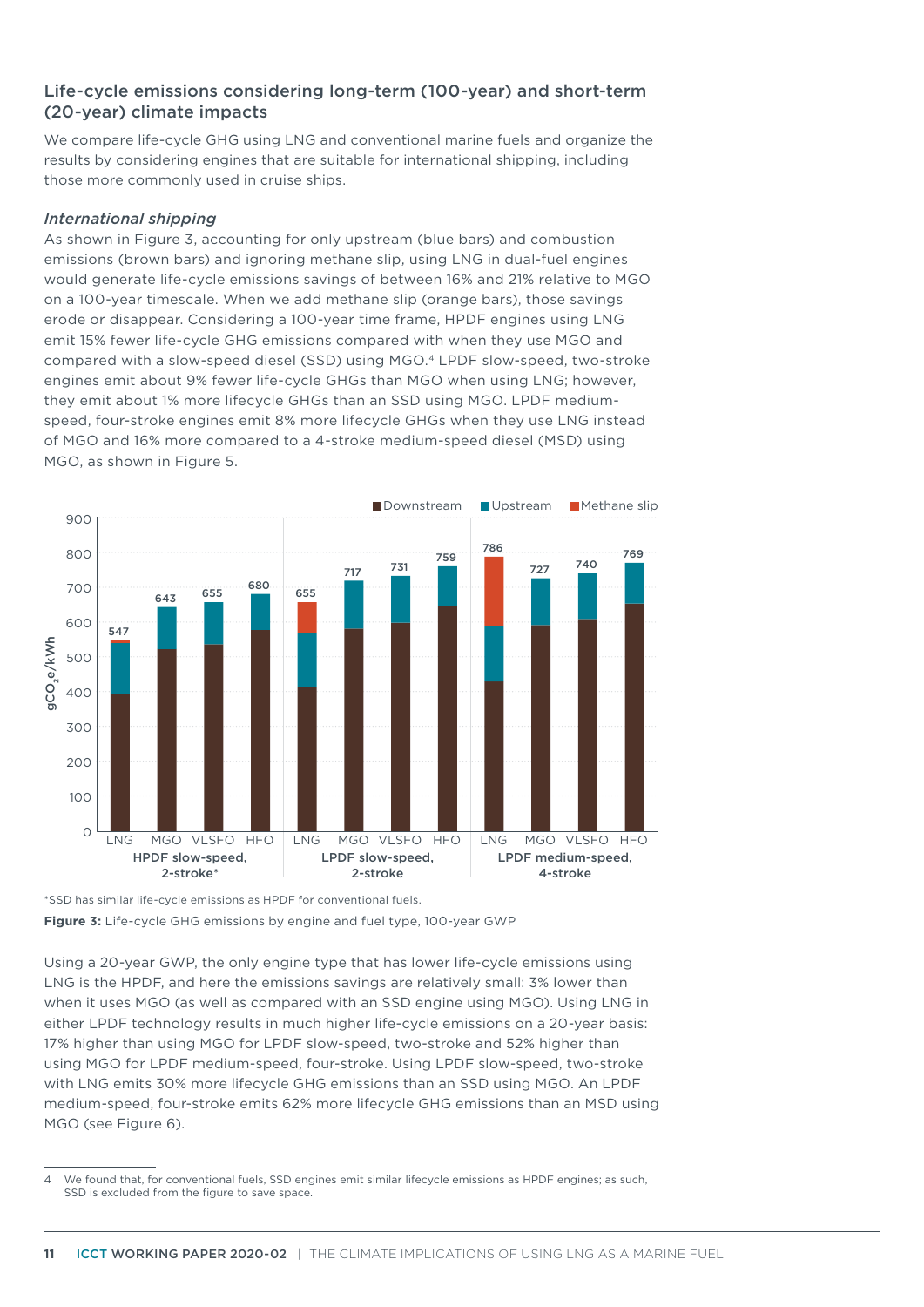## Life-cycle emissions considering long-term (100-year) and short-term (20-year) climate impacts

We compare life-cycle GHG using LNG and conventional marine fuels and organize the results by considering engines that are suitable for international shipping, including those more commonly used in cruise ships.

#### *International shipping*

As shown in [Figu](#page-10-0)re 3, accounting for only upstream (blue bars) and combustion emissions (brown bars) and ignoring methane slip, using LNG in dual-fuel engines would generate life-cycle emissions savings of between 16% and 21% relative to MGO on a 100-year timescale. When we add methane slip (orange bars), those savings erode or disappear. Considering a 100-year time frame, HPDF engines using LNG emit 15% fewer life-cycle GHG emissions compared with when they use MGO and compared with a slow-speed diesel (SSD) using MGO.4 LPDF slow-speed, two-stroke engines emit about 9% fewer life-cycle GHGs than MGO when using LNG; however, they emit about 1% more lifecycle GHGs than an SSD using MGO. LPDF mediumspeed, four-stroke engines emit 8% more lifecycle GHGs when they use LNG instead of MGO and 16% more compared to a 4-stroke medium-speed diesel (MSD) using MGO, as shown in [Figure](#page-12-0) 5.



<span id="page-10-0"></span><sup>\*</sup>SSD has similar life-cycle emissions as HPDF for conventional fuels. **Figure 3:** Life-cycle GHG emissions by engine and fuel type, 100-year GWP

Using a 20-year GWP, the only engine type that has lower life-cycle emissions using LNG is the HPDF, and here the emissions savings are relatively small: 3% lower than when it uses MGO (as well as compared with an SSD engine using MGO). Using LNG in either LPDF technology results in much higher life-cycle emissions on a 20-year basis: 17% higher than using MGO for LPDF slow-speed, two-stroke and 52% higher than using MGO for LPDF medium-speed, four-stroke. Using LPDF slow-speed, two-stroke with LNG emits 30% more lifecycle GHG emissions than an SSD using MGO. An LPDF medium-speed, four-stroke emits 62% more lifecycle GHG emissions than an MSD using MGO (see [Figure](#page-12-1) 6).

<sup>4</sup> We found that, for conventional fuels, SSD engines emit similar lifecycle emissions as HPDF engines; as such, SSD is excluded from the figure to save space.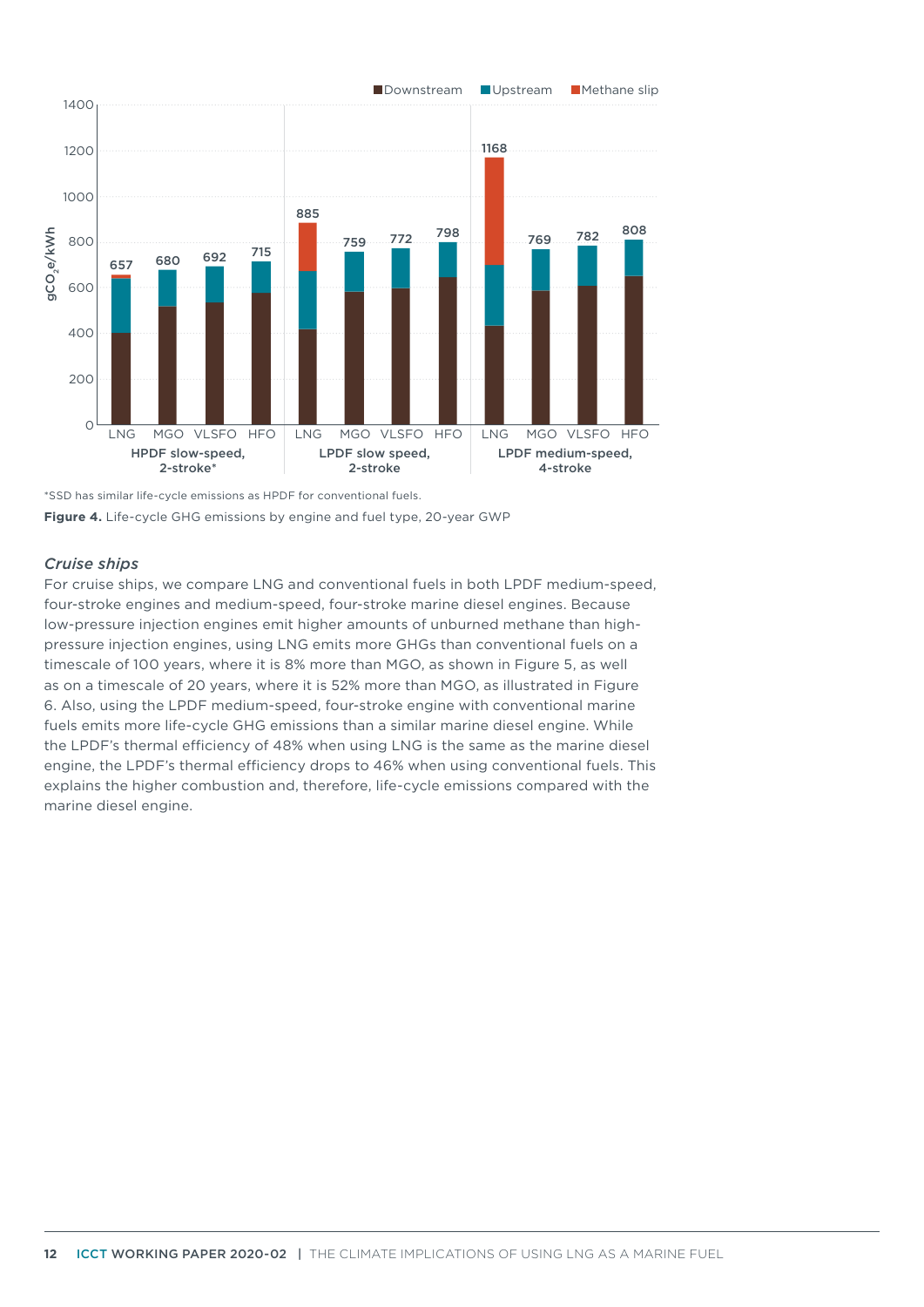

\*SSD has similar life-cycle emissions as HPDF for conventional fuels. **Figure 4.** Life-cycle GHG emissions by engine and fuel type, 20-year GWP

#### *Cruise ships*

For cruise ships, we compare LNG and conventional fuels in both LPDF medium-speed, four-stroke engines and medium-speed, four-stroke marine diesel engines. Because low-pressure injection engines emit higher amounts of unburned methane than highpressure injection engines, using LNG emits more GHGs than conventional fuels on a timescale of 100 years, where it is 8% more than MGO, as shown in [Figure](#page-12-0) 5, as well as on a timescale of 20 years, where it is 52% more than MGO, as illustrated in [Figure](#page-12-1)  6. Also, using the LPDF medium-speed, four-stroke engine with conventional marine fuels emits more life-cycle GHG emissions than a similar marine diesel engine. While the LPDF's thermal efficiency of 48% when using LNG is the same as the marine diesel engine, the LPDF's thermal efficiency drops to 46% when using conventional fuels. This explains the higher combustion and, therefore, life-cycle emissions compared with the marine diesel engine.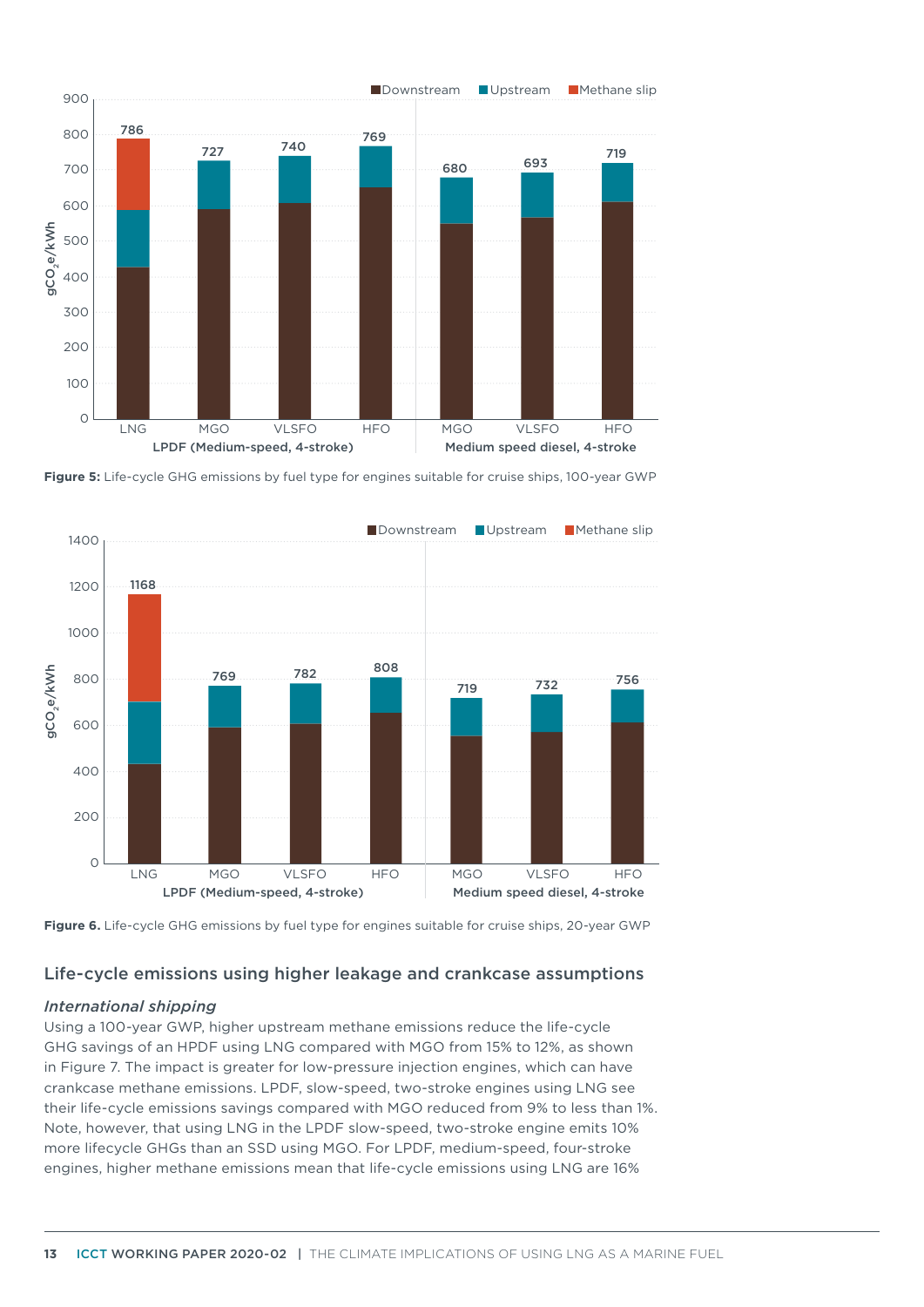

<span id="page-12-0"></span>**Figure 5:** Life-cycle GHG emissions by fuel type for engines suitable for cruise ships, 100-year GWP



<span id="page-12-1"></span>

# Life-cycle emissions using higher leakage and crankcase assumptions

## *International shipping*

Using a 100-year GWP, higher upstream methane emissions reduce the life-cycle GHG savings of an HPDF using LNG compared with MGO from 15% to 12%, as shown in [Figure 7](#page-13-0). The impact is greater for low-pressure injection engines, which can have crankcase methane emissions. LPDF, slow-speed, two-stroke engines using LNG see their life-cycle emissions savings compared with MGO reduced from 9% to less than 1%. Note, however, that using LNG in the LPDF slow-speed, two-stroke engine emits 10% more lifecycle GHGs than an SSD using MGO. For LPDF, medium-speed, four-stroke engines, higher methane emissions mean that life-cycle emissions using LNG are 16%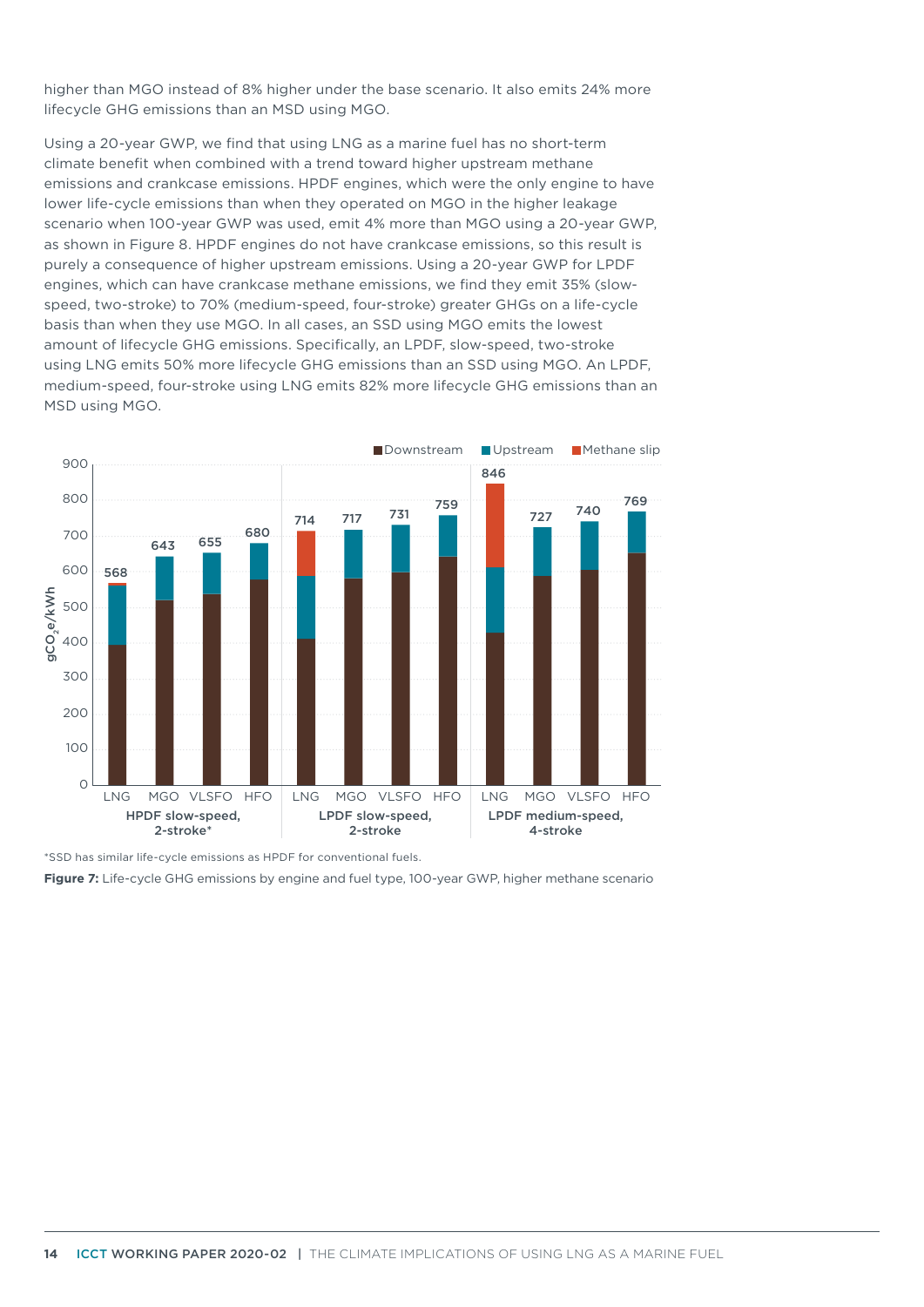higher than MGO instead of 8% higher under the base scenario. It also emits 24% more lifecycle GHG emissions than an MSD using MGO.

Using a 20-year GWP, we find that using LNG as a marine fuel has no short-term climate benefit when combined with a trend toward higher upstream methane emissions and crankcase emissions. HPDF engines, which were the only engine to have lower life-cycle emissions than when they operated on MGO in the higher leakage scenario when 100-year GWP was used, emit 4% more than MGO using a 20-year GWP, as shown in [Figure](#page-14-0) 8. HPDF engines do not have crankcase emissions, so this result is purely a consequence of higher upstream emissions. Using a 20-year GWP for LPDF engines, which can have crankcase methane emissions, we find they emit 35% (slowspeed, two-stroke) to 70% (medium-speed, four-stroke) greater GHGs on a life-cycle basis than when they use MGO. In all cases, an SSD using MGO emits the lowest amount of lifecycle GHG emissions. Specifically, an LPDF, slow-speed, two-stroke using LNG emits 50% more lifecycle GHG emissions than an SSD using MGO. An LPDF, medium-speed, four-stroke using LNG emits 82% more lifecycle GHG emissions than an MSD using MGO.



\*SSD has similar life-cycle emissions as HPDF for conventional fuels.

<span id="page-13-0"></span>**Figure 7:** Life-cycle GHG emissions by engine and fuel type, 100-year GWP, higher methane scenario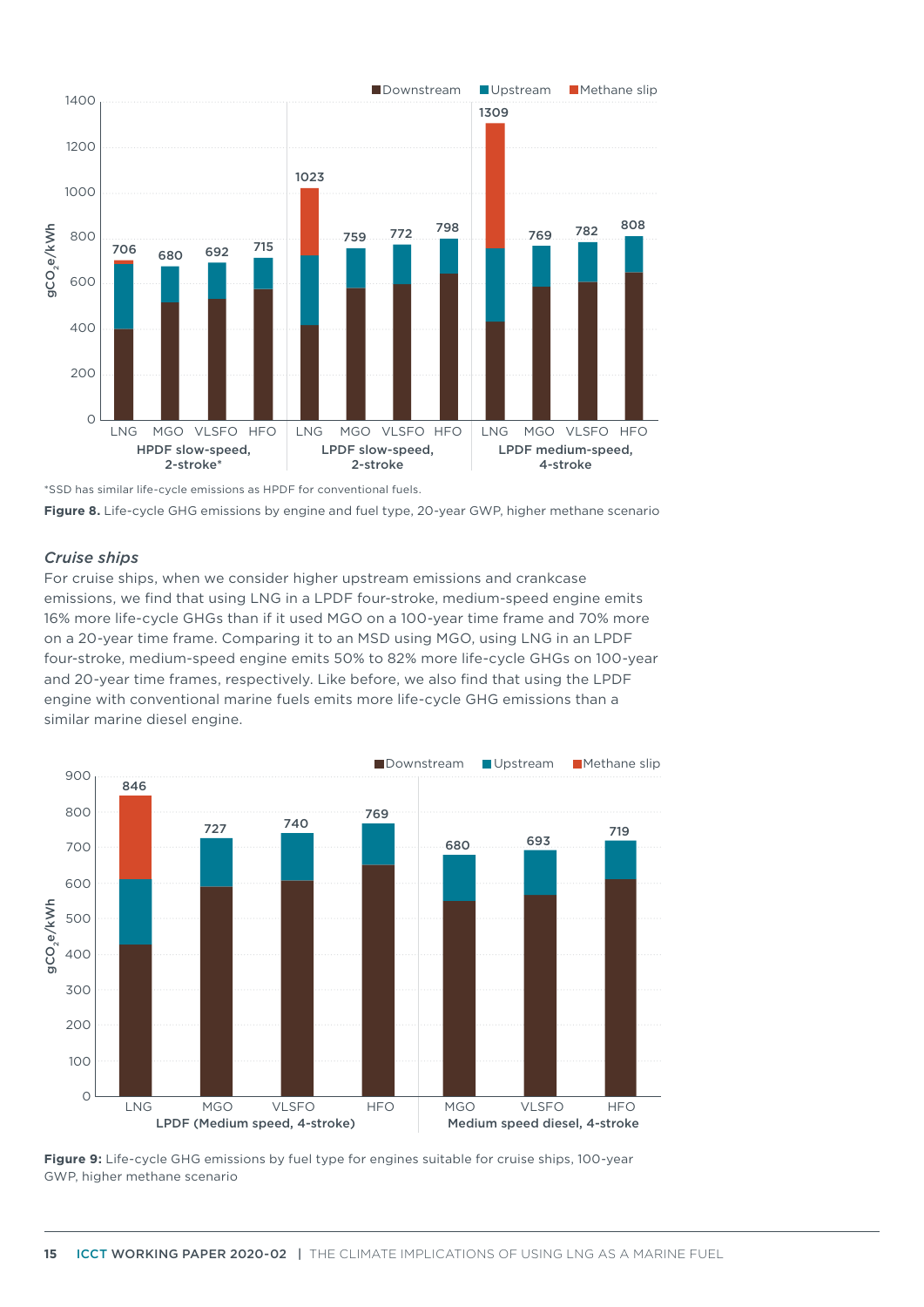

<sup>\*</sup>SSD has similar life-cycle emissions as HPDF for conventional fuels.

<span id="page-14-0"></span>

#### *Cruise ships*

For cruise ships, when we consider higher upstream emissions and crankcase emissions, we find that using LNG in a LPDF four-stroke, medium-speed engine emits 16% more life-cycle GHGs than if it used MGO on a 100-year time frame and 70% more on a 20-year time frame. Comparing it to an MSD using MGO, using LNG in an LPDF four-stroke, medium-speed engine emits 50% to 82% more life-cycle GHGs on 100-year and 20-year time frames, respectively. Like before, we also find that using the LPDF engine with conventional marine fuels emits more life-cycle GHG emissions than a similar marine diesel engine.



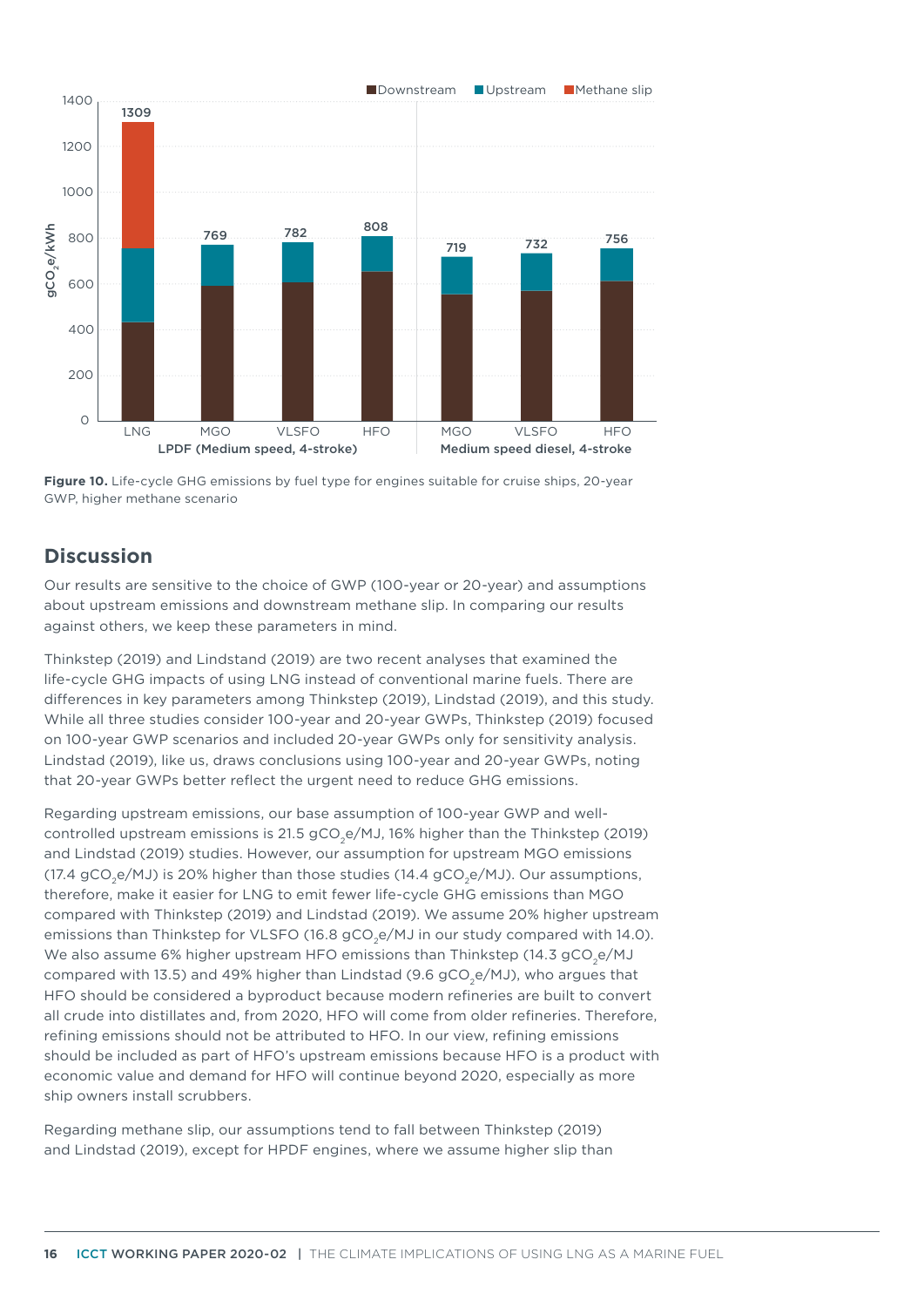



# **Discussion**

Our results are sensitive to the choice of GWP (100-year or 20-year) and assumptions about upstream emissions and downstream methane slip. In comparing our results against others, we keep these parameters in mind.

Thinkstep (2019) and Lindstand (2019) are two recent analyses that examined the life-cycle GHG impacts of using LNG instead of conventional marine fuels. There are differences in key parameters among Thinkstep (2019), Lindstad (2019), and this study. While all three studies consider 100-year and 20-year GWPs, Thinkstep (2019) focused on 100-year GWP scenarios and included 20-year GWPs only for sensitivity analysis. Lindstad (2019), like us, draws conclusions using 100-year and 20-year GWPs, noting that 20-year GWPs better reflect the urgent need to reduce GHG emissions.

Regarding upstream emissions, our base assumption of 100-year GWP and wellcontrolled upstream emissions is 21.5 gCO<sub>3</sub>e/MJ, 16% higher than the Thinkstep (2019) and Lindstad (2019) studies. However, our assumption for upstream MGO emissions (17.4 gCO<sub>2</sub>e/MJ) is 20% higher than those studies (14.4 gCO<sub>2</sub>e/MJ). Our assumptions, therefore, make it easier for LNG to emit fewer life-cycle GHG emissions than MGO compared with Thinkstep (2019) and Lindstad (2019). We assume 20% higher upstream emissions than Thinkstep for VLSFO (16.8 gCO<sub>2</sub>e/MJ in our study compared with 14.0). We also assume 6% higher upstream HFO emissions than Thinkstep (14.3 gCO<sub>2</sub>e/MJ compared with 13.5) and 49% higher than Lindstad (9.6  $gCO<sub>e</sub>/MJ$ ), who argues that HFO should be considered a byproduct because modern refineries are built to convert all crude into distillates and, from 2020, HFO will come from older refineries. Therefore, refining emissions should not be attributed to HFO. In our view, refining emissions should be included as part of HFO's upstream emissions because HFO is a product with economic value and demand for HFO will continue beyond 2020, especially as more ship owners install scrubbers.

Regarding methane slip, our assumptions tend to fall between Thinkstep (2019) and Lindstad (2019), except for HPDF engines, where we assume higher slip than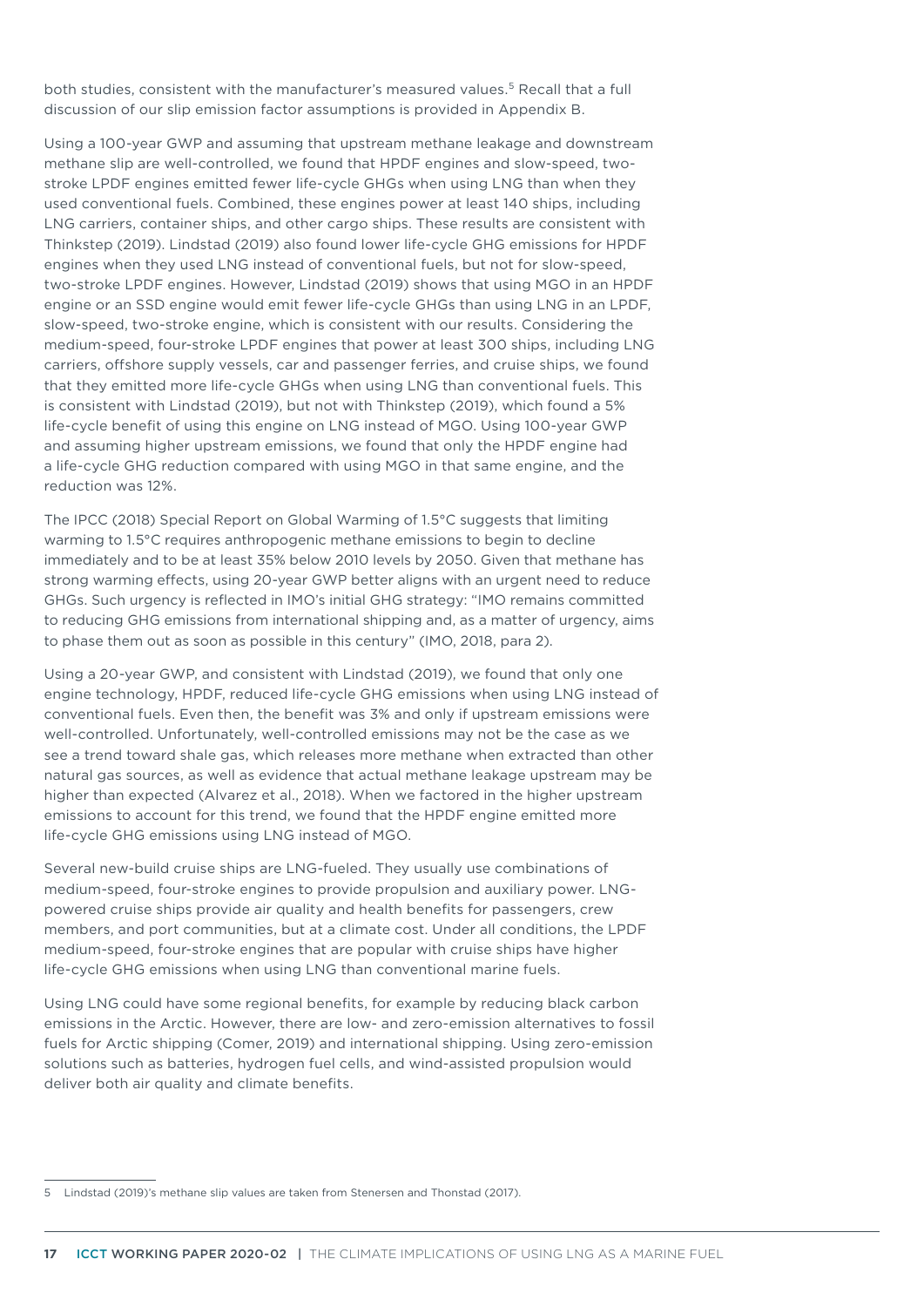both studies, consistent with the manufacturer's measured values.5 Recall that a full discussion of our slip emission factor assumptions is provided in Appendix B.

Using a 100-year GWP and assuming that upstream methane leakage and downstream methane slip are well-controlled, we found that HPDF engines and slow-speed, twostroke LPDF engines emitted fewer life-cycle GHGs when using LNG than when they used conventional fuels. Combined, these engines power at least 140 ships, including LNG carriers, container ships, and other cargo ships. These results are consistent with Thinkstep (2019). Lindstad (2019) also found lower life-cycle GHG emissions for HPDF engines when they used LNG instead of conventional fuels, but not for slow-speed, two-stroke LPDF engines. However, Lindstad (2019) shows that using MGO in an HPDF engine or an SSD engine would emit fewer life-cycle GHGs than using LNG in an LPDF, slow-speed, two-stroke engine, which is consistent with our results. Considering the medium-speed, four-stroke LPDF engines that power at least 300 ships, including LNG carriers, offshore supply vessels, car and passenger ferries, and cruise ships, we found that they emitted more life-cycle GHGs when using LNG than conventional fuels. This is consistent with Lindstad (2019), but not with Thinkstep (2019), which found a 5% life-cycle benefit of using this engine on LNG instead of MGO. Using 100-year GWP and assuming higher upstream emissions, we found that only the HPDF engine had a life-cycle GHG reduction compared with using MGO in that same engine, and the reduction was 12%.

The IPCC (2018) Special Report on Global Warming of 1.5°C suggests that limiting warming to 1.5°C requires anthropogenic methane emissions to begin to decline immediately and to be at least 35% below 2010 levels by 2050. Given that methane has strong warming effects, using 20-year GWP better aligns with an urgent need to reduce GHGs. Such urgency is reflected in IMO's initial GHG strategy: "IMO remains committed to reducing GHG emissions from international shipping and, as a matter of urgency, aims to phase them out as soon as possible in this century" (IMO, 2018, para 2).

Using a 20-year GWP, and consistent with Lindstad (2019), we found that only one engine technology, HPDF, reduced life-cycle GHG emissions when using LNG instead of conventional fuels. Even then, the benefit was 3% and only if upstream emissions were well-controlled. Unfortunately, well-controlled emissions may not be the case as we see a trend toward shale gas, which releases more methane when extracted than other natural gas sources, as well as evidence that actual methane leakage upstream may be higher than expected (Alvarez et al., 2018). When we factored in the higher upstream emissions to account for this trend, we found that the HPDF engine emitted more life-cycle GHG emissions using LNG instead of MGO.

Several new-build cruise ships are LNG-fueled. They usually use combinations of medium-speed, four-stroke engines to provide propulsion and auxiliary power. LNGpowered cruise ships provide air quality and health benefits for passengers, crew members, and port communities, but at a climate cost. Under all conditions, the LPDF medium-speed, four-stroke engines that are popular with cruise ships have higher life-cycle GHG emissions when using LNG than conventional marine fuels.

Using LNG could have some regional benefits, for example by reducing black carbon emissions in the Arctic. However, there are low- and zero-emission alternatives to fossil fuels for Arctic shipping (Comer, 2019) and international shipping. Using zero-emission solutions such as batteries, hydrogen fuel cells, and wind-assisted propulsion would deliver both air quality and climate benefits.

<sup>5</sup> Lindstad (2019)'s methane slip values are taken from Stenersen and Thonstad (2017).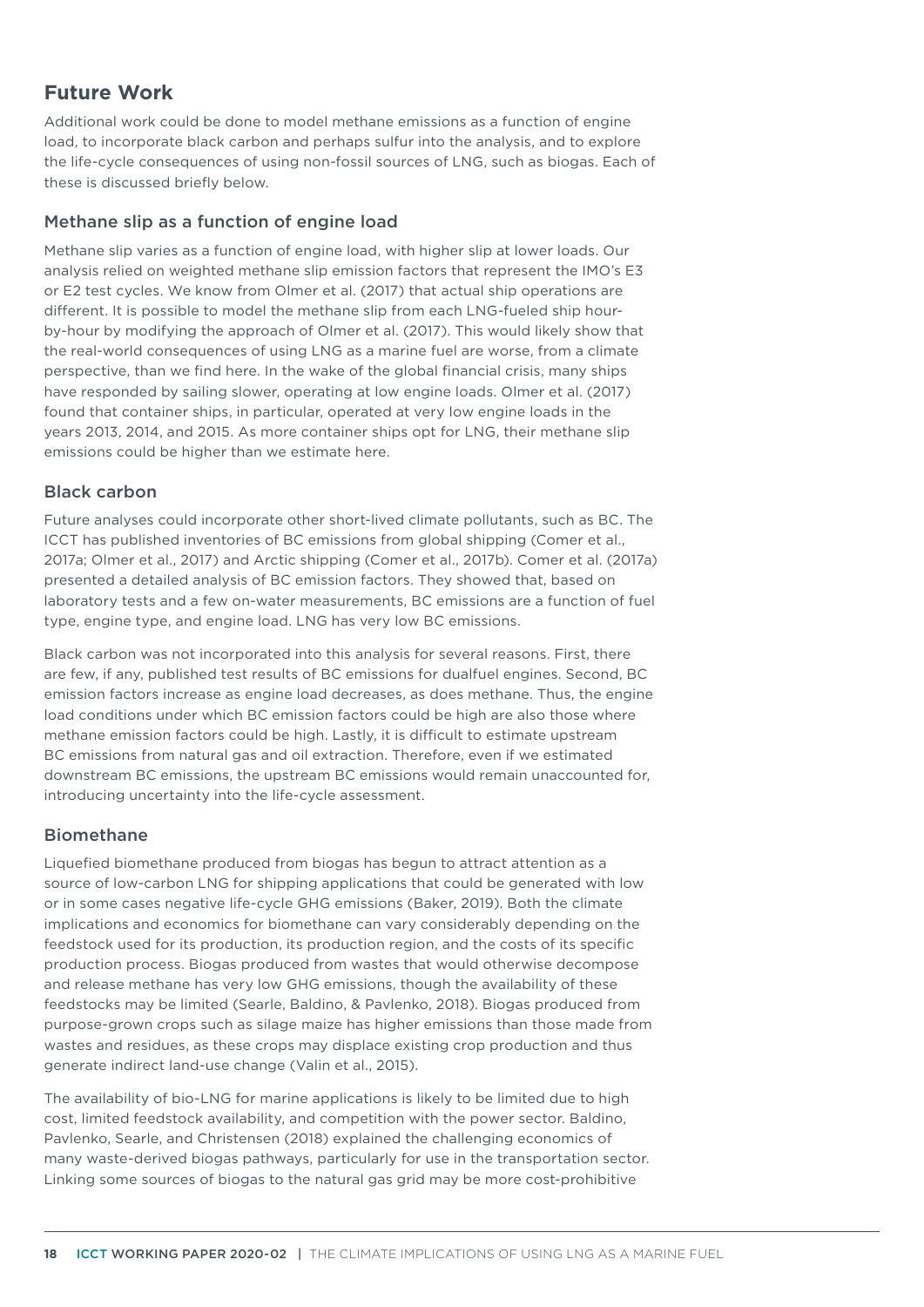# **Future Work**

Additional work could be done to model methane emissions as a function of engine load, to incorporate black carbon and perhaps sulfur into the analysis, and to explore the life-cycle consequences of using non-fossil sources of LNG, such as biogas. Each of these is discussed briefly below.

## Methane slip as a function of engine load

Methane slip varies as a function of engine load, with higher slip at lower loads. Our analysis relied on weighted methane slip emission factors that represent the IMO's E3 or E2 test cycles. We know from Olmer et al. (2017) that actual ship operations are different. It is possible to model the methane slip from each LNG-fueled ship hourby-hour by modifying the approach of Olmer et al. (2017). This would likely show that the real-world consequences of using LNG as a marine fuel are worse, from a climate perspective, than we find here. In the wake of the global financial crisis, many ships have responded by sailing slower, operating at low engine loads. Olmer et al. (2017) found that container ships, in particular, operated at very low engine loads in the years 2013, 2014, and 2015. As more container ships opt for LNG, their methane slip emissions could be higher than we estimate here.

## Black carbon

Future analyses could incorporate other short-lived climate pollutants, such as BC. The ICCT has published inventories of BC emissions from global shipping (Comer et al., 2017a; Olmer et al., 2017) and Arctic shipping (Comer et al., 2017b). Comer et al. (2017a) presented a detailed analysis of BC emission factors. They showed that, based on laboratory tests and a few on-water measurements, BC emissions are a function of fuel type, engine type, and engine load. LNG has very low BC emissions.

Black carbon was not incorporated into this analysis for several reasons. First, there are few, if any, published test results of BC emissions for dualfuel engines. Second, BC emission factors increase as engine load decreases, as does methane. Thus, the engine load conditions under which BC emission factors could be high are also those where methane emission factors could be high. Lastly, it is difficult to estimate upstream BC emissions from natural gas and oil extraction. Therefore, even if we estimated downstream BC emissions, the upstream BC emissions would remain unaccounted for, introducing uncertainty into the life-cycle assessment.

## Biomethane

Liquefied biomethane produced from biogas has begun to attract attention as a source of low-carbon LNG for shipping applications that could be generated with low or in some cases negative life-cycle GHG emissions (Baker, 2019). Both the climate implications and economics for biomethane can vary considerably depending on the feedstock used for its production, its production region, and the costs of its specific production process. Biogas produced from wastes that would otherwise decompose and release methane has very low GHG emissions, though the availability of these feedstocks may be limited (Searle, Baldino, & Pavlenko, 2018). Biogas produced from purpose-grown crops such as silage maize has higher emissions than those made from wastes and residues, as these crops may displace existing crop production and thus generate indirect land-use change (Valin et al., 2015).

The availability of bio-LNG for marine applications is likely to be limited due to high cost, limited feedstock availability, and competition with the power sector. Baldino, Pavlenko, Searle, and Christensen (2018) explained the challenging economics of many waste-derived biogas pathways, particularly for use in the transportation sector. Linking some sources of biogas to the natural gas grid may be more cost-prohibitive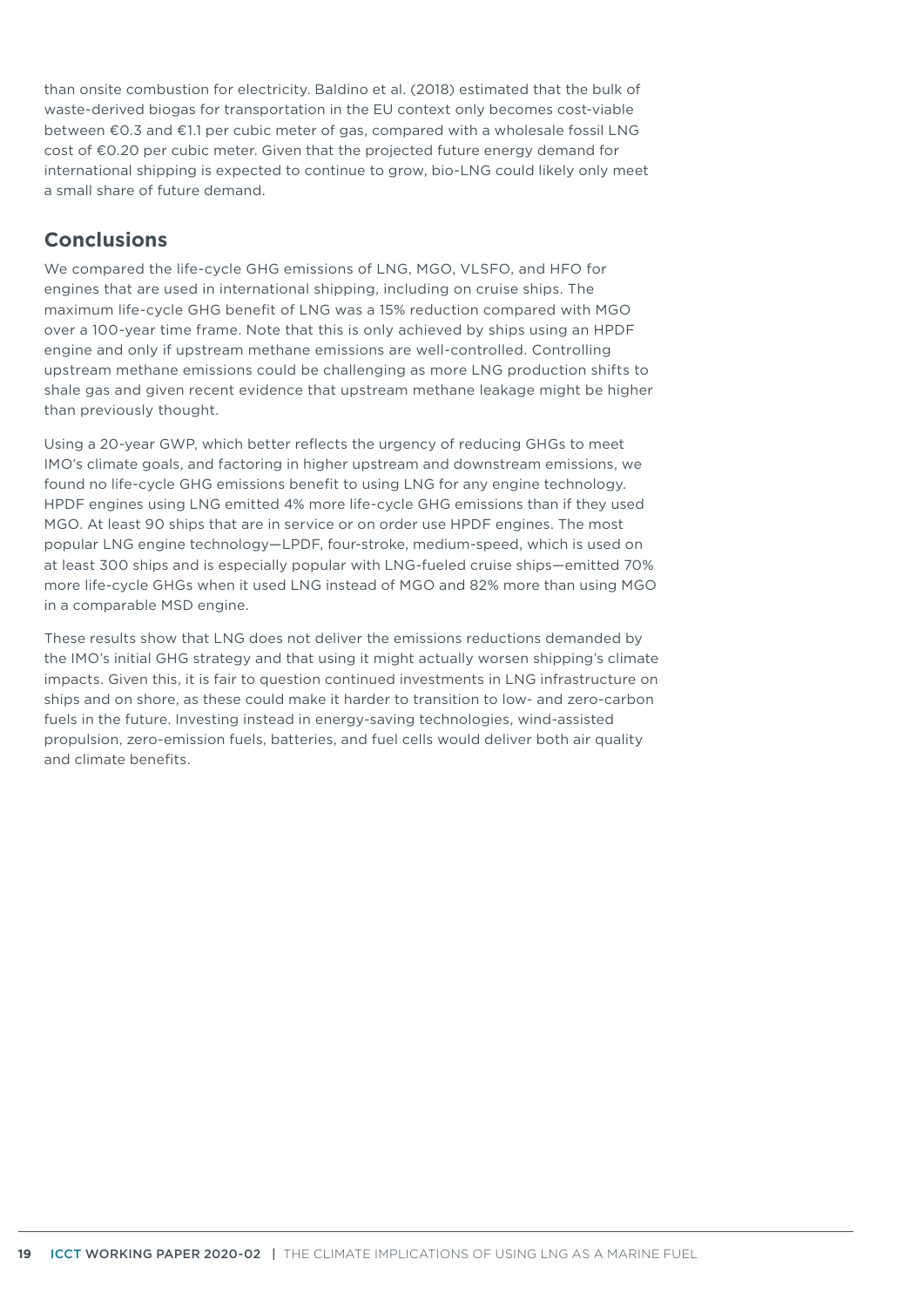than onsite combustion for electricity. Baldino et al. (2018) estimated that the bulk of waste-derived biogas for transportation in the EU context only becomes cost-viable between €0.3 and €1.1 per cubic meter of gas, compared with a wholesale fossil LNG cost of €0.20 per cubic meter. Given that the projected future energy demand for international shipping is expected to continue to grow, bio-LNG could likely only meet a small share of future demand.

# **Conclusions**

We compared the life-cycle GHG emissions of LNG, MGO, VLSFO, and HFO for engines that are used in international shipping, including on cruise ships. The maximum life-cycle GHG benefit of LNG was a 15% reduction compared with MGO over a 100-year time frame. Note that this is only achieved by ships using an HPDF engine and only if upstream methane emissions are well-controlled. Controlling upstream methane emissions could be challenging as more LNG production shifts to shale gas and given recent evidence that upstream methane leakage might be higher than previously thought.

Using a 20-year GWP, which better reflects the urgency of reducing GHGs to meet IMO's climate goals, and factoring in higher upstream and downstream emissions, we found no life-cycle GHG emissions benefit to using LNG for any engine technology. HPDF engines using LNG emitted 4% more life-cycle GHG emissions than if they used MGO. At least 90 ships that are in service or on order use HPDF engines. The most popular LNG engine technology—LPDF, four-stroke, medium-speed, which is used on at least 300 ships and is especially popular with LNG-fueled cruise ships—emitted 70% more life-cycle GHGs when it used LNG instead of MGO and 82% more than using MGO in a comparable MSD engine.

These results show that LNG does not deliver the emissions reductions demanded by the IMO's initial GHG strategy and that using it might actually worsen shipping's climate impacts. Given this, it is fair to question continued investments in LNG infrastructure on ships and on shore, as these could make it harder to transition to low- and zero-carbon fuels in the future. Investing instead in energy-saving technologies, wind-assisted propulsion, zero-emission fuels, batteries, and fuel cells would deliver both air quality and climate benefits.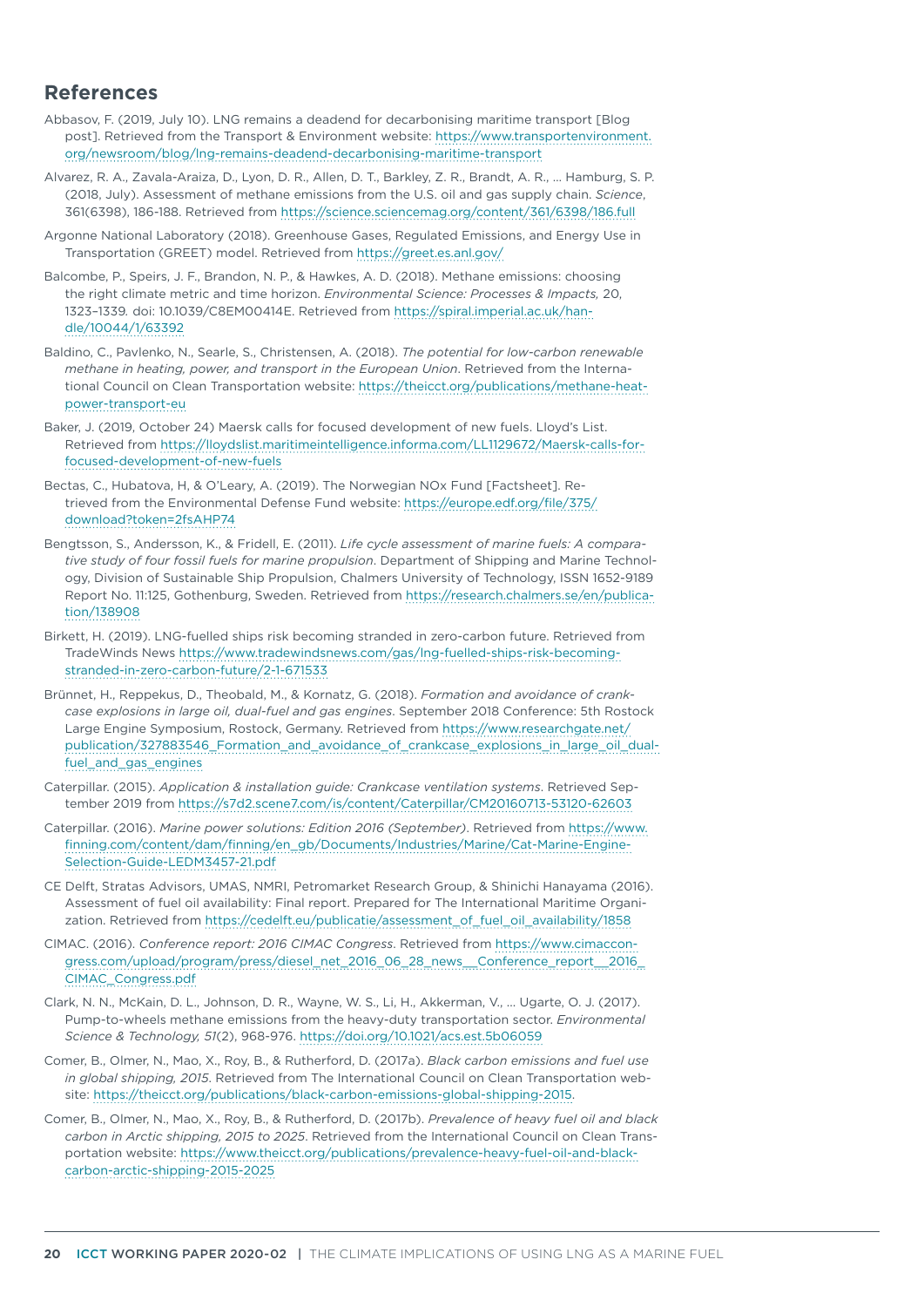## **References**

- Abbasov, F. (2019, July 10). LNG remains a deadend for decarbonising maritime transport [Blog post]. Retrieved from the Transport & Environment website: [https://www.transportenvironment.](https://www.transportenvironment.org/newsroom/blog/lng-remains-deadend-decarbonising-maritime-transport) [org/newsroom/blog/lng-remains-deadend-decarbonising-maritime-transport](https://www.transportenvironment.org/newsroom/blog/lng-remains-deadend-decarbonising-maritime-transport)
- Alvarez, R. A., Zavala-Araiza, D., Lyon, D. R., Allen, D. T., Barkley, Z. R., Brandt, A. R., … Hamburg, S. P. (2018, July). Assessment of methane emissions from the U.S. oil and gas supply chain. *Science*, 361(6398), 186-188. Retrieved from<https://science.sciencemag.org/content/361/6398/186.full>
- Argonne National Laboratory (2018). Greenhouse Gases, Regulated Emissions, and Energy Use in Transportation (GREET) model. Retrieved from<https://greet.es.anl.gov/>
- Balcombe, P., Speirs, J. F., Brandon, N. P., & Hawkes, A. D. (2018). Methane emissions: choosing the right climate metric and time horizon. *Environmental Science: Processes & Impacts,* 20, 1323–1339*.* doi: 10.1039/C8EM00414E. Retrieved from [https://spiral.imperial.ac.uk/han](https://spiral.imperial.ac.uk/handle/10044/1/63392)[dle/10044/1/63392](https://spiral.imperial.ac.uk/handle/10044/1/63392)
- Baldino, C., Pavlenko, N., Searle, S., Christensen, A. (2018). *The potential for low-carbon renewable methane in heating, power, and transport in the European Union*. Retrieved from the International Council on Clean Transportation website: [https://theicct.org/publications/methane-heat](https://theicct.org/publications/methane-heat-power-transport-eu)[power-transport-eu](https://theicct.org/publications/methane-heat-power-transport-eu)
- Baker, J. (2019, October 24) Maersk calls for focused development of new fuels. Lloyd's List. Retrieved from [https://lloydslist.maritimeintelligence.informa.com/LL1129672/Maersk-calls-for](https://lloydslist.maritimeintelligence.informa.com/LL1129672/Maersk-calls-for-focused-development-of-new-fuels)[focused-development-of-new-fuels](https://lloydslist.maritimeintelligence.informa.com/LL1129672/Maersk-calls-for-focused-development-of-new-fuels)
- Bectas, C., Hubatova, H, & O'Leary, A. (2019). The Norwegian NOx Fund [Factsheet]. Retrieved from the Environmental Defense Fund website: [https://europe.edf.org/file/375/](https://europe.edf.org/file/375/download?token=2fsAHP74) [download?token=2fsAHP74](https://europe.edf.org/file/375/download?token=2fsAHP74)
- Bengtsson, S., Andersson, K., & Fridell, E. (2011). *Life cycle assessment of marine fuels: A comparative study of four fossil fuels for marine propulsion*. Department of Shipping and Marine Technology, Division of Sustainable Ship Propulsion, Chalmers University of Technology, ISSN 1652-9189 Report No. 11:125, Gothenburg, Sweden. Retrieved from [https://research.chalmers.se/en/publica](https://research.chalmers.se/en/publication/138908)[tion/138908](https://research.chalmers.se/en/publication/138908)
- Birkett, H. (2019). LNG-fuelled ships risk becoming stranded in zero-carbon future. Retrieved from TradeWinds News [https://www.tradewindsnews.com/gas/lng-fuelled-ships-risk-becoming](https://www.tradewindsnews.com/gas/lng-fuelled-ships-risk-becoming-stranded-in-zero-carbon-future/2-1-671533)[stranded-in-zero-carbon-future/2-1-671533](https://www.tradewindsnews.com/gas/lng-fuelled-ships-risk-becoming-stranded-in-zero-carbon-future/2-1-671533)
- Brünnet, H., Reppekus, D., Theobald, M., & Kornatz, G. (2018). *Formation and avoidance of crankcase explosions in large oil, dual-fuel and gas engines*. September 2018 Conference: 5th Rostock Large Engine Symposium, Rostock, Germany. Retrieved from [https://www.researchgate.net/](https://www.researchgate.net/publication/327883546_Formation_and_avoidance_of_crankcase_explosions_in_large_oil_dual-fuel_and_gas_engines) [publication/327883546\\_Formation\\_and\\_avoidance\\_of\\_crankcase\\_explosions\\_in\\_large\\_oil\\_dual](https://www.researchgate.net/publication/327883546_Formation_and_avoidance_of_crankcase_explosions_in_large_oil_dual-fuel_and_gas_engines)[fuel\\_and\\_gas\\_engines](https://www.researchgate.net/publication/327883546_Formation_and_avoidance_of_crankcase_explosions_in_large_oil_dual-fuel_and_gas_engines)
- Caterpillar. (2015). *Application & installation guide: Crankcase ventilation systems*. Retrieved September 2019 from<https://s7d2.scene7.com/is/content/Caterpillar/CM20160713-53120-62603>
- Caterpillar. (2016). *Marine power solutions: Edition 2016 (September)*. Retrieved from [https://www.](https://www.finning.com/content/dam/finning/en_gb/Documents/Industries/Marine/Cat-Marine-Engine-Selection-Guide-LEDM3457-21.pdf) [finning.com/content/dam/finning/en\\_gb/Documents/Industries/Marine/Cat-Marine-Engine-](https://www.finning.com/content/dam/finning/en_gb/Documents/Industries/Marine/Cat-Marine-Engine-Selection-Guide-LEDM3457-21.pdf)[Selection-Guide-LEDM3457-21.pdf](https://www.finning.com/content/dam/finning/en_gb/Documents/Industries/Marine/Cat-Marine-Engine-Selection-Guide-LEDM3457-21.pdf)
- CE Delft, Stratas Advisors, UMAS, NMRI, Petromarket Research Group, & Shinichi Hanayama (2016). Assessment of fuel oil availability: Final report. Prepared for The International Maritime Organization. Retrieved from [https://cedelft.eu/publicatie/assessment\\_of\\_fuel\\_oil\\_availability/1858](https://cedelft.eu/publicatie/assessment_of_fuel_oil_availability/1858)
- CIMAC. (2016). *Conference report: 2016 CIMAC Congress*. Retrieved from [https://www.cimaccon](https://www.cimaccongress.com/upload/program/press/diesel_net_2016_06_28_news__Conference_report__2016_CIMAC_Congress.pdf)[gress.com/upload/program/press/diesel\\_net\\_2016\\_06\\_28\\_news\\_\\_Conference\\_report\\_\\_2016\\_](https://www.cimaccongress.com/upload/program/press/diesel_net_2016_06_28_news__Conference_report__2016_CIMAC_Congress.pdf) [CIMAC\\_Congress.pdf](https://www.cimaccongress.com/upload/program/press/diesel_net_2016_06_28_news__Conference_report__2016_CIMAC_Congress.pdf)
- Clark, N. N., McKain, D. L., Johnson, D. R., Wayne, W. S., Li, H., Akkerman, V., ... Ugarte, O. J. (2017). Pump-to-wheels methane emissions from the heavy-duty transportation sector. *Environmental Science & Technology, 51*(2), 968-976.<https://doi.org/10.1021/acs.est.5b06059>
- Comer, B., Olmer, N., Mao, X., Roy, B., & Rutherford, D. (2017a). *Black carbon emissions and fuel use in global shipping, 2015*. Retrieved from The International Council on Clean Transportation website: [https://theicct.org/publications/black-carbon-emissions-global-shipping-2015.](https://theicct.org/publications/black-carbon-emissions-global-shipping-2015)
- Comer, B., Olmer, N., Mao, X., Roy, B., & Rutherford, D. (2017b). *Prevalence of heavy fuel oil and black carbon in Arctic shipping, 2015 to 2025*. Retrieved from the International Council on Clean Transportation website: [https://www.theicct.org/publications/prevalence-heavy-fuel-oil-and-black](https://www.theicct.org/publications/prevalence-heavy-fuel-oil-and-black-carbon-arctic-shipping-2015-2025)[carbon-arctic-shipping-2015-2025](https://www.theicct.org/publications/prevalence-heavy-fuel-oil-and-black-carbon-arctic-shipping-2015-2025)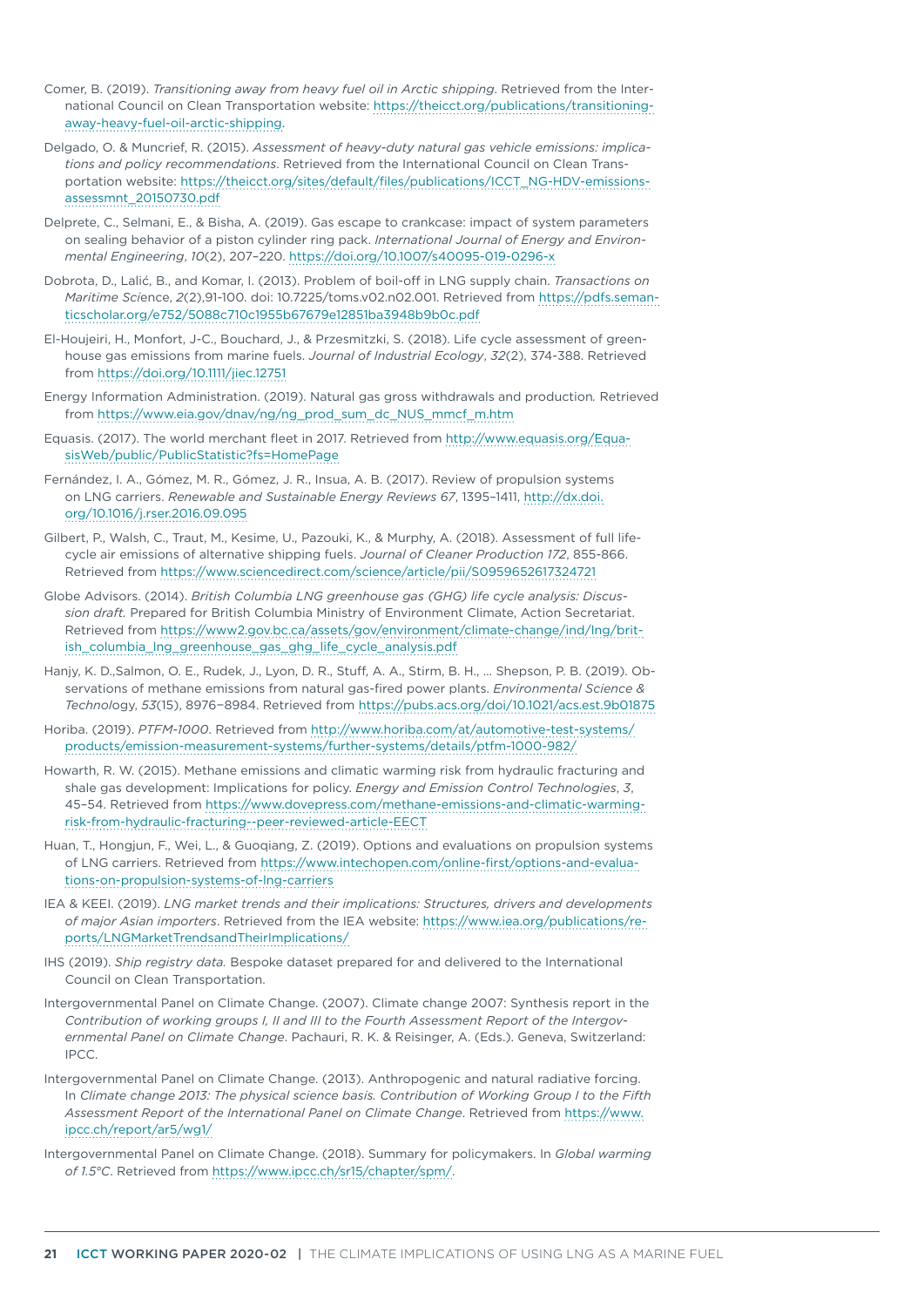- Comer, B. (2019). *Transitioning away from heavy fuel oil in Arctic shipping*. Retrieved from the International Council on Clean Transportation website: [https://theicct.org/publications/transitioning](https://theicct.org/publications/transitioning-away-heavy-fuel-oil-arctic-shipping)[away-heavy-fuel-oil-arctic-shipping.](https://theicct.org/publications/transitioning-away-heavy-fuel-oil-arctic-shipping)
- Delgado, O. & Muncrief, R. (2015). *Assessment of heavy-duty natural gas vehicle emissions: implications and policy recommendations*. Retrieved from the International Council on Clean Transportation website: [https://theicct.org/sites/default/files/publications/ICCT\\_NG-HDV-emissions](https://theicct.org/sites/default/files/publications/ICCT_NG-HDV-emissions-assessmnt_20150730.pdf)[assessmnt\\_20150730.pdf](https://theicct.org/sites/default/files/publications/ICCT_NG-HDV-emissions-assessmnt_20150730.pdf)
- Delprete, C., Selmani, E., & Bisha, A. (2019). Gas escape to crankcase: impact of system parameters on sealing behavior of a piston cylinder ring pack. *International Journal of Energy and Environmental Engineering*, *10*(2), 207–220.<https://doi.org/10.1007/s40095-019-0296-x>
- Dobrota, D., Lalić, B., and Komar, I. (2013). Problem of boil-off in LNG supply chain. *Transactions on Maritime Sci*ence, *2*(2),91-100. doi: 10.7225/toms.v02.n02.001. Retrieved from [https://pdfs.seman](https://pdfs.semanticscholar.org/e752/5088c710c1955b67679e12851ba3948b9b0c.pdf)[ticscholar.org/e752/5088c710c1955b67679e12851ba3948b9b0c.pdf](https://pdfs.semanticscholar.org/e752/5088c710c1955b67679e12851ba3948b9b0c.pdf)
- El-Houjeiri, H., Monfort, J-C., Bouchard, J., & Przesmitzki, S. (2018). Life cycle assessment of greenhouse gas emissions from marine fuels. *Journal of Industrial Ecology*, *32*(2), 374-388. Retrieved from <https://doi.org/10.1111/jiec.12751>
- Energy Information Administration. (2019). Natural gas gross withdrawals and production*.* Retrieved from [https://www.eia.gov/dnav/ng/ng\\_prod\\_sum\\_dc\\_NUS\\_mmcf\\_m.htm](https://www.eia.gov/dnav/ng/ng_prod_sum_dc_NUS_mmcf_m.htm)
- Equasis. (2017). The world merchant fleet in 2017. Retrieved from [http://www.equasis.org/Equa](http://www.equasis.org/EquasisWeb/public/PublicStatistic?fs=HomePage)[sisWeb/public/PublicStatistic?fs=HomePage](http://www.equasis.org/EquasisWeb/public/PublicStatistic?fs=HomePage)
- Fernández, I. A., Gómez, M. R., Gómez, J. R., Insua, A. B. (2017). Review of propulsion systems on LNG carriers. *Renewable and Sustainable Energy Reviews 67*, 1395–1411, [http://dx.doi.](http://dx.doi.org/10.1016/j.rser.2016.09.095) [org/10.1016/j.rser.2016.09.095](http://dx.doi.org/10.1016/j.rser.2016.09.095)
- Gilbert, P., Walsh, C., Traut, M., Kesime, U., Pazouki, K., & Murphy, A. (2018). Assessment of full lifecycle air emissions of alternative shipping fuels. *Journal of Cleaner Production 172*, 855-866. Retrieved from https://www.sciencedirect.com/science/article/pii/S0959652617324721
- Globe Advisors. (2014). *British Columbia LNG greenhouse gas (GHG) life cycle analysis: Discussion draft.* Prepared for British Columbia Ministry of Environment Climate, Action Secretariat. Retrieved from [https://www2.gov.bc.ca/assets/gov/environment/climate-change/ind/lng/brit](https://www2.gov.bc.ca/assets/gov/environment/climate-change/ind/lng/british_columbia_lng_greenhouse_gas_ghg_life_cycle_analysis.pdf)[ish\\_columbia\\_lng\\_greenhouse\\_gas\\_ghg\\_life\\_cycle\\_analysis.pdf](https://www2.gov.bc.ca/assets/gov/environment/climate-change/ind/lng/british_columbia_lng_greenhouse_gas_ghg_life_cycle_analysis.pdf)
- Hanjy, K. D.,Salmon, O. E., Rudek, J., Lyon, D. R., Stuff, A. A., Stirm, B. H., … Shepson, P. B. (2019). Observations of methane emissions from natural gas-fired power plants. *Environmental Science & Technol*ogy, *53*(15), 8976−8984. Retrieved from<https://pubs.acs.org/doi/10.1021/acs.est.9b01875>
- Horiba. (2019). *PTFM-1000*. Retrieved from [http://www.horiba.com/at/automotive-test-systems/](http://www.horiba.com/at/automotive-test-systems/products/emission-measurement-systems/further-systems/details/ptfm-1000-982/) [products/emission-measurement-systems/further-systems/details/ptfm-1000-982/](http://www.horiba.com/at/automotive-test-systems/products/emission-measurement-systems/further-systems/details/ptfm-1000-982/)
- Howarth, R. W. (2015). Methane emissions and climatic warming risk from hydraulic fracturing and shale gas development: Implications for policy. *Energy and Emission Control Technologies*, *3*, 45–54. Retrieved from [https://www.dovepress.com/methane-emissions-and-climatic-warming](https://www.dovepress.com/methane-emissions-and-climatic-warming-risk-from-hydraulic-fracturing--peer-reviewed-article-EECT)[risk-from-hydraulic-fracturing--peer-reviewed-article-EECT](https://www.dovepress.com/methane-emissions-and-climatic-warming-risk-from-hydraulic-fracturing--peer-reviewed-article-EECT)
- Huan, T., Hongjun, F., Wei, L., & Guoqiang, Z. (2019). Options and evaluations on propulsion systems of LNG carriers. Retrieved from [https://www.intechopen.com/online-first/options-and-evalua](https://www.intechopen.com/online-first/options-and-evaluations-on-propulsion-systems-of-lng-carriers)[tions-on-propulsion-systems-of-lng-carriers](https://www.intechopen.com/online-first/options-and-evaluations-on-propulsion-systems-of-lng-carriers)
- IEA & KEEI. (2019). *LNG market trends and their implications: Structures, drivers and developments of major Asian importers*. Retrieved from the IEA website: [https://www.iea.org/publications/re](https://www.iea.org/publications/reports/LNGMarketTrendsandTheirImplications/)[ports/LNGMarketTrendsandTheirImplications/](https://www.iea.org/publications/reports/LNGMarketTrendsandTheirImplications/)
- IHS (2019). *Ship registry data.* Bespoke dataset prepared for and delivered to the International Council on Clean Transportation.
- Intergovernmental Panel on Climate Change. (2007). Climate change 2007: Synthesis report in the *Contribution of working groups I, II and III to the Fourth Assessment Report of the Intergovernmental Panel on Climate Change*. Pachauri, R. K. & Reisinger, A. (Eds.). Geneva, Switzerland: IPCC.
- Intergovernmental Panel on Climate Change. (2013). Anthropogenic and natural radiative forcing. In *Climate change 2013: The physical science basis. Contribution of Working Group I to the Fifth Assessment Report of the International Panel on Climate Change*. Retrieved from [https://www.](https://www.ipcc.ch/report/ar5/wg1/) [ipcc.ch/report/ar5/wg1/](https://www.ipcc.ch/report/ar5/wg1/)
- Intergovernmental Panel on Climate Change. (2018). Summary for policymakers. In *Global warming of 1.5°C*. Retrieved from <https://www.ipcc.ch/sr15/chapter/spm/>.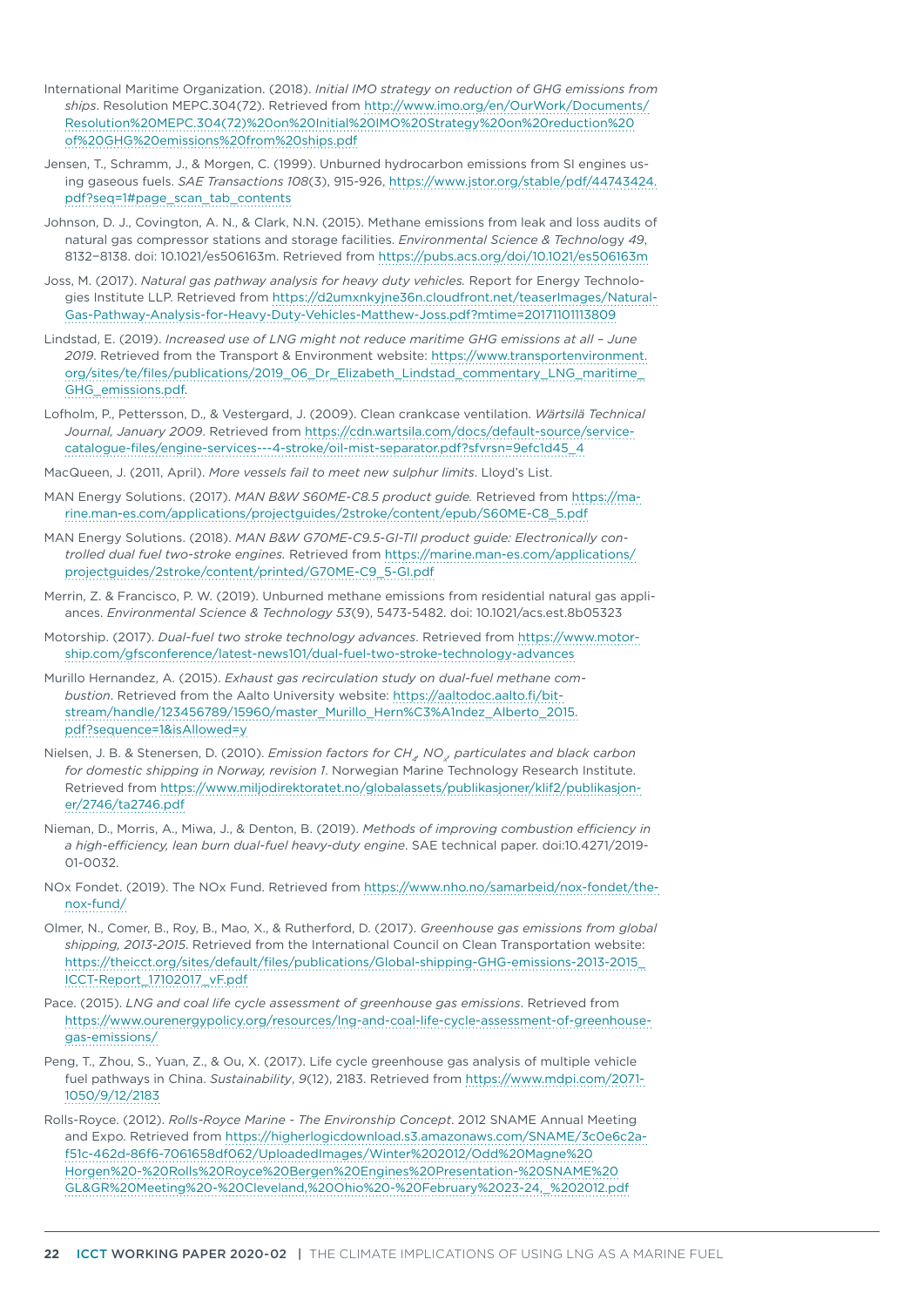- International Maritime Organization. (2018). *Initial IMO strategy on reduction of GHG emissions from ships*. Resolution MEPC.304(72). Retrieved from [http://www.imo.org/en/OurWork/Documents/](http://www.imo.org/en/OurWork/Documents/Resolution MEPC.304(72) on Initial IMO Strategy on reduction of GHG emissions from ships.pdf) [Resolution%20MEPC.304\(72\)%20on%20Initial%20IMO%20Strategy%20on%20reduction%20](http://www.imo.org/en/OurWork/Documents/Resolution MEPC.304(72) on Initial IMO Strategy on reduction of GHG emissions from ships.pdf) [of%20GHG%20emissions%20from%20ships.pdf](http://www.imo.org/en/OurWork/Documents/Resolution MEPC.304(72) on Initial IMO Strategy on reduction of GHG emissions from ships.pdf)
- Jensen, T., Schramm, J., & Morgen, C. (1999). Unburned hydrocarbon emissions from SI engines using gaseous fuels. *SAE Transactions 108*(3), 915-926, [https://www.jstor.org/stable/pdf/44743424.](https://www.jstor.org/stable/pdf/44743424.pdf?seq=1#page_scan_tab_contents) [pdf?seq=1#page\\_scan\\_tab\\_contents](https://www.jstor.org/stable/pdf/44743424.pdf?seq=1#page_scan_tab_contents)
- Johnson, D. J., Covington, A. N., & Clark, N.N. (2015). Methane emissions from leak and loss audits of natural gas compressor stations and storage facilities. *Environmental Science & Technol*ogy *49*, 8132−8138. doi: 10.1021/es506163m. Retrieved from<https://pubs.acs.org/doi/10.1021/es506163m>
- Joss, M. (2017). *Natural gas pathway analysis for heavy duty vehicles.* Report for Energy Technologies Institute LLP. Retrieved from [https://d2umxnkyjne36n.cloudfront.net/teaserImages/Natural-](https://d2umxnkyjne36n.cloudfront.net/teaserImages/Natural-Gas-Pathway-Analysis-for-Heavy-Duty-Vehicles-Matthew-Joss.pdf?mtime=20171101113809)[Gas-Pathway-Analysis-for-Heavy-Duty-Vehicles-Matthew-Joss.pdf?mtime=20171101113809](https://d2umxnkyjne36n.cloudfront.net/teaserImages/Natural-Gas-Pathway-Analysis-for-Heavy-Duty-Vehicles-Matthew-Joss.pdf?mtime=20171101113809)
- Lindstad, E. (2019). *Increased use of LNG might not reduce maritime GHG emissions at all June 2019*. Retrieved from the Transport & Environment website: [https://www.transportenvironment.](https://www.transportenvironment.org/sites/te/files/publications/2019_06_Dr_Elizabeth_Lindstad_commentary_LNG_maritime_GHG_emissions.pdf) [org/sites/te/files/publications/2019\\_06\\_Dr\\_Elizabeth\\_Lindstad\\_commentary\\_LNG\\_maritime\\_](https://www.transportenvironment.org/sites/te/files/publications/2019_06_Dr_Elizabeth_Lindstad_commentary_LNG_maritime_GHG_emissions.pdf) [GHG\\_emissions.pdf.](https://www.transportenvironment.org/sites/te/files/publications/2019_06_Dr_Elizabeth_Lindstad_commentary_LNG_maritime_GHG_emissions.pdf)
- Lofholm, P., Pettersson, D., & Vestergard, J. (2009). Clean crankcase ventilation. *Wärtsilä Technical Journal, January 2009*. Retrieved from [https://cdn.wartsila.com/docs/default-source/service](https://cdn.wartsila.com/docs/default-source/service-catalogue-files/engine-services---4-stroke/oil-mist-separator.pdf?sfvrsn=9efc1d45_4)[catalogue-files/engine-services---4-stroke/oil-mist-separator.pdf?sfvrsn=9efc1d45\\_4](https://cdn.wartsila.com/docs/default-source/service-catalogue-files/engine-services---4-stroke/oil-mist-separator.pdf?sfvrsn=9efc1d45_4)
- MacQueen, J. (2011, April). *More vessels fail to meet new sulphur limits*. Lloyd's List.
- MAN Energy Solutions. (2017). *MAN B&W S60ME-C8.5 product guide.* Retrieved from [https://ma](https://marine.man-es.com/applications/projectguides/2stroke/content/epub/S60ME-C8_5.pdf)[rine.man-es.com/applications/projectguides/2stroke/content/epub/S60ME-C8\\_5.pdf](https://marine.man-es.com/applications/projectguides/2stroke/content/epub/S60ME-C8_5.pdf)
- MAN Energy Solutions. (2018). *MAN B&W G70ME-C9.5-GI-TII product guide: Electronically controlled dual fuel two-stroke engines.* Retrieved from [https://marine.man-es.com/applications/](https://marine.man-es.com/applications/projectguides/2stroke/content/printed/G70ME-C9_5-GI.pdf) [projectguides/2stroke/content/printed/G70ME-C9\\_5-GI.pdf](https://marine.man-es.com/applications/projectguides/2stroke/content/printed/G70ME-C9_5-GI.pdf)
- Merrin, Z. & Francisco, P. W. (2019). Unburned methane emissions from residential natural gas appliances. *Environmental Science & Technology 53*(9), 5473-5482. doi: 10.1021/acs.est.8b05323
- Motorship. (2017). *Dual-fuel two stroke technology advances*. Retrieved from [https://www.motor](https://www.motorship.com/gfsconference/latest-news101/dual-fuel-two-stroke-technology-advances)[ship.com/gfsconference/latest-news101/dual-fuel-two-stroke-technology-advances](https://www.motorship.com/gfsconference/latest-news101/dual-fuel-two-stroke-technology-advances)
- Murillo Hernandez, A. (2015). *Exhaust gas recirculation study on dual-fuel methane combustion*. Retrieved from the Aalto University website: [https://aaltodoc.aalto.fi/bit](https://aaltodoc.aalto.fi/bitstream/handle/123456789/15960/master_Murillo_Hern%C3%A1ndez_Alberto_2015.pdf?sequence=1&isAllowed=y)[stream/handle/123456789/15960/master\\_Murillo\\_Hern%C3%A1ndez\\_Alberto\\_2015.](https://aaltodoc.aalto.fi/bitstream/handle/123456789/15960/master_Murillo_Hern%C3%A1ndez_Alberto_2015.pdf?sequence=1&isAllowed=y) [pdf?sequence=1&isAllowed=y](https://aaltodoc.aalto.fi/bitstream/handle/123456789/15960/master_Murillo_Hern%C3%A1ndez_Alberto_2015.pdf?sequence=1&isAllowed=y)
- Nielsen, J. B. & Stenersen, D. (2010). *Emission factors for CH4, NOx , particulates and black carbon for domestic shipping in Norway, revision 1*. Norwegian Marine Technology Research Institute. Retrieved from [https://www.miljodirektoratet.no/globalassets/publikasjoner/klif2/publikasjon](https://www.miljodirektoratet.no/globalassets/publikasjoner/klif2/publikasjoner/2746/ta2746.pdf)[er/2746/ta2746.pdf](https://www.miljodirektoratet.no/globalassets/publikasjoner/klif2/publikasjoner/2746/ta2746.pdf)
- Nieman, D., Morris, A., Miwa, J., & Denton, B. (2019). *Methods of improving combustion efficiency in a high-efficiency, lean burn dual-fuel heavy-duty engine*. SAE technical paper. doi:10.4271/2019- 01-0032.
- NOx Fondet. (2019). The NOx Fund. Retrieved from https://www.nho.no/samarbeid/nox-fondet/thenox-fund/
- Olmer, N., Comer, B., Roy, B., Mao, X., & Rutherford, D. (2017). *Greenhouse gas emissions from global shipping, 2013-2015*. Retrieved from the International Council on Clean Transportation website: [https://theicct.org/sites/default/files/publications/Global-shipping-GHG-emissions-2013-2015\\_](https://theicct.org/sites/default/files/publications/Global-shipping-GHG-emissions-2013-2015_ICCT-Report_17102017_vF.pdf) [ICCT-Report\\_17102017\\_vF.pdf](https://theicct.org/sites/default/files/publications/Global-shipping-GHG-emissions-2013-2015_ICCT-Report_17102017_vF.pdf)
- Pace. (2015). *LNG and coal life cycle assessment of greenhouse gas emissions*. Retrieved from [https://www.ourenergypolicy.org/resources/lng-and-coal-life-cycle-assessment-of-greenhouse](https://www.ourenergypolicy.org/resources/lng-and-coal-life-cycle-assessment-of-greenhouse-gas-emissions/)[gas-emissions/](https://www.ourenergypolicy.org/resources/lng-and-coal-life-cycle-assessment-of-greenhouse-gas-emissions/)
- Peng, T., Zhou, S., Yuan, Z., & Ou, X. (2017). Life cycle greenhouse gas analysis of multiple vehicle fuel pathways in China. *Sustainability*, *9*(12), 2183. Retrieved from [https://www.mdpi.com/2071-](https://www.mdpi.com/2071-1050/9/12/2183) [1050/9/12/2183](https://www.mdpi.com/2071-1050/9/12/2183)
- Rolls-Royce. (2012). *Rolls-Royce Marine The Environship Concept*. 2012 SNAME Annual Meeting and Expo. Retrieved from [https://higherlogicdownload.s3.amazonaws.com/SNAME/3c0e6c2a](https://higherlogicdownload.s3.amazonaws.com/SNAME/3c0e6c2a-f51c-462d-86f6-7061658df062/UploadedImages/Winter 2012/Odd Magne Horgen - Rolls Royce Bergen Engines Presentation- SNAME GL&GR Meeting - Cleveland, Ohio - February 23-24,_ 2012.pdf)[f51c-462d-86f6-7061658df062/UploadedImages/Winter%202012/Odd%20Magne%20](https://higherlogicdownload.s3.amazonaws.com/SNAME/3c0e6c2a-f51c-462d-86f6-7061658df062/UploadedImages/Winter 2012/Odd Magne Horgen - Rolls Royce Bergen Engines Presentation- SNAME GL&GR Meeting - Cleveland, Ohio - February 23-24,_ 2012.pdf) [Horgen%20-%20Rolls%20Royce%20Bergen%20Engines%20Presentation-%20SNAME%20](https://higherlogicdownload.s3.amazonaws.com/SNAME/3c0e6c2a-f51c-462d-86f6-7061658df062/UploadedImages/Winter 2012/Odd Magne Horgen - Rolls Royce Bergen Engines Presentation- SNAME GL&GR Meeting - Cleveland, Ohio - February 23-24,_ 2012.pdf) [GL&GR%20Meeting%20-%20Cleveland,%20Ohio%20-%20February%2023-24,\\_%202012.pdf](https://higherlogicdownload.s3.amazonaws.com/SNAME/3c0e6c2a-f51c-462d-86f6-7061658df062/UploadedImages/Winter 2012/Odd Magne Horgen - Rolls Royce Bergen Engines Presentation- SNAME GL&GR Meeting - Cleveland, Ohio - February 23-24,_ 2012.pdf)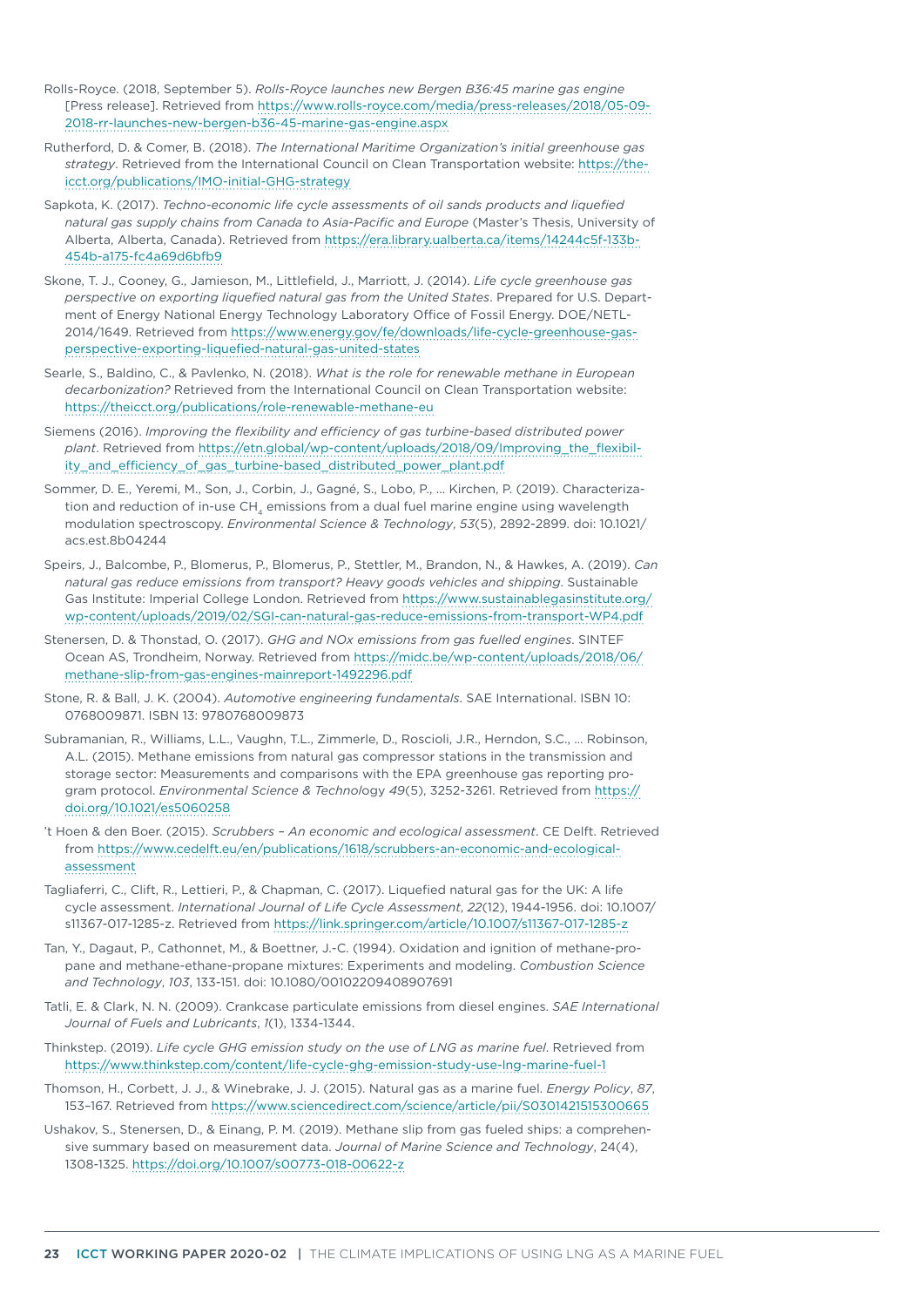- Rolls-Royce. (2018, September 5). *Rolls-Royce launches new Bergen B36:45 marine gas engine*  [Press release]. Retrieved from [https://www.rolls-royce.com/media/press-releases/2018/05-09-](https://www.rolls-royce.com/media/press-releases/2018/05-09-2018-rr-launches-new-bergen-b36-45-marine-gas-engine.aspx) [2018-rr-launches-new-bergen-b36-45-marine-gas-engine.aspx](https://www.rolls-royce.com/media/press-releases/2018/05-09-2018-rr-launches-new-bergen-b36-45-marine-gas-engine.aspx)
- Rutherford, D. & Comer, B. (2018). *The International Maritime Organization's initial greenhouse gas strategy*. Retrieved from the International Council on Clean Transportation website: [https://the](https://theicct.org/publications/IMO-initial-GHG-strategy)[icct.org/publications/IMO-initial-GHG-strategy](https://theicct.org/publications/IMO-initial-GHG-strategy)
- Sapkota, K. (2017). *Techno-economic life cycle assessments of oil sands products and liquefied*  natural gas supply chains from Canada to Asia-Pacific and Europe (Master's Thesis, University of Alberta, Alberta, Canada). Retrieved from [https://era.library.ualberta.ca/items/14244c5f-133b-](https://era.library.ualberta.ca/items/14244c5f-133b-454b-a175-fc4a69d6bfb9)[454b-a175-fc4a69d6bfb9](https://era.library.ualberta.ca/items/14244c5f-133b-454b-a175-fc4a69d6bfb9)
- Skone, T. J., Cooney, G., Jamieson, M., Littlefield, J., Marriott, J. (2014). *Life cycle greenhouse gas perspective on exporting liquefied natural gas from the United States*. Prepared for U.S. Department of Energy National Energy Technology Laboratory Office of Fossil Energy. DOE/NETL-2014/1649. Retrieved from [https://www.energy.gov/fe/downloads/life-cycle-greenhouse-gas](https://www.energy.gov/fe/downloads/life-cycle-greenhouse-gas-perspective-exporting-liquefied-natural-gas-united-states)[perspective-exporting-liquefied-natural-gas-united-states](https://www.energy.gov/fe/downloads/life-cycle-greenhouse-gas-perspective-exporting-liquefied-natural-gas-united-states)
- Searle, S., Baldino, C., & Pavlenko, N. (2018). *What is the role for renewable methane in European decarbonization?* Retrieved from the International Council on Clean Transportation website: <https://theicct.org/publications/role-renewable-methane-eu>
- Siemens (2016). *Improving the flexibility and efficiency of gas turbine-based distributed power plant*. Retrieved from [https://etn.global/wp-content/uploads/2018/09/Improving\\_the\\_flexibil](https://etn.global/wp-content/uploads/2018/09/Improving_the_flexibility_and_efficiency_of_gas_turbine-based_distributed_power_plant.pdf)[ity\\_and\\_efficiency\\_of\\_gas\\_turbine-based\\_distributed\\_power\\_plant.pdf](https://etn.global/wp-content/uploads/2018/09/Improving_the_flexibility_and_efficiency_of_gas_turbine-based_distributed_power_plant.pdf)
- Sommer, D. E., Yeremi, M., Son, J., Corbin, J., Gagné, S., Lobo, P., ... Kirchen, P. (2019). Characterization and reduction of in-use CH<sub>4</sub> emissions from a dual fuel marine engine using wavelength modulation spectroscopy. *Environmental Science & Technology*, *53*(5), 2892-2899. doi: 10.1021/ acs.est.8b04244
- Speirs, J., Balcombe, P., Blomerus, P., Blomerus, P., Stettler, M., Brandon, N., & Hawkes, A. (2019). *Can natural gas reduce emissions from transport? Heavy goods vehicles and shipping*. Sustainable Gas Institute: Imperial College London. Retrieved from [https://www.sustainablegasinstitute.org/](https://www.sustainablegasinstitute.org/wp-content/uploads/2019/02/SGI-can-natural-gas-reduce-emissions-from-transport-WP4.pdf) [wp-content/uploads/2019/02/SGI-can-natural-gas-reduce-emissions-from-transport-WP4.pdf](https://www.sustainablegasinstitute.org/wp-content/uploads/2019/02/SGI-can-natural-gas-reduce-emissions-from-transport-WP4.pdf)
- Stenersen, D. & Thonstad, O. (2017). *GHG and NOx emissions from gas fuelled engines*. SINTEF Ocean AS, Trondheim, Norway. Retrieved from [https://midc.be/wp-content/uploads/2018/06/](https://midc.be/wp-content/uploads/2018/06/methane-slip-from-gas-engines-mainreport-1492296.pdf) [methane-slip-from-gas-engines-mainreport-1492296.pdf](https://midc.be/wp-content/uploads/2018/06/methane-slip-from-gas-engines-mainreport-1492296.pdf)
- Stone, R. & Ball, J. K. (2004). *Automotive engineering fundamentals*. SAE International. ISBN 10: 0768009871. ISBN 13: 9780768009873
- Subramanian, R., Williams, L.L., Vaughn, T.L., Zimmerle, D., Roscioli, J.R., Herndon, S.C., … Robinson, A.L. (2015). Methane emissions from natural gas compressor stations in the transmission and storage sector: Measurements and comparisons with the EPA greenhouse gas reporting program protocol. *Environmental Science & Technol*ogy *49*(5), 3252-3261. Retrieved from [https://](https://doi.org/10.1021/es5060258) [doi.org/10.1021/es5060258](https://doi.org/10.1021/es5060258)
- 't Hoen & den Boer. (2015). *Scrubbers An economic and ecological assessment*. CE Delft. Retrieved from [https://www.cedelft.eu/en/publications/1618/scrubbers-an-economic-and-ecological](https://www.cedelft.eu/en/publications/1618/scrubbers-an-economic-and-ecological-assessment)[assessment](https://www.cedelft.eu/en/publications/1618/scrubbers-an-economic-and-ecological-assessment)
- Tagliaferri, C., Clift, R., Lettieri, P., & Chapman, C. (2017). Liquefied natural gas for the UK: A life cycle assessment. *International Journal of Life Cycle Assessment*, *22*(12), 1944-1956. doi: 10.1007/ s11367-017-1285-z. Retrieved from <https://link.springer.com/article/10.1007/s11367-017-1285-z>
- Tan, Y., Dagaut, P., Cathonnet, M., & Boettner, J.-C. (1994). Oxidation and ignition of methane-propane and methane-ethane-propane mixtures: Experiments and modeling. *Combustion Science and Technology*, *103*, 133-151. doi: 10.1080/00102209408907691
- Tatli, E. & Clark, N. N. (2009). Crankcase particulate emissions from diesel engines. *SAE International Journal of Fuels and Lubricants*, *1*(1), 1334-1344.
- Thinkstep. (2019). *Life cycle GHG emission study on the use of LNG as marine fuel*. Retrieved from <https://www.thinkstep.com/content/life-cycle-ghg-emission-study-use-lng-marine-fuel-1>
- Thomson, H., Corbett, J. J., & Winebrake, J. J. (2015). Natural gas as a marine fuel. *Energy Policy*, *87*, 153–167. Retrieved from<https://www.sciencedirect.com/science/article/pii/S0301421515300665>
- Ushakov, S., Stenersen, D., & Einang, P. M. (2019). Methane slip from gas fueled ships: a comprehensive summary based on measurement data. *Journal of Marine Science and Technology*, 24(4), 1308-1325.<https://doi.org/10.1007/s00773-018-00622-z>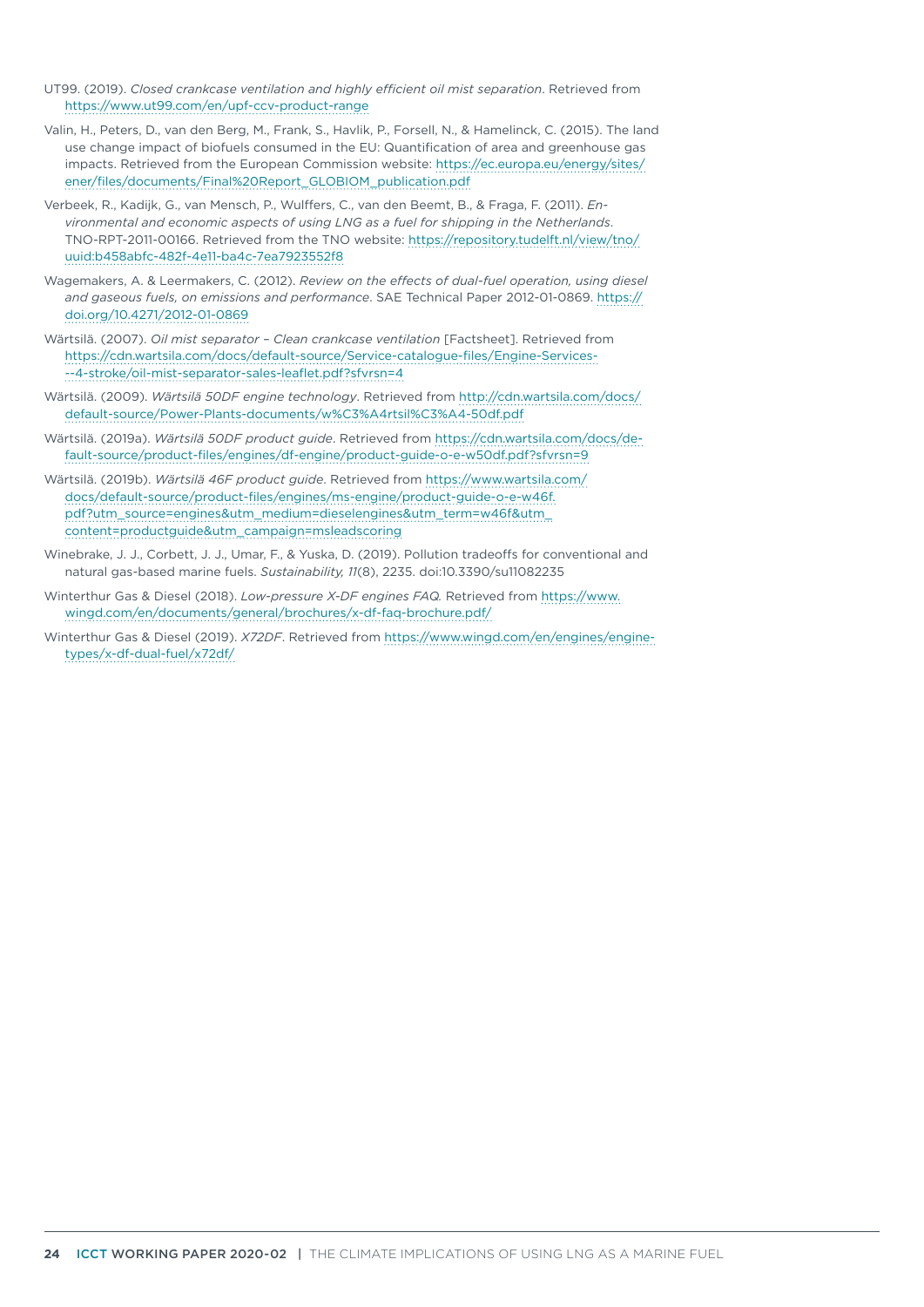- UT99. (2019). *Closed crankcase ventilation and highly efficient oil mist separation*. Retrieved from <https://www.ut99.com/en/upf-ccv-product-range>
- Valin, H., Peters, D., van den Berg, M., Frank, S., Havlik, P., Forsell, N., & Hamelinck, C. (2015). The land use change impact of biofuels consumed in the EU: Quantification of area and greenhouse gas impacts. Retrieved from the European Commission website: [https://ec.europa.eu/energy/sites/](https://ec.europa.eu/energy/sites/ener/files/documents/Final Report_GLOBIOM_publication.pdf) [ener/files/documents/Final%20Report\\_GLOBIOM\\_publication.pdf](https://ec.europa.eu/energy/sites/ener/files/documents/Final Report_GLOBIOM_publication.pdf)
- Verbeek, R., Kadijk, G., van Mensch, P., Wulffers, C., van den Beemt, B., & Fraga, F. (2011). *Environmental and economic aspects of using LNG as a fuel for shipping in the Netherlands*. TNO-RPT-2011-00166. Retrieved from the TNO website: [https://repository.tudelft.nl/view/tno/](https://repository.tudelft.nl/view/tno/uuid:b458abfc-482f-4e11-ba4c-7ea7923552f8) [uuid:b458abfc-482f-4e11-ba4c-7ea7923552f8](https://repository.tudelft.nl/view/tno/uuid:b458abfc-482f-4e11-ba4c-7ea7923552f8)
- Wagemakers, A. & Leermakers, C. (2012). *Review on the effects of dual-fuel operation, using diesel and gaseous fuels, on emissions and performance*. SAE Technical Paper 2012-01-0869. [https://](https://doi.org/10.4271/2012-01-0869) [doi.org/10.4271/2012-01-0869](https://doi.org/10.4271/2012-01-0869)
- Wärtsilä. (2007). *Oil mist separator Clean crankcase ventilation* [Factsheet]. Retrieved from [https://cdn.wartsila.com/docs/default-source/Service-catalogue-files/Engine-Services-](https://cdn.wartsila.com/docs/default-source/Service-catalogue-files/Engine-Services---4-stroke/oil-mist-separator-sales-leaflet.pdf?sfvrsn=4) [--4-stroke/oil-mist-separator-sales-leaflet.pdf?sfvrsn=4](https://cdn.wartsila.com/docs/default-source/Service-catalogue-files/Engine-Services---4-stroke/oil-mist-separator-sales-leaflet.pdf?sfvrsn=4)
- Wärtsilä. (2009). *Wärtsilä 50DF engine technology*. Retrieved from [http://cdn.wartsila.com/docs/](http://cdn.wartsila.com/docs/default-source/Power-Plants-documents/w%C3%A4rtsil%C3%A4-50df.pdf) [default-source/Power-Plants-documents/w%C3%A4rtsil%C3%A4-50df.pdf](http://cdn.wartsila.com/docs/default-source/Power-Plants-documents/w%C3%A4rtsil%C3%A4-50df.pdf)
- Wärtsilä. (2019a). *Wärtsilä 50DF product guide*. Retrieved from [https://cdn.wartsila.com/docs/de](https://cdn.wartsila.com/docs/default-source/product-files/engines/df-engine/product-guide-o-e-w50df.pdf?sfvrsn=9)[fault-source/product-files/engines/df-engine/product-guide-o-e-w50df.pdf?sfvrsn=9](https://cdn.wartsila.com/docs/default-source/product-files/engines/df-engine/product-guide-o-e-w50df.pdf?sfvrsn=9)
- Wärtsilä. (2019b). *Wärtsilä 46F product guide*. Retrieved from [https://www.wartsila.com/](https://www.wartsila.com/docs/default-source/product-files/engines/ms-engine/product-guide-o-e-w46f.pdf?utm_source=engines&utm_medium=dieselengines&utm_term=w46f&utm_content=productguide&utm_campaign=msleadscoring) [docs/default-source/product-files/engines/ms-engine/product-guide-o-e-w46f.](https://www.wartsila.com/docs/default-source/product-files/engines/ms-engine/product-guide-o-e-w46f.pdf?utm_source=engines&utm_medium=dieselengines&utm_term=w46f&utm_content=productguide&utm_campaign=msleadscoring) [pdf?utm\\_source=engines&utm\\_medium=dieselengines&utm\\_term=w46f&utm\\_](https://www.wartsila.com/docs/default-source/product-files/engines/ms-engine/product-guide-o-e-w46f.pdf?utm_source=engines&utm_medium=dieselengines&utm_term=w46f&utm_content=productguide&utm_campaign=msleadscoring) [content=productguide&utm\\_campaign=msleadscoring](https://www.wartsila.com/docs/default-source/product-files/engines/ms-engine/product-guide-o-e-w46f.pdf?utm_source=engines&utm_medium=dieselengines&utm_term=w46f&utm_content=productguide&utm_campaign=msleadscoring)
- Winebrake, J. J., Corbett, J. J., Umar, F., & Yuska, D. (2019). Pollution tradeoffs for conventional and natural gas-based marine fuels. *Sustainability, 11*(8), 2235. doi:10.3390/su11082235
- Winterthur Gas & Diesel (2018). *Low-pressure X-DF engines FAQ.* Retrieved from [https://www.](https://www.wingd.com/en/documents/general/brochures/x-df-faq-brochure.pdf/) [wingd.com/en/documents/general/brochures/x-df-faq-brochure.pdf/](https://www.wingd.com/en/documents/general/brochures/x-df-faq-brochure.pdf/)
- Winterthur Gas & Diesel (2019). *X72DF*. Retrieved from [https://www.wingd.com/en/engines/engine](https://www.wingd.com/en/engines/engine-types/x-df-dual-fuel/x72df/)[types/x-df-dual-fuel/x72df/](https://www.wingd.com/en/engines/engine-types/x-df-dual-fuel/x72df/)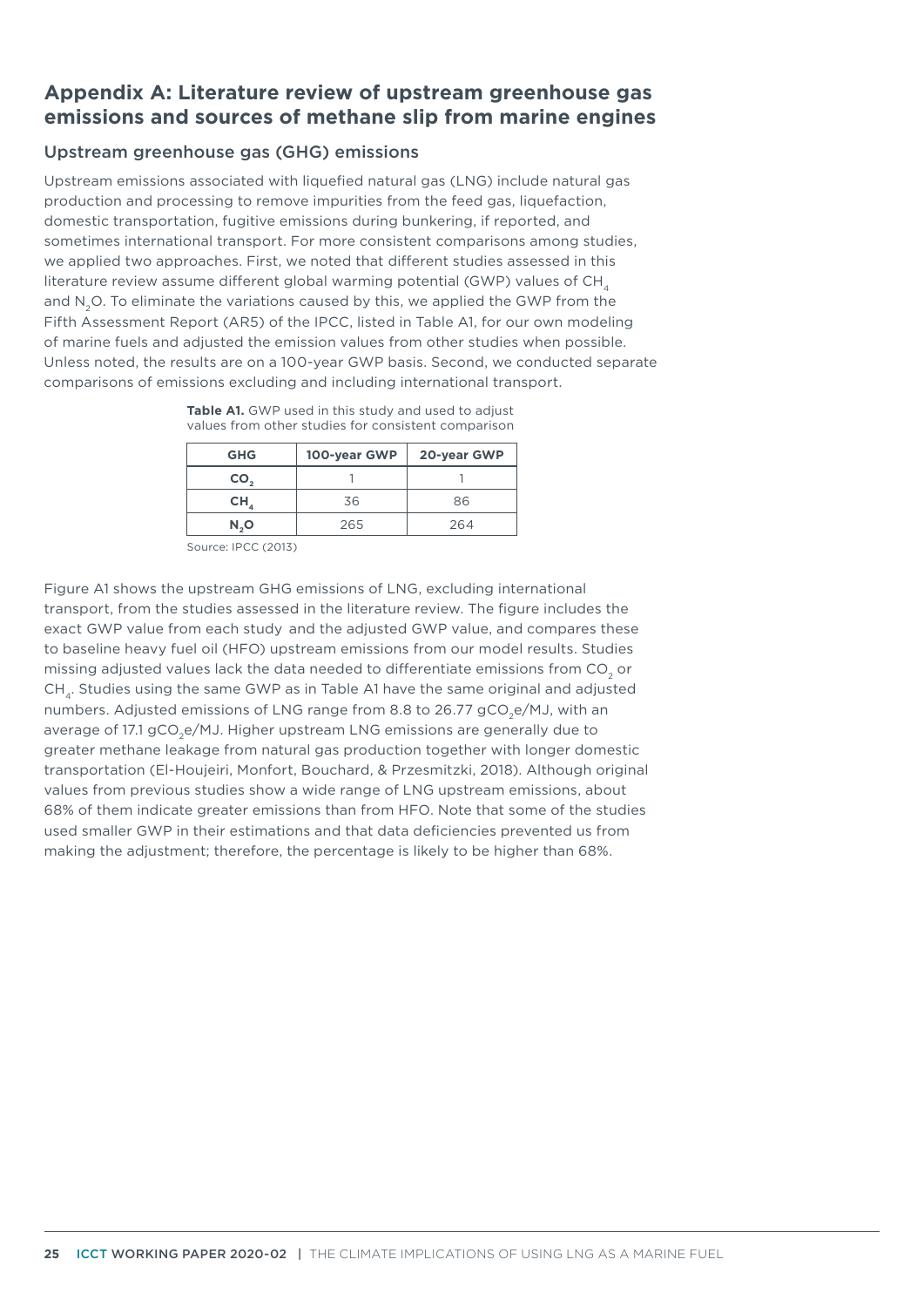# **Appendix A: Literature review of upstream greenhouse gas emissions and sources of methane slip from marine engines**

## Upstream greenhouse gas (GHG) emissions

Upstream emissions associated with liquefied natural gas (LNG) include natural gas production and processing to remove impurities from the feed gas, liquefaction, domestic transportation, fugitive emissions during bunkering, if reported, and sometimes international transport. For more consistent comparisons among studies, we applied two approaches. First, we noted that different studies assessed in this literature review assume different global warming potential (GWP) values of CH, and N<sub>2</sub>O. To eliminate the variations caused by this, we applied the GWP from the Fifth Assessment Report (AR5) of the IPCC, listed in Table A1, for our own modeling of marine fuels and adjusted the emission values from other studies when possible. Unless noted, the results are on a 100-year GWP basis. Second, we conducted separate comparisons of emissions excluding and including international transport.

|  |  |  |  | Table A1. GWP used in this study and used to adjust |
|--|--|--|--|-----------------------------------------------------|
|  |  |  |  | values from other studies for consistent comparison |

| <b>GHG</b> | 100-year GWP | 20-year GWP |
|------------|--------------|-------------|
| CO,        |              |             |
| CH,        | 36           | 86          |
| N,O        | 265          | 264         |

Source: IPCC (2013)

Figure A1 shows the upstream GHG emissions of LNG, excluding international transport, from the studies assessed in the literature review. The figure includes the exact GWP value from each study and the adjusted GWP value, and compares these to baseline heavy fuel oil (HFO) upstream emissions from our model results. Studies missing adjusted values lack the data needed to differentiate emissions from CO<sub>2</sub> or CH<sub>4</sub>. Studies using the same GWP as in Table A1 have the same original and adjusted numbers. Adjusted emissions of LNG range from 8.8 to 26.77 gCO<sub>2</sub>e/MJ, with an average of 17.1 gCO<sub>2</sub>e/MJ. Higher upstream LNG emissions are generally due to greater methane leakage from natural gas production together with longer domestic transportation (El-Houjeiri, Monfort, Bouchard, & Przesmitzki, 2018). Although original values from previous studies show a wide range of LNG upstream emissions, about 68% of them indicate greater emissions than from HFO. Note that some of the studies used smaller GWP in their estimations and that data deficiencies prevented us from making the adjustment; therefore, the percentage is likely to be higher than 68%.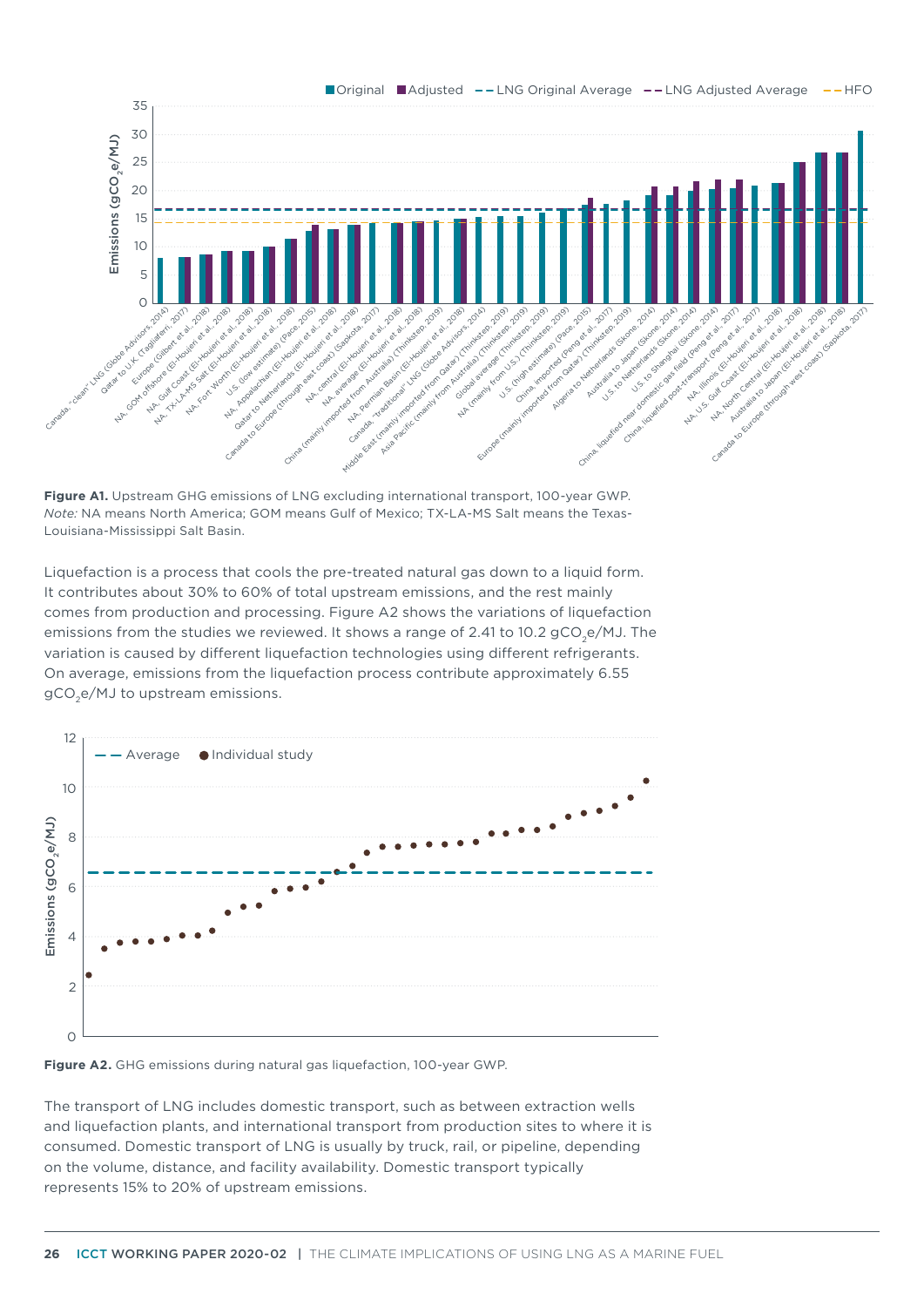

**Figure A1.** Upstream GHG emissions of LNG excluding international transport, 100-year GWP. *Note:* NA means North America; GOM means Gulf of Mexico; TX-LA-MS Salt means the Texas-Louisiana-Mississippi Salt Basin.

Liquefaction is a process that cools the pre-treated natural gas down to a liquid form. It contributes about 30% to 60% of total upstream emissions, and the rest mainly comes from production and processing. Figure A2 shows the variations of liquefaction emissions from the studies we reviewed. It shows a range of 2.41 to 10.2  $gCO,e/MJ$ . The variation is caused by different liquefaction technologies using different refrigerants. On average, emissions from the liquefaction process contribute approximately 6.55 gCO<sub>2</sub>e/MJ to upstream emissions.



#### **Figure A2.** GHG emissions during natural gas liquefaction, 100-year GWP.

The transport of LNG includes domestic transport, such as between extraction wells and liquefaction plants, and international transport from production sites to where it is consumed. Domestic transport of LNG is usually by truck, rail, or pipeline, depending on the volume, distance, and facility availability. Domestic transport typically represents 15% to 20% of upstream emissions.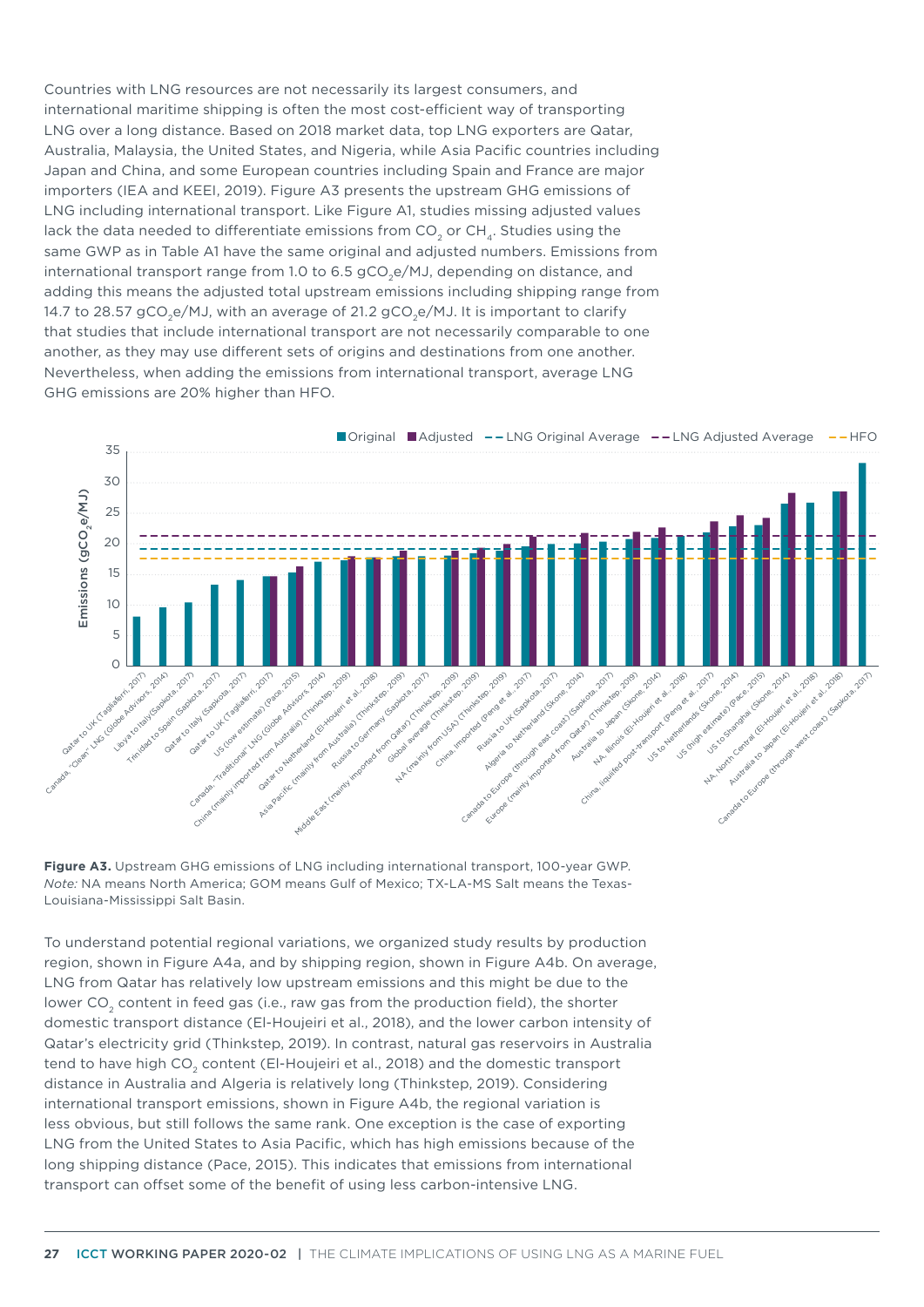Countries with LNG resources are not necessarily its largest consumers, and international maritime shipping is often the most cost-efficient way of transporting LNG over a long distance. Based on 2018 market data, top LNG exporters are Qatar, Australia, Malaysia, the United States, and Nigeria, while Asia Pacific countries including Japan and China, and some European countries including Spain and France are major importers (IEA and KEEI, 2019). Figure A3 presents the upstream GHG emissions of LNG including international transport. Like Figure A1, studies missing adjusted values lack the data needed to differentiate emissions from  $CO<sub>2</sub>$  or  $CH<sub>4</sub>$ . Studies using the same GWP as in Table A1 have the same original and adjusted numbers. Emissions from international transport range from 1.0 to 6.5  $gCO,e/MJ$ , depending on distance, and adding this means the adjusted total upstream emissions including shipping range from 14.7 to 28.57 gCO<sub>2</sub>e/MJ, with an average of 21.2 gCO<sub>3</sub>e/MJ. It is important to clarify that studies that include international transport are not necessarily comparable to one another, as they may use different sets of origins and destinations from one another. Nevertheless, when adding the emissions from international transport, average LNG GHG emissions are 20% higher than HFO.



**Figure A3.** Upstream GHG emissions of LNG including international transport, 100-year GWP. *Note:* NA means North America; GOM means Gulf of Mexico; TX-LA-MS Salt means the Texas-Louisiana-Mississippi Salt Basin.

To understand potential regional variations, we organized study results by production region, shown in Figure A4a, and by shipping region, shown in Figure A4b. On average, LNG from Qatar has relatively low upstream emissions and this might be due to the lower CO<sub>2</sub> content in feed gas (i.e., raw gas from the production field), the shorter domestic transport distance (El-Houjeiri et al., 2018), and the lower carbon intensity of Qatar's electricity grid (Thinkstep, 2019). In contrast, natural gas reservoirs in Australia tend to have high CO<sub>2</sub> content (El-Houjeiri et al., 2018) and the domestic transport distance in Australia and Algeria is relatively long (Thinkstep, 2019). Considering international transport emissions, shown in Figure A4b, the regional variation is less obvious, but still follows the same rank. One exception is the case of exporting LNG from the United States to Asia Pacific, which has high emissions because of the long shipping distance (Pace, 2015). This indicates that emissions from international transport can offset some of the benefit of using less carbon-intensive LNG.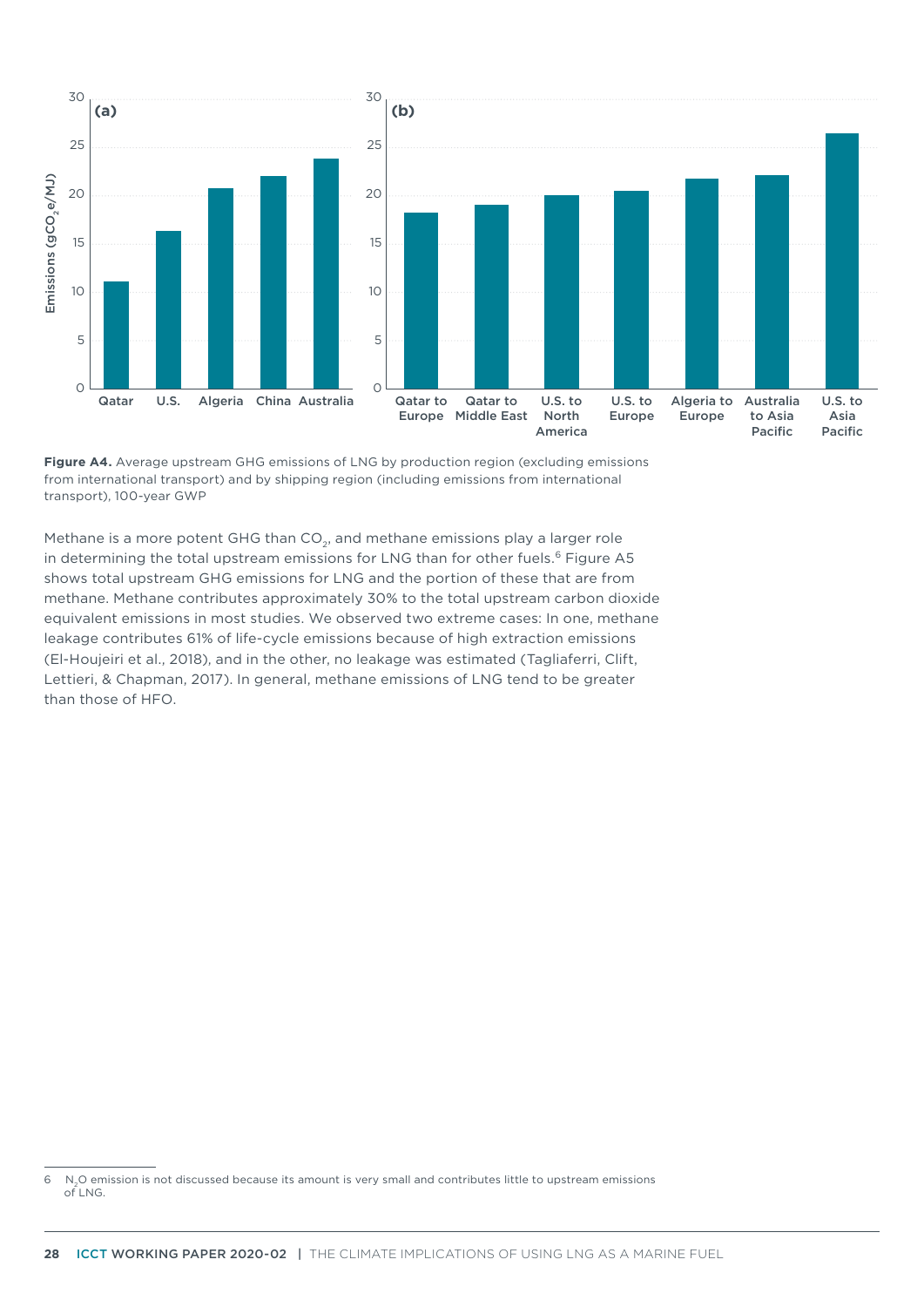



Methane is a more potent GHG than CO<sub>2</sub>, and methane emissions play a larger role in determining the total upstream emissions for LNG than for other fuels.<sup>6</sup> Figure A5 shows total upstream GHG emissions for LNG and the portion of these that are from methane. Methane contributes approximately 30% to the total upstream carbon dioxide equivalent emissions in most studies. We observed two extreme cases: In one, methane leakage contributes 61% of life-cycle emissions because of high extraction emissions (El-Houjeiri et al., 2018), and in the other, no leakage was estimated (Tagliaferri, Clift, Lettieri, & Chapman, 2017). In general, methane emissions of LNG tend to be greater than those of HFO.

<sup>6</sup> N2O emission is not discussed because its amount is very small and contributes little to upstream emissions  $of ING$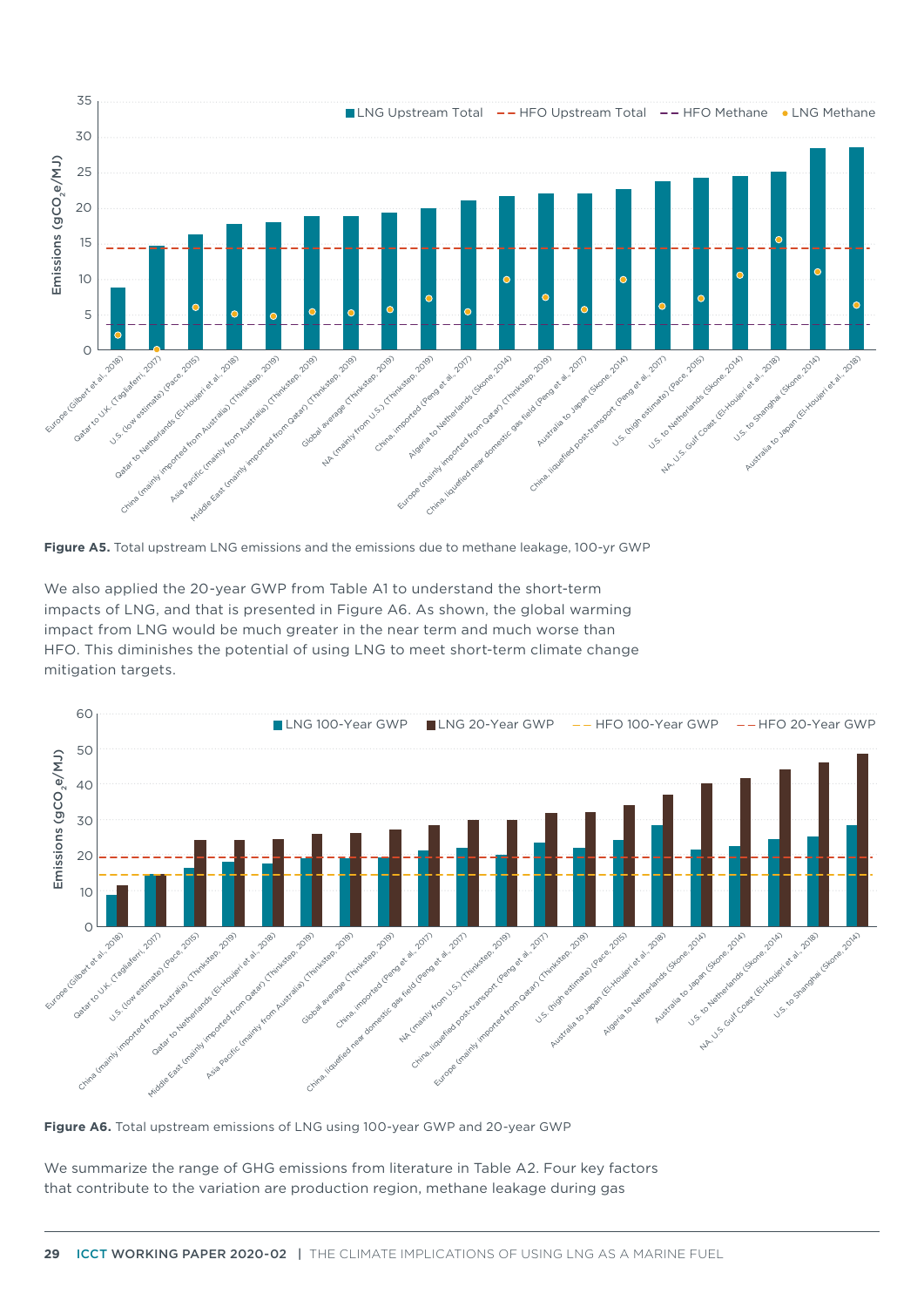

**Figure A5.** Total upstream LNG emissions and the emissions due to methane leakage, 100-yr GWP

We also applied the 20-year GWP from Table A1 to understand the short-term impacts of LNG, and that is presented in Figure A6. As shown, the global warming impact from LNG would be much greater in the near term and much worse than HFO. This diminishes the potential of using LNG to meet short-term climate change mitigation targets.



**Figure A6.** Total upstream emissions of LNG using 100-year GWP and 20-year GWP

We summarize the range of GHG emissions from literature in Table A2. Four key factors that contribute to the variation are production region, methane leakage during gas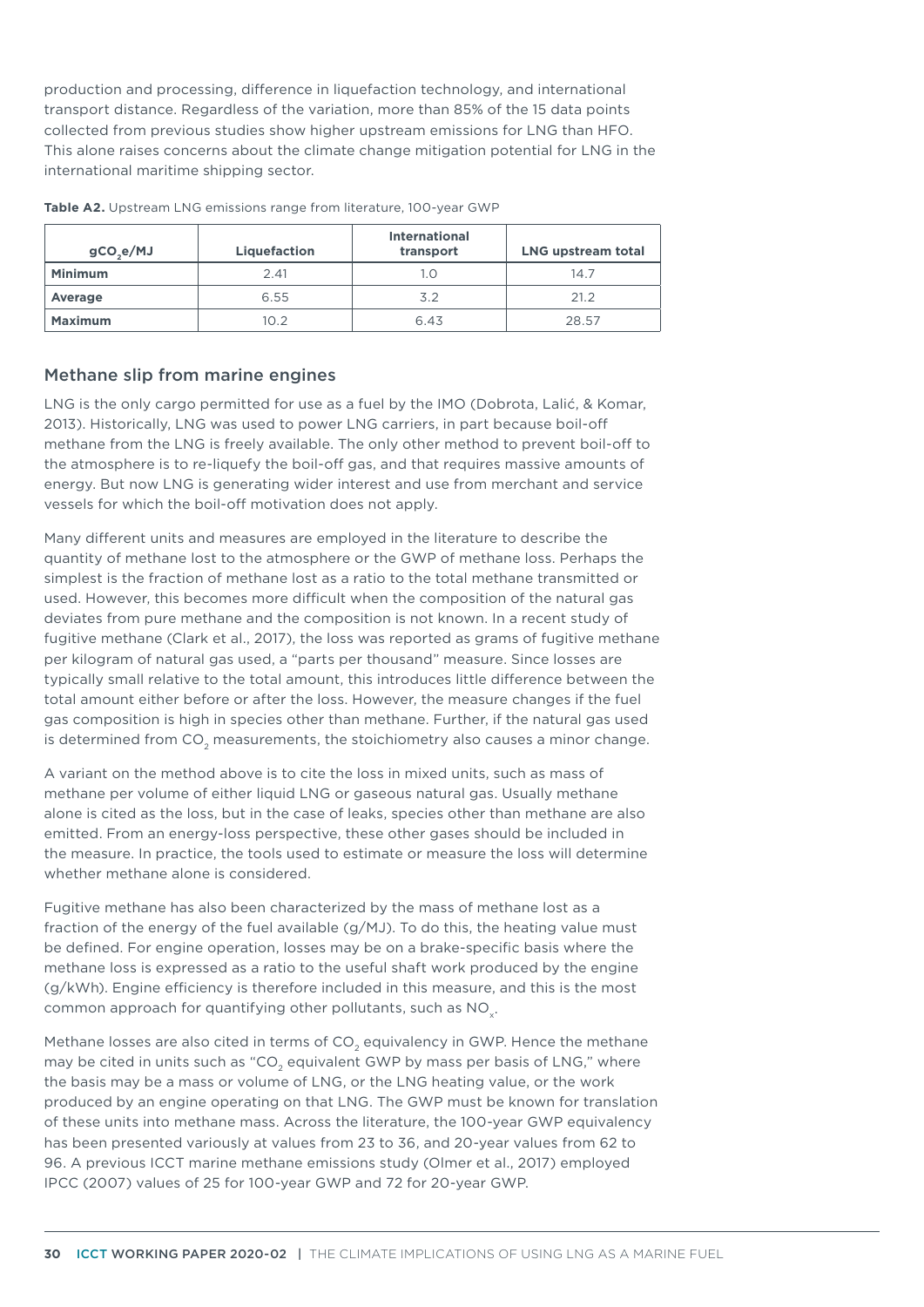production and processing, difference in liquefaction technology, and international transport distance. Regardless of the variation, more than 85% of the 15 data points collected from previous studies show higher upstream emissions for LNG than HFO. This alone raises concerns about the climate change mitigation potential for LNG in the international maritime shipping sector.

| gCO <sub>2</sub> e/MJ | Liquefaction | <b>International</b><br>transport | <b>LNG upstream total</b> |
|-----------------------|--------------|-----------------------------------|---------------------------|
| <b>Minimum</b>        | 2.41         | 1.0                               | 14.7                      |
| Average               | 6.55         | 3.2                               | 21.2                      |
| <b>Maximum</b>        | 10.2         | 6.43                              | 28.57                     |

**Table A2.** Upstream LNG emissions range from literature, 100-year GWP

#### Methane slip from marine engines

LNG is the only cargo permitted for use as a fuel by the IMO (Dobrota, Lalić, & Komar, 2013). Historically, LNG was used to power LNG carriers, in part because boil-off methane from the LNG is freely available. The only other method to prevent boil-off to the atmosphere is to re-liquefy the boil-off gas, and that requires massive amounts of energy. But now LNG is generating wider interest and use from merchant and service vessels for which the boil-off motivation does not apply.

Many different units and measures are employed in the literature to describe the quantity of methane lost to the atmosphere or the GWP of methane loss. Perhaps the simplest is the fraction of methane lost as a ratio to the total methane transmitted or used. However, this becomes more difficult when the composition of the natural gas deviates from pure methane and the composition is not known. In a recent study of fugitive methane (Clark et al., 2017), the loss was reported as grams of fugitive methane per kilogram of natural gas used, a "parts per thousand" measure. Since losses are typically small relative to the total amount, this introduces little difference between the total amount either before or after the loss. However, the measure changes if the fuel gas composition is high in species other than methane. Further, if the natural gas used is determined from CO<sub>2</sub> measurements, the stoichiometry also causes a minor change.

A variant on the method above is to cite the loss in mixed units, such as mass of methane per volume of either liquid LNG or gaseous natural gas. Usually methane alone is cited as the loss, but in the case of leaks, species other than methane are also emitted. From an energy-loss perspective, these other gases should be included in the measure. In practice, the tools used to estimate or measure the loss will determine whether methane alone is considered.

Fugitive methane has also been characterized by the mass of methane lost as a fraction of the energy of the fuel available (g/MJ). To do this, the heating value must be defined. For engine operation, losses may be on a brake-specific basis where the methane loss is expressed as a ratio to the useful shaft work produced by the engine (g/kWh). Engine efficiency is therefore included in this measure, and this is the most common approach for quantifying other pollutants, such as  $NO<sub>x</sub>$ .

Methane losses are also cited in terms of  $CO<sub>2</sub>$  equivalency in GWP. Hence the methane may be cited in units such as "CO<sub>2</sub> equivalent GWP by mass per basis of LNG," where the basis may be a mass or volume of LNG, or the LNG heating value, or the work produced by an engine operating on that LNG. The GWP must be known for translation of these units into methane mass. Across the literature, the 100-year GWP equivalency has been presented variously at values from 23 to 36, and 20-year values from 62 to 96. A previous ICCT marine methane emissions study (Olmer et al., 2017) employed IPCC (2007) values of 25 for 100-year GWP and 72 for 20-year GWP.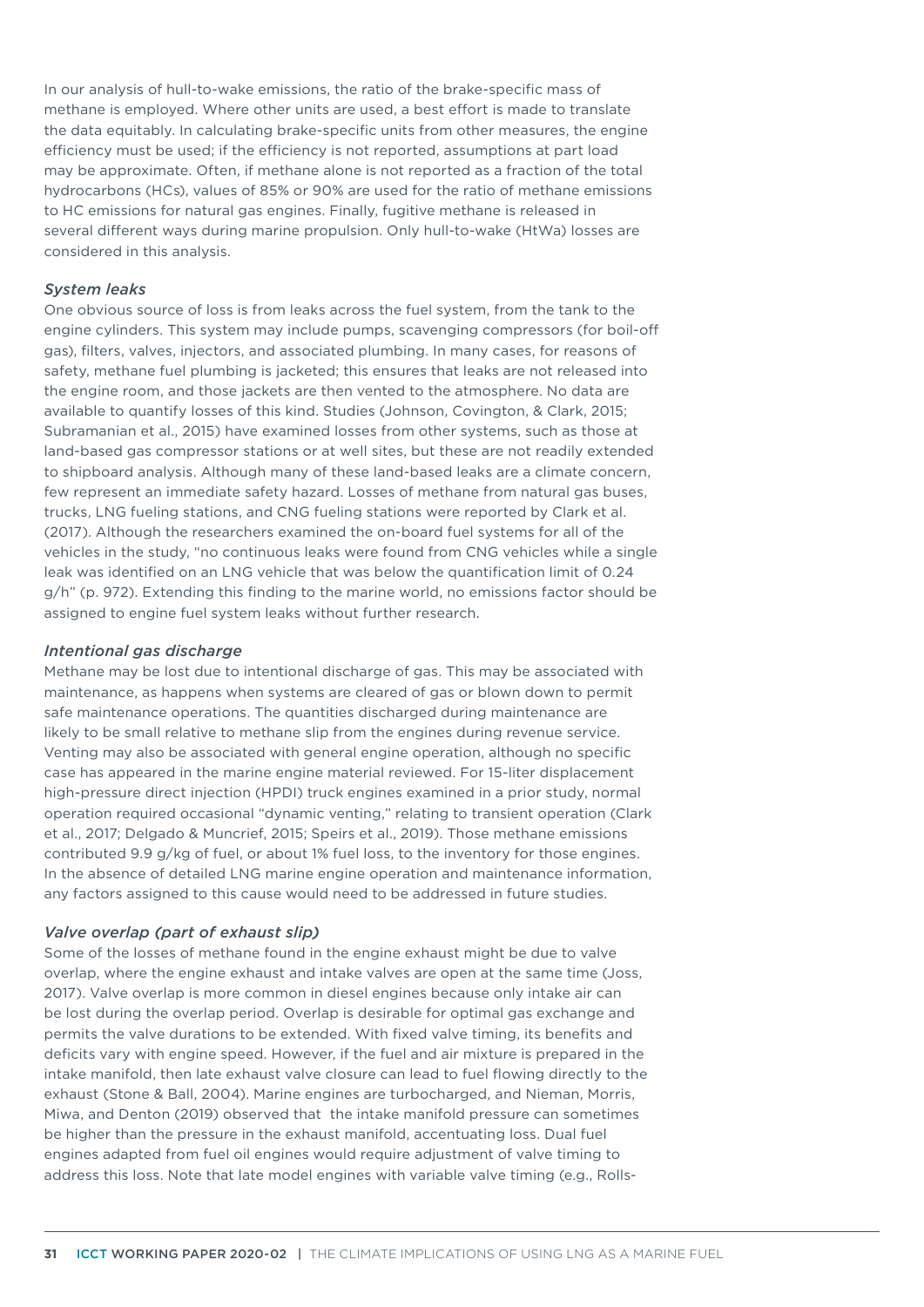In our analysis of hull-to-wake emissions, the ratio of the brake-specific mass of methane is employed. Where other units are used, a best effort is made to translate the data equitably. In calculating brake-specific units from other measures, the engine efficiency must be used; if the efficiency is not reported, assumptions at part load may be approximate. Often, if methane alone is not reported as a fraction of the total hydrocarbons (HCs), values of 85% or 90% are used for the ratio of methane emissions to HC emissions for natural gas engines. Finally, fugitive methane is released in several different ways during marine propulsion. Only hull-to-wake (HtWa) losses are considered in this analysis.

#### *System leaks*

One obvious source of loss is from leaks across the fuel system, from the tank to the engine cylinders. This system may include pumps, scavenging compressors (for boil-off gas), filters, valves, injectors, and associated plumbing. In many cases, for reasons of safety, methane fuel plumbing is jacketed; this ensures that leaks are not released into the engine room, and those jackets are then vented to the atmosphere. No data are available to quantify losses of this kind. Studies (Johnson, Covington, & Clark, 2015; Subramanian et al., 2015) have examined losses from other systems, such as those at land-based gas compressor stations or at well sites, but these are not readily extended to shipboard analysis. Although many of these land-based leaks are a climate concern, few represent an immediate safety hazard. Losses of methane from natural gas buses, trucks, LNG fueling stations, and CNG fueling stations were reported by Clark et al. (2017). Although the researchers examined the on-board fuel systems for all of the vehicles in the study, "no continuous leaks were found from CNG vehicles while a single leak was identified on an LNG vehicle that was below the quantification limit of 0.24 g/h" (p. 972). Extending this finding to the marine world, no emissions factor should be assigned to engine fuel system leaks without further research.

#### *Intentional gas discharge*

Methane may be lost due to intentional discharge of gas. This may be associated with maintenance, as happens when systems are cleared of gas or blown down to permit safe maintenance operations. The quantities discharged during maintenance are likely to be small relative to methane slip from the engines during revenue service. Venting may also be associated with general engine operation, although no specific case has appeared in the marine engine material reviewed. For 15-liter displacement high-pressure direct injection (HPDI) truck engines examined in a prior study, normal operation required occasional "dynamic venting," relating to transient operation (Clark et al., 2017; Delgado & Muncrief, 2015; Speirs et al., 2019). Those methane emissions contributed 9.9 g/kg of fuel, or about 1% fuel loss, to the inventory for those engines. In the absence of detailed LNG marine engine operation and maintenance information, any factors assigned to this cause would need to be addressed in future studies.

#### *Valve overlap (part of exhaust slip)*

Some of the losses of methane found in the engine exhaust might be due to valve overlap, where the engine exhaust and intake valves are open at the same time (Joss, 2017). Valve overlap is more common in diesel engines because only intake air can be lost during the overlap period. Overlap is desirable for optimal gas exchange and permits the valve durations to be extended. With fixed valve timing, its benefits and deficits vary with engine speed. However, if the fuel and air mixture is prepared in the intake manifold, then late exhaust valve closure can lead to fuel flowing directly to the exhaust (Stone & Ball, 2004). Marine engines are turbocharged, and Nieman, Morris, Miwa, and Denton (2019) observed that the intake manifold pressure can sometimes be higher than the pressure in the exhaust manifold, accentuating loss. Dual fuel engines adapted from fuel oil engines would require adjustment of valve timing to address this loss. Note that late model engines with variable valve timing (e.g., Rolls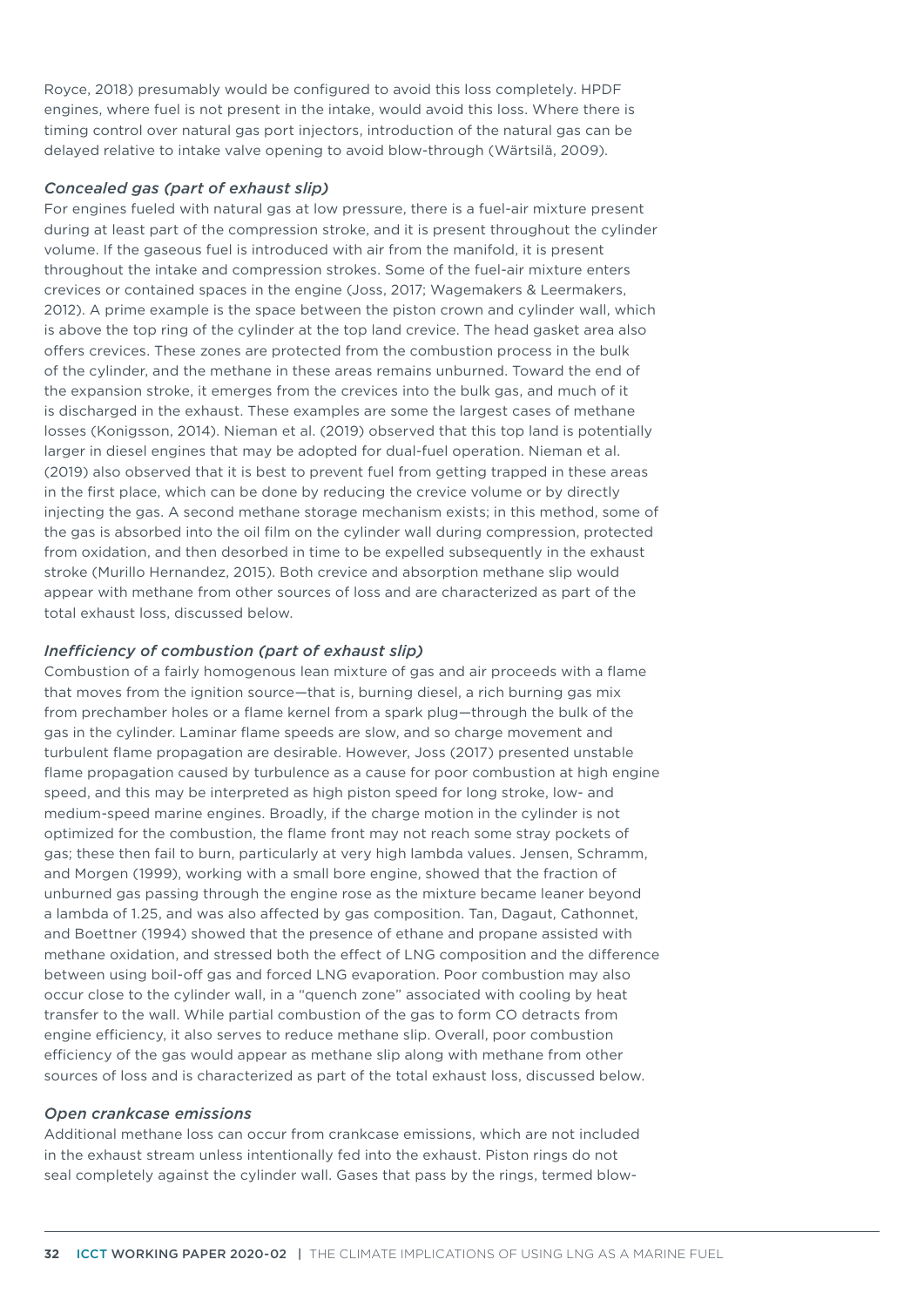Royce, 2018) presumably would be configured to avoid this loss completely. HPDF engines, where fuel is not present in the intake, would avoid this loss. Where there is timing control over natural gas port injectors, introduction of the natural gas can be delayed relative to intake valve opening to avoid blow-through (Wärtsilä, 2009).

#### *Concealed gas (part of exhaust slip)*

For engines fueled with natural gas at low pressure, there is a fuel-air mixture present during at least part of the compression stroke, and it is present throughout the cylinder volume. If the gaseous fuel is introduced with air from the manifold, it is present throughout the intake and compression strokes. Some of the fuel-air mixture enters crevices or contained spaces in the engine (Joss, 2017; Wagemakers & Leermakers, 2012). A prime example is the space between the piston crown and cylinder wall, which is above the top ring of the cylinder at the top land crevice. The head gasket area also offers crevices. These zones are protected from the combustion process in the bulk of the cylinder, and the methane in these areas remains unburned. Toward the end of the expansion stroke, it emerges from the crevices into the bulk gas, and much of it is discharged in the exhaust. These examples are some the largest cases of methane losses (Konigsson, 2014). Nieman et al. (2019) observed that this top land is potentially larger in diesel engines that may be adopted for dual-fuel operation. Nieman et al. (2019) also observed that it is best to prevent fuel from getting trapped in these areas in the first place, which can be done by reducing the crevice volume or by directly injecting the gas. A second methane storage mechanism exists; in this method, some of the gas is absorbed into the oil film on the cylinder wall during compression, protected from oxidation, and then desorbed in time to be expelled subsequently in the exhaust stroke (Murillo Hernandez, 2015). Both crevice and absorption methane slip would appear with methane from other sources of loss and are characterized as part of the total exhaust loss, discussed below.

#### *Inefficiency of combustion (part of exhaust slip)*

Combustion of a fairly homogenous lean mixture of gas and air proceeds with a flame that moves from the ignition source—that is, burning diesel, a rich burning gas mix from prechamber holes or a flame kernel from a spark plug—through the bulk of the gas in the cylinder. Laminar flame speeds are slow, and so charge movement and turbulent flame propagation are desirable. However, Joss (2017) presented unstable flame propagation caused by turbulence as a cause for poor combustion at high engine speed, and this may be interpreted as high piston speed for long stroke, low- and medium-speed marine engines. Broadly, if the charge motion in the cylinder is not optimized for the combustion, the flame front may not reach some stray pockets of gas; these then fail to burn, particularly at very high lambda values. Jensen, Schramm, and Morgen (1999), working with a small bore engine, showed that the fraction of unburned gas passing through the engine rose as the mixture became leaner beyond a lambda of 1.25, and was also affected by gas composition. Tan, Dagaut, Cathonnet, and Boettner (1994) showed that the presence of ethane and propane assisted with methane oxidation, and stressed both the effect of LNG composition and the difference between using boil-off gas and forced LNG evaporation. Poor combustion may also occur close to the cylinder wall, in a "quench zone" associated with cooling by heat transfer to the wall. While partial combustion of the gas to form CO detracts from engine efficiency, it also serves to reduce methane slip. Overall, poor combustion efficiency of the gas would appear as methane slip along with methane from other sources of loss and is characterized as part of the total exhaust loss, discussed below.

#### *Open crankcase emissions*

Additional methane loss can occur from crankcase emissions, which are not included in the exhaust stream unless intentionally fed into the exhaust. Piston rings do not seal completely against the cylinder wall. Gases that pass by the rings, termed blow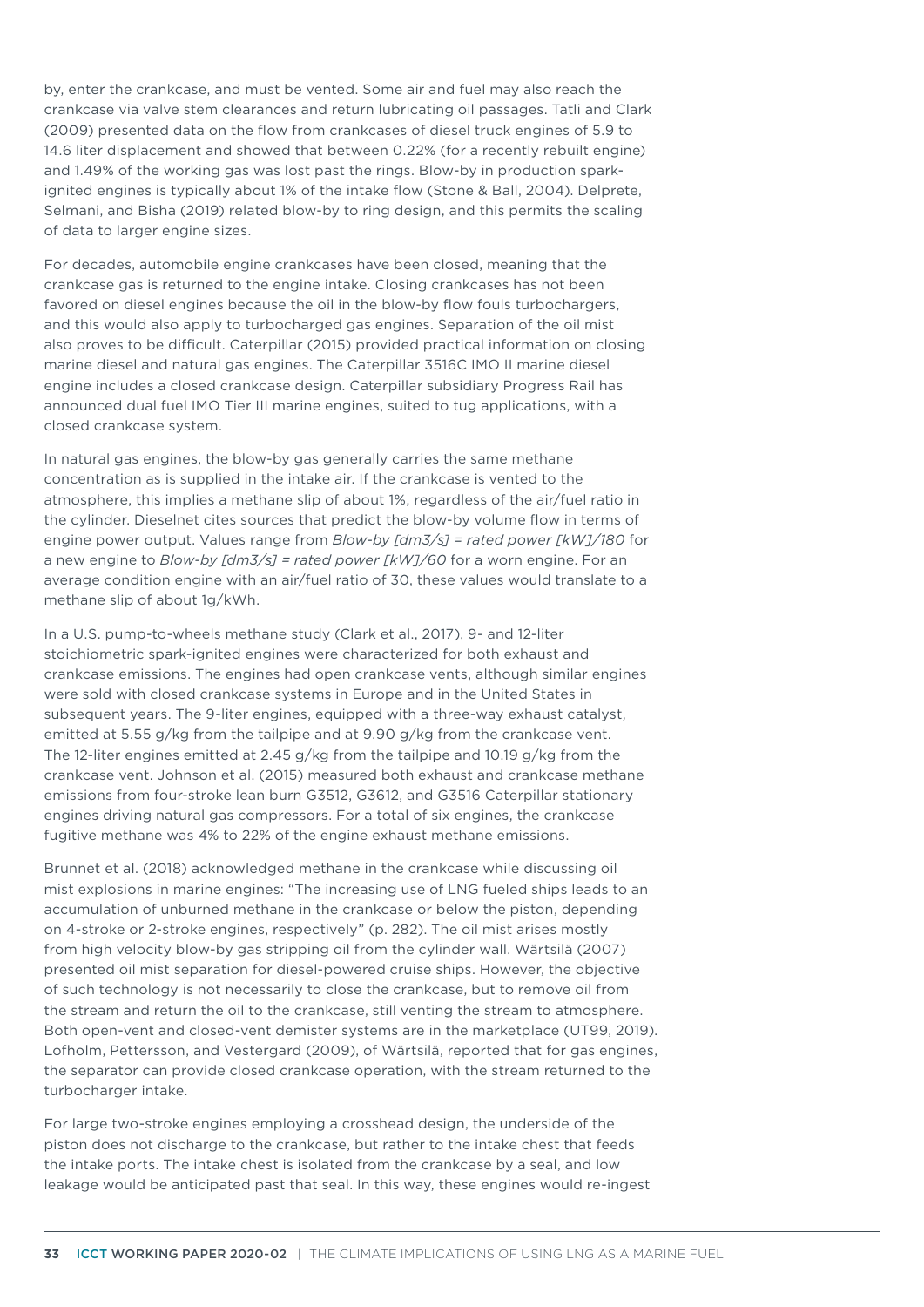by, enter the crankcase, and must be vented. Some air and fuel may also reach the crankcase via valve stem clearances and return lubricating oil passages. Tatli and Clark (2009) presented data on the flow from crankcases of diesel truck engines of 5.9 to 14.6 liter displacement and showed that between 0.22% (for a recently rebuilt engine) and 1.49% of the working gas was lost past the rings. Blow-by in production sparkignited engines is typically about 1% of the intake flow (Stone & Ball, 2004). Delprete, Selmani, and Bisha (2019) related blow-by to ring design, and this permits the scaling of data to larger engine sizes.

For decades, automobile engine crankcases have been closed, meaning that the crankcase gas is returned to the engine intake. Closing crankcases has not been favored on diesel engines because the oil in the blow-by flow fouls turbochargers, and this would also apply to turbocharged gas engines. Separation of the oil mist also proves to be difficult. Caterpillar (2015) provided practical information on closing marine diesel and natural gas engines. The Caterpillar 3516C IMO II marine diesel engine includes a closed crankcase design. Caterpillar subsidiary Progress Rail has announced dual fuel IMO Tier III marine engines, suited to tug applications, with a closed crankcase system.

In natural gas engines, the blow-by gas generally carries the same methane concentration as is supplied in the intake air. If the crankcase is vented to the atmosphere, this implies a methane slip of about 1%, regardless of the air/fuel ratio in the cylinder. Dieselnet cites sources that predict the blow-by volume flow in terms of engine power output. Values range from *Blow-by [dm3/s] = rated power [kW]/180* for a new engine to *Blow-by [dm3/s] = rated power [kW]/60* for a worn engine. For an average condition engine with an air/fuel ratio of 30, these values would translate to a methane slip of about 1g/kWh.

In a U.S. pump-to-wheels methane study (Clark et al., 2017), 9- and 12-liter stoichiometric spark-ignited engines were characterized for both exhaust and crankcase emissions. The engines had open crankcase vents, although similar engines were sold with closed crankcase systems in Europe and in the United States in subsequent years. The 9-liter engines, equipped with a three-way exhaust catalyst, emitted at 5.55 g/kg from the tailpipe and at 9.90 g/kg from the crankcase vent. The 12-liter engines emitted at 2.45 g/kg from the tailpipe and 10.19 g/kg from the crankcase vent. Johnson et al. (2015) measured both exhaust and crankcase methane emissions from four-stroke lean burn G3512, G3612, and G3516 Caterpillar stationary engines driving natural gas compressors. For a total of six engines, the crankcase fugitive methane was 4% to 22% of the engine exhaust methane emissions.

Brunnet et al. (2018) acknowledged methane in the crankcase while discussing oil mist explosions in marine engines: "The increasing use of LNG fueled ships leads to an accumulation of unburned methane in the crankcase or below the piston, depending on 4-stroke or 2-stroke engines, respectively" (p. 282). The oil mist arises mostly from high velocity blow-by gas stripping oil from the cylinder wall. Wärtsilä (2007) presented oil mist separation for diesel-powered cruise ships. However, the objective of such technology is not necessarily to close the crankcase, but to remove oil from the stream and return the oil to the crankcase, still venting the stream to atmosphere. Both open-vent and closed-vent demister systems are in the marketplace (UT99, 2019). Lofholm, Pettersson, and Vestergard (2009), of Wärtsilä, reported that for gas engines, the separator can provide closed crankcase operation, with the stream returned to the turbocharger intake.

For large two-stroke engines employing a crosshead design, the underside of the piston does not discharge to the crankcase, but rather to the intake chest that feeds the intake ports. The intake chest is isolated from the crankcase by a seal, and low leakage would be anticipated past that seal. In this way, these engines would re-ingest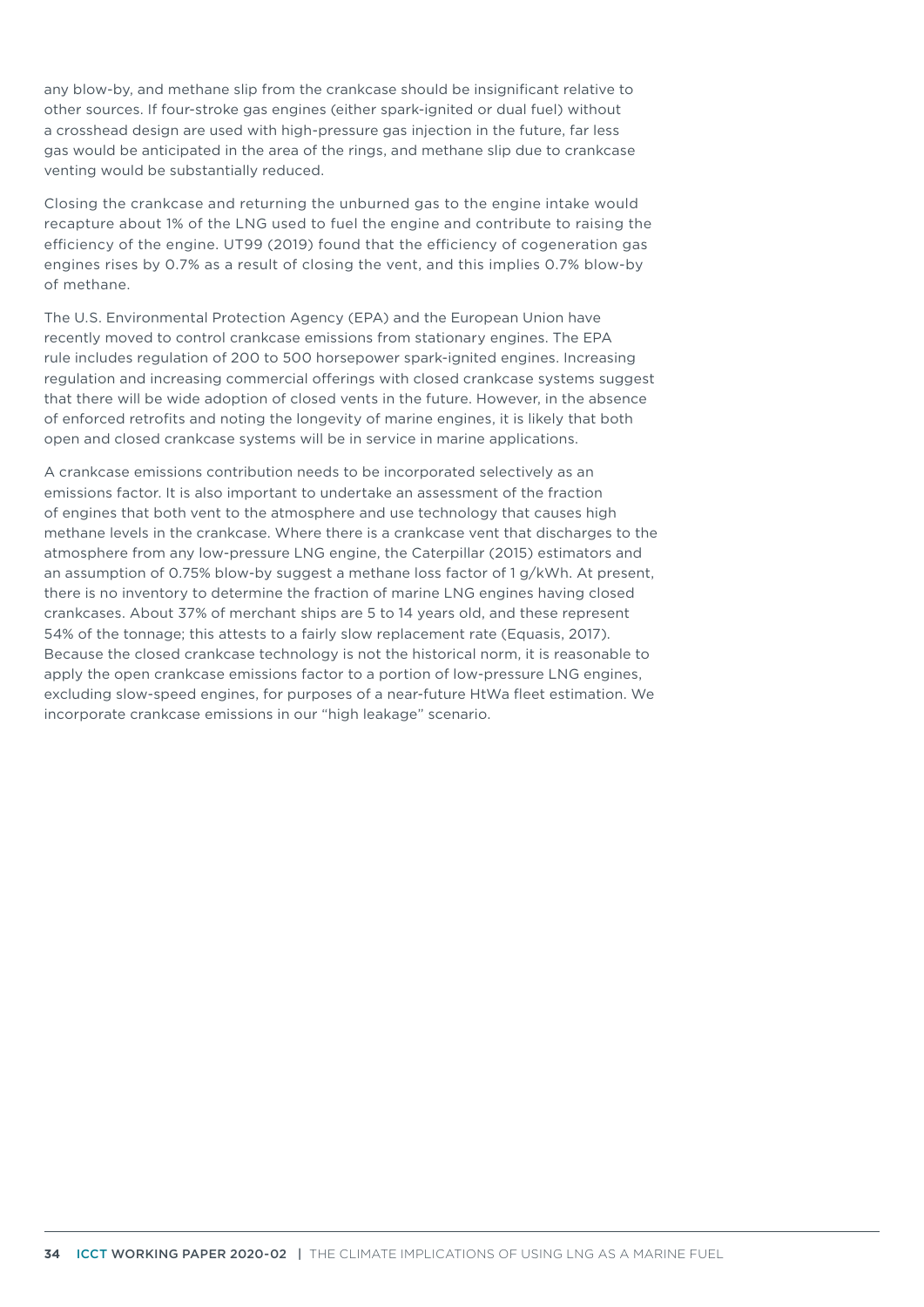any blow-by, and methane slip from the crankcase should be insignificant relative to other sources. If four-stroke gas engines (either spark-ignited or dual fuel) without a crosshead design are used with high-pressure gas injection in the future, far less gas would be anticipated in the area of the rings, and methane slip due to crankcase venting would be substantially reduced.

Closing the crankcase and returning the unburned gas to the engine intake would recapture about 1% of the LNG used to fuel the engine and contribute to raising the efficiency of the engine. UT99 (2019) found that the efficiency of cogeneration gas engines rises by 0.7% as a result of closing the vent, and this implies 0.7% blow-by of methane.

The U.S. Environmental Protection Agency (EPA) and the European Union have recently moved to control crankcase emissions from stationary engines. The EPA rule includes regulation of 200 to 500 horsepower spark-ignited engines. Increasing regulation and increasing commercial offerings with closed crankcase systems suggest that there will be wide adoption of closed vents in the future. However, in the absence of enforced retrofits and noting the longevity of marine engines, it is likely that both open and closed crankcase systems will be in service in marine applications.

A crankcase emissions contribution needs to be incorporated selectively as an emissions factor. It is also important to undertake an assessment of the fraction of engines that both vent to the atmosphere and use technology that causes high methane levels in the crankcase. Where there is a crankcase vent that discharges to the atmosphere from any low-pressure LNG engine, the Caterpillar (2015) estimators and an assumption of 0.75% blow-by suggest a methane loss factor of 1 g/kWh. At present, there is no inventory to determine the fraction of marine LNG engines having closed crankcases. About 37% of merchant ships are 5 to 14 years old, and these represent 54% of the tonnage; this attests to a fairly slow replacement rate (Equasis, 2017). Because the closed crankcase technology is not the historical norm, it is reasonable to apply the open crankcase emissions factor to a portion of low-pressure LNG engines, excluding slow-speed engines, for purposes of a near-future HtWa fleet estimation. We incorporate crankcase emissions in our "high leakage" scenario.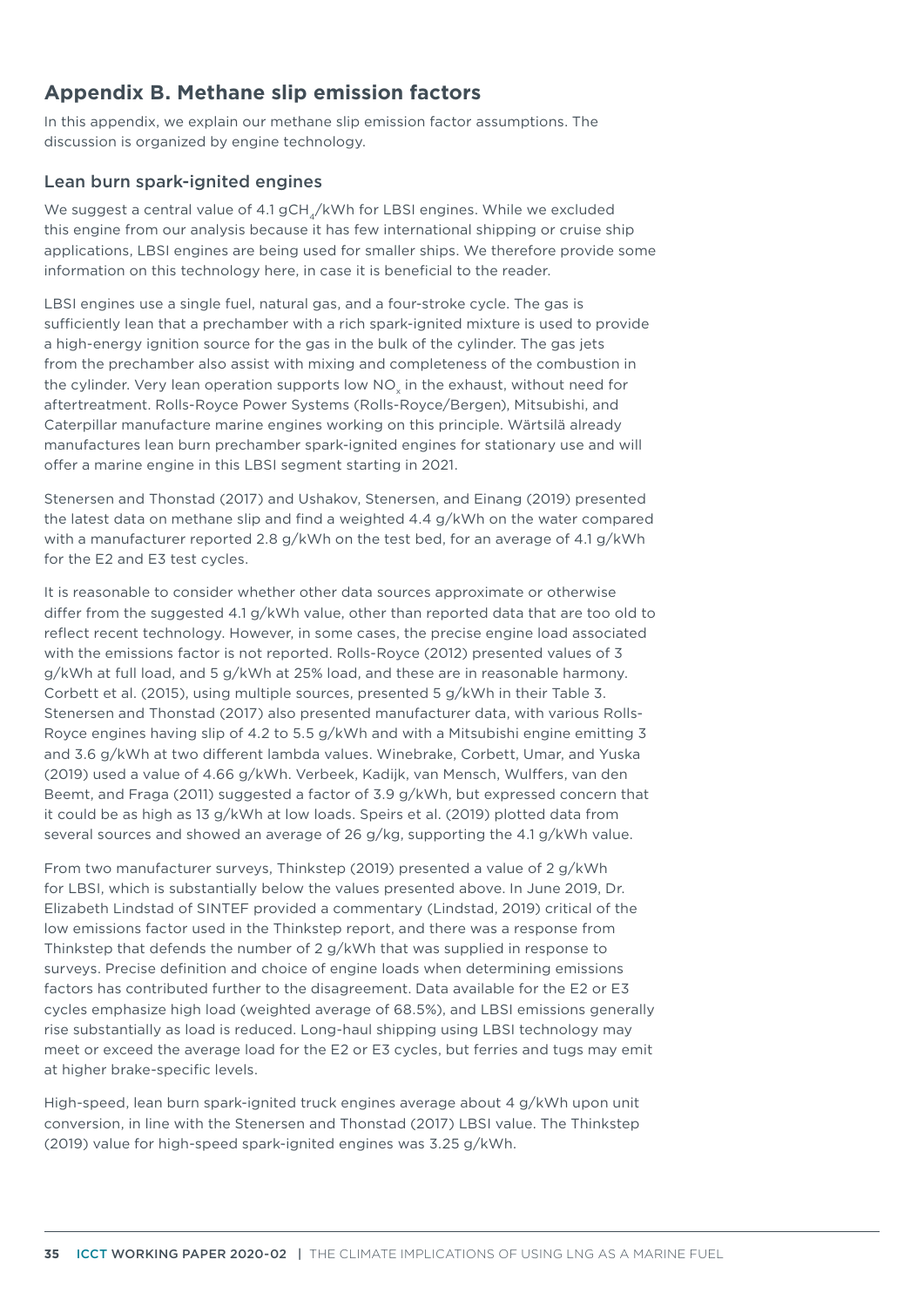# **Appendix B. Methane slip emission factors**

In this appendix, we explain our methane slip emission factor assumptions. The discussion is organized by engine technology.

## Lean burn spark-ignited engines

We suggest a central value of 4.1 gCH<sub>4</sub>/kWh for LBSI engines. While we excluded this engine from our analysis because it has few international shipping or cruise ship applications, LBSI engines are being used for smaller ships. We therefore provide some information on this technology here, in case it is beneficial to the reader.

LBSI engines use a single fuel, natural gas, and a four-stroke cycle. The gas is sufficiently lean that a prechamber with a rich spark-ignited mixture is used to provide a high-energy ignition source for the gas in the bulk of the cylinder. The gas jets from the prechamber also assist with mixing and completeness of the combustion in the cylinder. Very lean operation supports low NO<sub>x</sub> in the exhaust, without need for aftertreatment. Rolls-Royce Power Systems (Rolls-Royce/Bergen), Mitsubishi, and Caterpillar manufacture marine engines working on this principle. Wärtsilä already manufactures lean burn prechamber spark-ignited engines for stationary use and will offer a marine engine in this LBSI segment starting in 2021.

Stenersen and Thonstad (2017) and Ushakov, Stenersen, and Einang (2019) presented the latest data on methane slip and find a weighted 4.4 g/kWh on the water compared with a manufacturer reported 2.8 g/kWh on the test bed, for an average of 4.1 g/kWh for the E2 and E3 test cycles.

It is reasonable to consider whether other data sources approximate or otherwise differ from the suggested 4.1 g/kWh value, other than reported data that are too old to reflect recent technology. However, in some cases, the precise engine load associated with the emissions factor is not reported. Rolls-Royce (2012) presented values of 3 g/kWh at full load, and 5 g/kWh at 25% load, and these are in reasonable harmony. Corbett et al. (2015), using multiple sources, presented 5 g/kWh in their Table 3. Stenersen and Thonstad (2017) also presented manufacturer data, with various Rolls-Royce engines having slip of 4.2 to 5.5 g/kWh and with a Mitsubishi engine emitting 3 and 3.6 g/kWh at two different lambda values. Winebrake, Corbett, Umar, and Yuska (2019) used a value of 4.66 g/kWh. Verbeek, Kadijk, van Mensch, Wulffers, van den Beemt, and Fraga (2011) suggested a factor of 3.9 g/kWh, but expressed concern that it could be as high as 13 g/kWh at low loads. Speirs et al. (2019) plotted data from several sources and showed an average of 26 g/kg, supporting the 4.1 g/kWh value.

From two manufacturer surveys, Thinkstep (2019) presented a value of 2 g/kWh for LBSI, which is substantially below the values presented above. In June 2019, Dr. Elizabeth Lindstad of SINTEF provided a commentary (Lindstad, 2019) critical of the low emissions factor used in the Thinkstep report, and there was a response from Thinkstep that defends the number of 2 g/kWh that was supplied in response to surveys. Precise definition and choice of engine loads when determining emissions factors has contributed further to the disagreement. Data available for the E2 or E3 cycles emphasize high load (weighted average of 68.5%), and LBSI emissions generally rise substantially as load is reduced. Long-haul shipping using LBSI technology may meet or exceed the average load for the E2 or E3 cycles, but ferries and tugs may emit at higher brake-specific levels.

High-speed, lean burn spark-ignited truck engines average about 4 g/kWh upon unit conversion, in line with the Stenersen and Thonstad (2017) LBSI value. The Thinkstep (2019) value for high-speed spark-ignited engines was 3.25 g/kWh.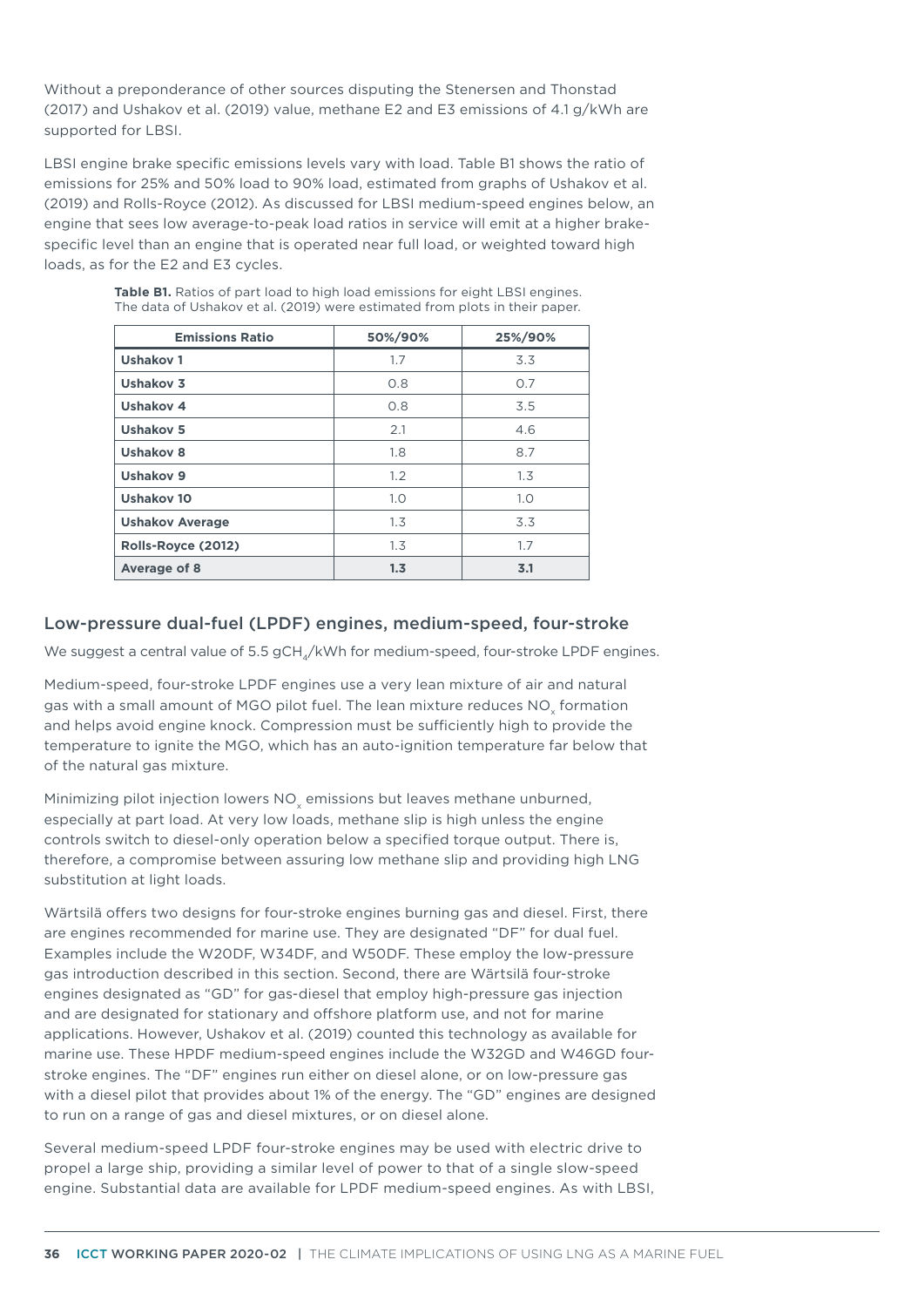Without a preponderance of other sources disputing the Stenersen and Thonstad (2017) and Ushakov et al. (2019) value, methane E2 and E3 emissions of 4.1 g/kWh are supported for LBSI.

LBSI engine brake specific emissions levels vary with load. Table B1 shows the ratio of emissions for 25% and 50% load to 90% load, estimated from graphs of Ushakov et al. (2019) and Rolls-Royce (2012). As discussed for LBSI medium-speed engines below, an engine that sees low average-to-peak load ratios in service will emit at a higher brakespecific level than an engine that is operated near full load, or weighted toward high loads, as for the E2 and E3 cycles.

| <b>Emissions Ratio</b> | 50%/90% | 25%/90% |
|------------------------|---------|---------|
| <b>Ushakov1</b>        | 1.7     | 3.3     |
| Ushakov 3              | 0.8     | 0.7     |
| Ushakov 4              | 0.8     | 3.5     |
| <b>Ushakov 5</b>       | 2.1     | 4.6     |
| <b>Ushakov 8</b>       | 1.8     | 8.7     |
| Ushakov 9              | 1.2     | 1.3     |
| <b>Ushakov 10</b>      | 1.0     | 1.0     |
| <b>Ushakov Average</b> | 1.3     | 3.3     |
| Rolls-Royce (2012)     | 1.3     | 1.7     |
| Average of 8           | 1.3     | 3.1     |

**Table B1.** Ratios of part load to high load emissions for eight LBSI engines. The data of Ushakov et al. (2019) were estimated from plots in their paper.

## Low-pressure dual-fuel (LPDF) engines, medium-speed, four-stroke

We suggest a central value of 5.5 gCH<sub>4</sub>/kWh for medium-speed, four-stroke LPDF engines.

Medium-speed, four-stroke LPDF engines use a very lean mixture of air and natural gas with a small amount of MGO pilot fuel. The lean mixture reduces NO<sub>x</sub> formation and helps avoid engine knock. Compression must be sufficiently high to provide the temperature to ignite the MGO, which has an auto-ignition temperature far below that of the natural gas mixture.

Minimizing pilot injection lowers NO<sub>v</sub> emissions but leaves methane unburned, especially at part load. At very low loads, methane slip is high unless the engine controls switch to diesel-only operation below a specified torque output. There is, therefore, a compromise between assuring low methane slip and providing high LNG substitution at light loads.

Wärtsilä offers two designs for four-stroke engines burning gas and diesel. First, there are engines recommended for marine use. They are designated "DF" for dual fuel. Examples include the W20DF, W34DF, and W50DF. These employ the low-pressure gas introduction described in this section. Second, there are Wärtsilä four-stroke engines designated as "GD" for gas-diesel that employ high-pressure gas injection and are designated for stationary and offshore platform use, and not for marine applications. However, Ushakov et al. (2019) counted this technology as available for marine use. These HPDF medium-speed engines include the W32GD and W46GD fourstroke engines. The "DF" engines run either on diesel alone, or on low-pressure gas with a diesel pilot that provides about 1% of the energy. The "GD" engines are designed to run on a range of gas and diesel mixtures, or on diesel alone.

Several medium-speed LPDF four-stroke engines may be used with electric drive to propel a large ship, providing a similar level of power to that of a single slow-speed engine. Substantial data are available for LPDF medium-speed engines. As with LBSI,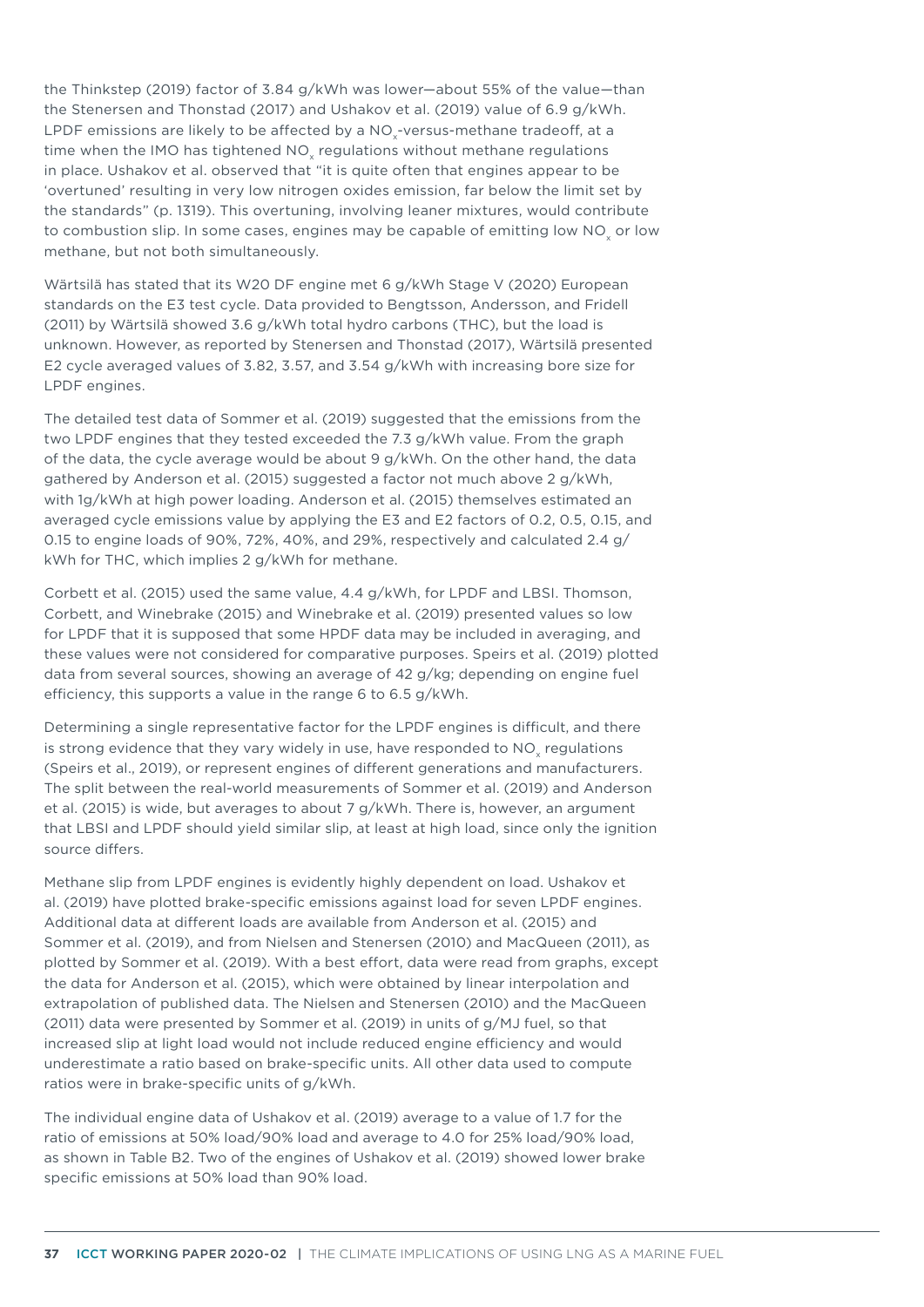the Thinkstep (2019) factor of 3.84 g/kWh was lower—about 55% of the value—than the Stenersen and Thonstad (2017) and Ushakov et al. (2019) value of 6.9 g/kWh. LPDF emissions are likely to be affected by a NO<sub>x</sub>-versus-methane tradeoff, at a time when the IMO has tightened NO<sub>x</sub> regulations without methane regulations in place. Ushakov et al. observed that "it is quite often that engines appear to be 'overtuned' resulting in very low nitrogen oxides emission, far below the limit set by the standards" (p. 1319). This overtuning, involving leaner mixtures, would contribute to combustion slip. In some cases, engines may be capable of emitting low NO or low methane, but not both simultaneously.

Wärtsilä has stated that its W20 DF engine met 6 g/kWh Stage V (2020) European standards on the E3 test cycle. Data provided to Bengtsson, Andersson, and Fridell (2011) by Wärtsilä showed 3.6 g/kWh total hydro carbons (THC), but the load is unknown. However, as reported by Stenersen and Thonstad (2017), Wärtsilä presented E2 cycle averaged values of 3.82, 3.57, and 3.54 g/kWh with increasing bore size for LPDF engines.

The detailed test data of Sommer et al. (2019) suggested that the emissions from the two LPDF engines that they tested exceeded the 7.3 g/kWh value. From the graph of the data, the cycle average would be about 9 g/kWh. On the other hand, the data gathered by Anderson et al. (2015) suggested a factor not much above 2 g/kWh, with 1g/kWh at high power loading. Anderson et al. (2015) themselves estimated an averaged cycle emissions value by applying the E3 and E2 factors of 0.2, 0.5, 0.15, and 0.15 to engine loads of 90%, 72%, 40%, and 29%, respectively and calculated 2.4 g/ kWh for THC, which implies 2 g/kWh for methane.

Corbett et al. (2015) used the same value, 4.4 g/kWh, for LPDF and LBSI. Thomson, Corbett, and Winebrake (2015) and Winebrake et al. (2019) presented values so low for LPDF that it is supposed that some HPDF data may be included in averaging, and these values were not considered for comparative purposes. Speirs et al. (2019) plotted data from several sources, showing an average of 42 g/kg; depending on engine fuel efficiency, this supports a value in the range 6 to 6.5 g/kWh.

Determining a single representative factor for the LPDF engines is difficult, and there is strong evidence that they vary widely in use, have responded to NO<sub>y</sub> regulations (Speirs et al., 2019), or represent engines of different generations and manufacturers. The split between the real-world measurements of Sommer et al. (2019) and Anderson et al. (2015) is wide, but averages to about 7 g/kWh. There is, however, an argument that LBSI and LPDF should yield similar slip, at least at high load, since only the ignition source differs.

Methane slip from LPDF engines is evidently highly dependent on load. Ushakov et al. (2019) have plotted brake-specific emissions against load for seven LPDF engines. Additional data at different loads are available from Anderson et al. (2015) and Sommer et al. (2019), and from Nielsen and Stenersen (2010) and MacQueen (2011), as plotted by Sommer et al. (2019). With a best effort, data were read from graphs, except the data for Anderson et al. (2015), which were obtained by linear interpolation and extrapolation of published data. The Nielsen and Stenersen (2010) and the MacQueen (2011) data were presented by Sommer et al. (2019) in units of g/MJ fuel, so that increased slip at light load would not include reduced engine efficiency and would underestimate a ratio based on brake-specific units. All other data used to compute ratios were in brake-specific units of g/kWh.

The individual engine data of Ushakov et al. (2019) average to a value of 1.7 for the ratio of emissions at 50% load/90% load and average to 4.0 for 25% load/90% load, as shown in Table B2. Two of the engines of Ushakov et al. (2019) showed lower brake specific emissions at 50% load than 90% load.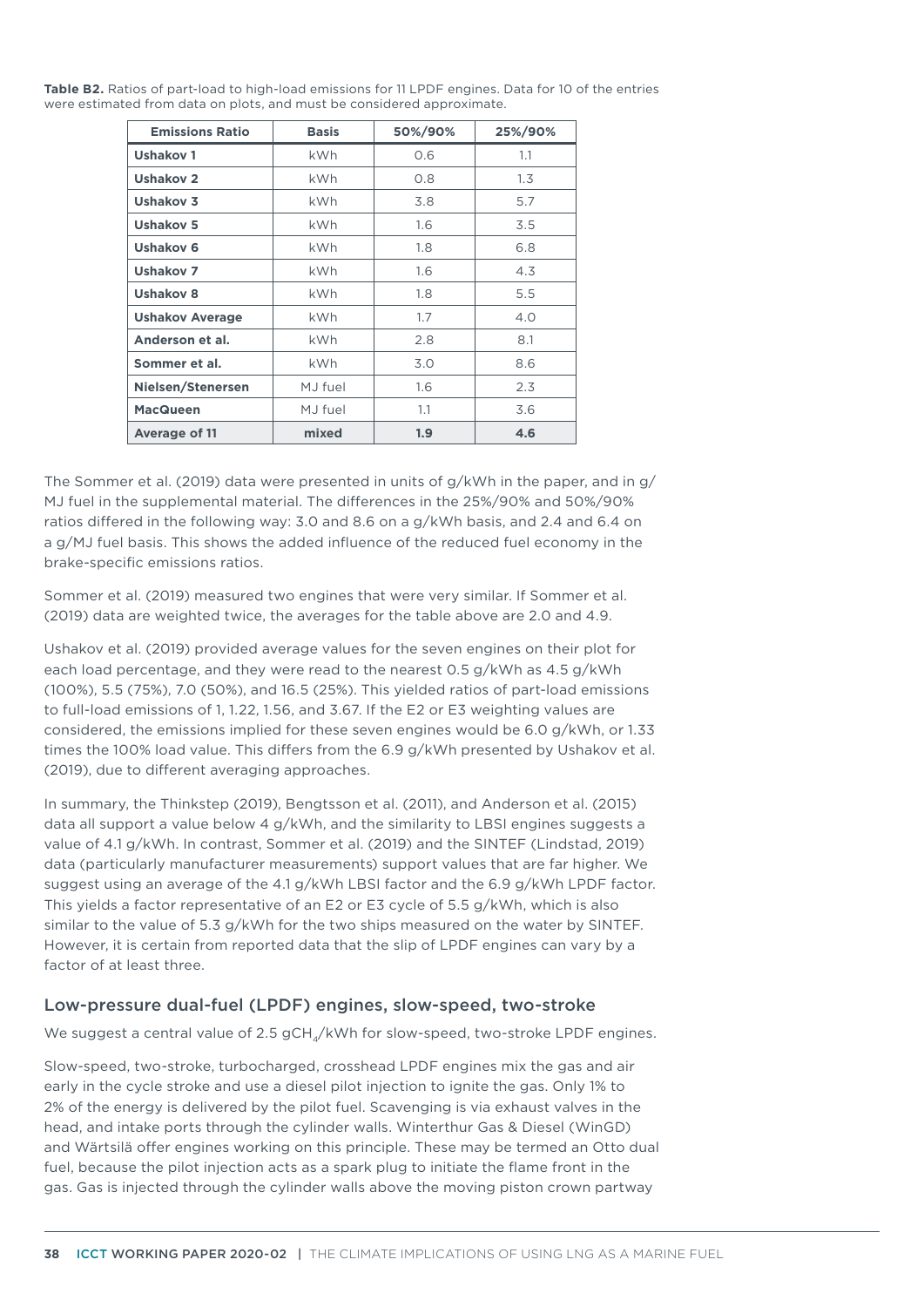**Table B2.** Ratios of part-load to high-load emissions for 11 LPDF engines. Data for 10 of the entries were estimated from data on plots, and must be considered approximate.

| <b>Emissions Ratio</b> | <b>Basis</b> | 50%/90% | 25%/90% |
|------------------------|--------------|---------|---------|
| Ushakov 1              | kWh          | 0.6     | 1.1     |
| <b>Ushakov 2</b>       | kWh          | 0.8     | 1.3     |
| Ushakov 3              | kWh          | 3.8     | 5.7     |
| <b>Ushakov 5</b>       | kWh          | 1.6     | 3.5     |
| Ushakov 6              | kWh          | 1.8     | 6.8     |
| Ushakov 7              | kWh          | 1.6     | 4.3     |
| <b>Ushakov 8</b>       | <b>kWh</b>   | 1.8     | 5.5     |
| <b>Ushakov Average</b> | <b>kWh</b>   | 1.7     | 4.0     |
| Anderson et al.        | <b>kWh</b>   | 2.8     | 8.1     |
| Sommer et al.          | <b>kWh</b>   | 3.0     | 8.6     |
| Nielsen/Stenersen      | MJ fuel      | 1.6     | 2.3     |
| <b>MacQueen</b>        | MJ fuel      | 1.1     | 3.6     |
| <b>Average of 11</b>   | mixed        | 1.9     | 4.6     |

The Sommer et al. (2019) data were presented in units of g/kWh in the paper, and in g/ MJ fuel in the supplemental material. The differences in the 25%/90% and 50%/90% ratios differed in the following way: 3.0 and 8.6 on a g/kWh basis, and 2.4 and 6.4 on a g/MJ fuel basis. This shows the added influence of the reduced fuel economy in the brake-specific emissions ratios.

Sommer et al. (2019) measured two engines that were very similar. If Sommer et al. (2019) data are weighted twice, the averages for the table above are 2.0 and 4.9.

Ushakov et al. (2019) provided average values for the seven engines on their plot for each load percentage, and they were read to the nearest 0.5 g/kWh as 4.5 g/kWh (100%), 5.5 (75%), 7.0 (50%), and 16.5 (25%). This yielded ratios of part-load emissions to full-load emissions of 1, 1.22, 1.56, and 3.67. If the E2 or E3 weighting values are considered, the emissions implied for these seven engines would be 6.0 g/kWh, or 1.33 times the 100% load value. This differs from the 6.9 g/kWh presented by Ushakov et al. (2019), due to different averaging approaches.

In summary, the Thinkstep (2019), Bengtsson et al. (2011), and Anderson et al. (2015) data all support a value below 4 g/kWh, and the similarity to LBSI engines suggests a value of 4.1 g/kWh. In contrast, Sommer et al. (2019) and the SINTEF (Lindstad, 2019) data (particularly manufacturer measurements) support values that are far higher. We suggest using an average of the 4.1 g/kWh LBSI factor and the 6.9 g/kWh LPDF factor. This yields a factor representative of an E2 or E3 cycle of 5.5 g/kWh, which is also similar to the value of 5.3 g/kWh for the two ships measured on the water by SINTEF. However, it is certain from reported data that the slip of LPDF engines can vary by a factor of at least three.

#### Low-pressure dual-fuel (LPDF) engines, slow-speed, two-stroke

We suggest a central value of 2.5 gCH<sub>4</sub>/kWh for slow-speed, two-stroke LPDF engines.

Slow-speed, two-stroke, turbocharged, crosshead LPDF engines mix the gas and air early in the cycle stroke and use a diesel pilot injection to ignite the gas. Only 1% to 2% of the energy is delivered by the pilot fuel. Scavenging is via exhaust valves in the head, and intake ports through the cylinder walls. Winterthur Gas & Diesel (WinGD) and Wärtsilä offer engines working on this principle. These may be termed an Otto dual fuel, because the pilot injection acts as a spark plug to initiate the flame front in the gas. Gas is injected through the cylinder walls above the moving piston crown partway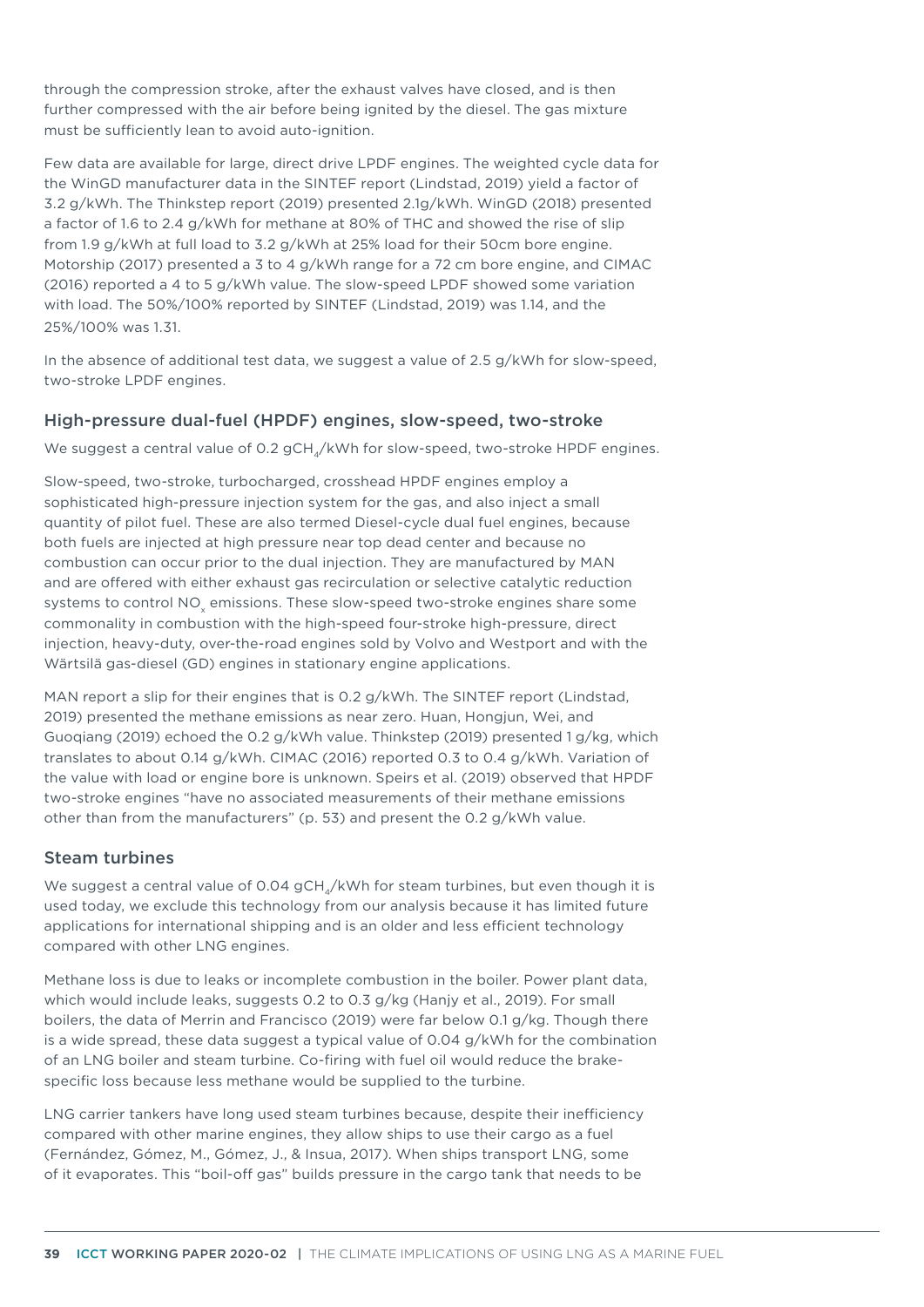through the compression stroke, after the exhaust valves have closed, and is then further compressed with the air before being ignited by the diesel. The gas mixture must be sufficiently lean to avoid auto-ignition.

Few data are available for large, direct drive LPDF engines. The weighted cycle data for the WinGD manufacturer data in the SINTEF report (Lindstad, 2019) yield a factor of 3.2 g/kWh. The Thinkstep report (2019) presented 2.1g/kWh. WinGD (2018) presented a factor of 1.6 to 2.4 g/kWh for methane at 80% of THC and showed the rise of slip from 1.9 g/kWh at full load to 3.2 g/kWh at 25% load for their 50cm bore engine. Motorship (2017) presented a 3 to 4 g/kWh range for a 72 cm bore engine, and CIMAC (2016) reported a 4 to 5 g/kWh value. The slow-speed LPDF showed some variation with load. The 50%/100% reported by SINTEF (Lindstad, 2019) was 1.14, and the 25%/100% was 1.31.

In the absence of additional test data, we suggest a value of 2.5 g/kWh for slow-speed, two-stroke LPDF engines.

## High-pressure dual-fuel (HPDF) engines, slow-speed, two-stroke

We suggest a central value of 0.2 gCH<sub>4</sub>/kWh for slow-speed, two-stroke HPDF engines.

Slow-speed, two-stroke, turbocharged, crosshead HPDF engines employ a sophisticated high-pressure injection system for the gas, and also inject a small quantity of pilot fuel. These are also termed Diesel-cycle dual fuel engines, because both fuels are injected at high pressure near top dead center and because no combustion can occur prior to the dual injection. They are manufactured by MAN and are offered with either exhaust gas recirculation or selective catalytic reduction systems to control NO<sub>v</sub> emissions. These slow-speed two-stroke engines share some commonality in combustion with the high-speed four-stroke high-pressure, direct injection, heavy-duty, over-the-road engines sold by Volvo and Westport and with the Wärtsilä gas-diesel (GD) engines in stationary engine applications.

MAN report a slip for their engines that is 0.2 g/kWh. The SINTEF report (Lindstad, 2019) presented the methane emissions as near zero. Huan, Hongjun, Wei, and Guoqiang (2019) echoed the 0.2 g/kWh value. Thinkstep (2019) presented 1 g/kg, which translates to about 0.14 g/kWh. CIMAC (2016) reported 0.3 to 0.4 g/kWh. Variation of the value with load or engine bore is unknown. Speirs et al. (2019) observed that HPDF two-stroke engines "have no associated measurements of their methane emissions other than from the manufacturers" (p. 53) and present the 0.2 g/kWh value.

#### Steam turbines

We suggest a central value of 0.04 gCH<sub> $_A$ </sub>/kWh for steam turbines, but even though it is used today, we exclude this technology from our analysis because it has limited future applications for international shipping and is an older and less efficient technology compared with other LNG engines.

Methane loss is due to leaks or incomplete combustion in the boiler. Power plant data, which would include leaks, suggests 0.2 to 0.3 g/kg (Hanjy et al., 2019). For small boilers, the data of Merrin and Francisco (2019) were far below 0.1 g/kg. Though there is a wide spread, these data suggest a typical value of 0.04 g/kWh for the combination of an LNG boiler and steam turbine. Co-firing with fuel oil would reduce the brakespecific loss because less methane would be supplied to the turbine.

LNG carrier tankers have long used steam turbines because, despite their inefficiency compared with other marine engines, they allow ships to use their cargo as a fuel (Fernández, Gómez, M., Gómez, J., & Insua, 2017). When ships transport LNG, some of it evaporates. This "boil-off gas" builds pressure in the cargo tank that needs to be